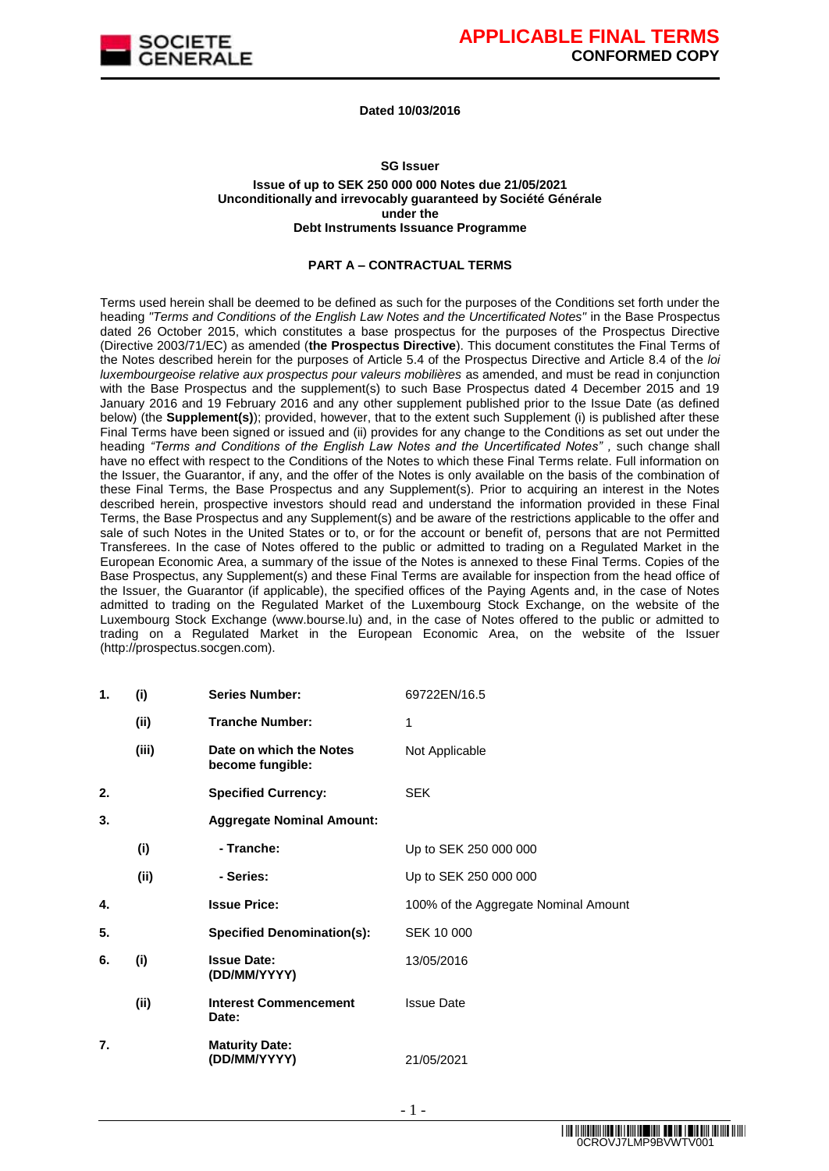

#### **Dated 10/03/2016**

#### **SG Issuer**

#### **Issue of up to SEK 250 000 000 Notes due 21/05/2021 Unconditionally and irrevocably guaranteed by Société Générale under the Debt Instruments Issuance Programme**

#### **PART A – CONTRACTUAL TERMS**

Terms used herein shall be deemed to be defined as such for the purposes of the Conditions set forth under the heading *"Terms and Conditions of the English Law Notes and the Uncertificated Notes"* in the Base Prospectus dated 26 October 2015, which constitutes a base prospectus for the purposes of the Prospectus Directive (Directive 2003/71/EC) as amended (**the Prospectus Directive**). This document constitutes the Final Terms of the Notes described herein for the purposes of Article 5.4 of the Prospectus Directive and Article 8.4 of the *loi luxembourgeoise relative aux prospectus pour valeurs mobilières* as amended, and must be read in conjunction with the Base Prospectus and the supplement(s) to such Base Prospectus dated 4 December 2015 and 19 January 2016 and 19 February 2016 and any other supplement published prior to the Issue Date (as defined below) (the **Supplement(s)**); provided, however, that to the extent such Supplement (i) is published after these Final Terms have been signed or issued and (ii) provides for any change to the Conditions as set out under the heading *"Terms and Conditions of the English Law Notes and the Uncertificated Notes" ,* such change shall have no effect with respect to the Conditions of the Notes to which these Final Terms relate. Full information on the Issuer, the Guarantor, if any, and the offer of the Notes is only available on the basis of the combination of these Final Terms, the Base Prospectus and any Supplement(s). Prior to acquiring an interest in the Notes described herein, prospective investors should read and understand the information provided in these Final Terms, the Base Prospectus and any Supplement(s) and be aware of the restrictions applicable to the offer and sale of such Notes in the United States or to, or for the account or benefit of, persons that are not Permitted Transferees. In the case of Notes offered to the public or admitted to trading on a Regulated Market in the European Economic Area, a summary of the issue of the Notes is annexed to these Final Terms. Copies of the Base Prospectus, any Supplement(s) and these Final Terms are available for inspection from the head office of the Issuer, the Guarantor (if applicable), the specified offices of the Paying Agents and, in the case of Notes admitted to trading on the Regulated Market of the Luxembourg Stock Exchange, on the website of the Luxembourg Stock Exchange (www.bourse.lu) and, in the case of Notes offered to the public or admitted to trading on a Regulated Market in the European Economic Area, on the website of the Issuer (http://prospectus.socgen.com).

| 1. | (i)   | <b>Series Number:</b>                       | 69722EN/16.5                         |
|----|-------|---------------------------------------------|--------------------------------------|
|    | (ii)  | <b>Tranche Number:</b>                      | 1                                    |
|    | (iii) | Date on which the Notes<br>become fungible: | Not Applicable                       |
| 2. |       | <b>Specified Currency:</b>                  | <b>SEK</b>                           |
| 3. |       | <b>Aggregate Nominal Amount:</b>            |                                      |
|    | (i)   | - Tranche:                                  | Up to SEK 250 000 000                |
|    | (ii)  | - Series:                                   | Up to SEK 250 000 000                |
| 4. |       | <b>Issue Price:</b>                         | 100% of the Aggregate Nominal Amount |
| 5. |       | <b>Specified Denomination(s):</b>           | SEK 10 000                           |
| 6. | (i)   | <b>Issue Date:</b><br>(DD/MM/YYYY)          | 13/05/2016                           |
|    | (ii)  | <b>Interest Commencement</b><br>Date:       | <b>Issue Date</b>                    |
| 7. |       | <b>Maturity Date:</b><br>(DD/MM/YYYY)       | 21/05/2021                           |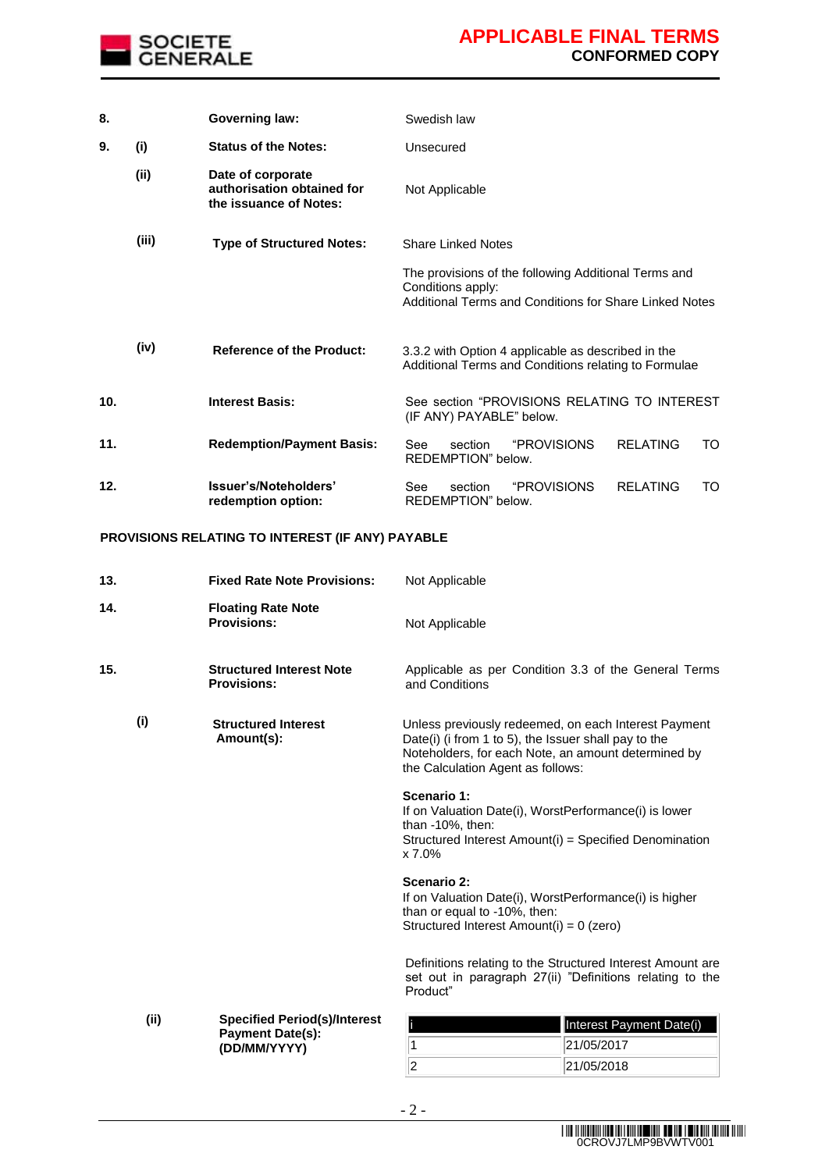

| 8.  |       | <b>Governing law:</b>                                                     | Swedish law                                                                                                                         |  |
|-----|-------|---------------------------------------------------------------------------|-------------------------------------------------------------------------------------------------------------------------------------|--|
| 9.  | (i)   | <b>Status of the Notes:</b>                                               | Unsecured                                                                                                                           |  |
|     | (ii)  | Date of corporate<br>authorisation obtained for<br>the issuance of Notes: | Not Applicable                                                                                                                      |  |
|     | (iii) | <b>Type of Structured Notes:</b>                                          | <b>Share Linked Notes</b>                                                                                                           |  |
|     |       |                                                                           | The provisions of the following Additional Terms and<br>Conditions apply:<br>Additional Terms and Conditions for Share Linked Notes |  |
|     | (iv)  | <b>Reference of the Product:</b>                                          | 3.3.2 with Option 4 applicable as described in the<br>Additional Terms and Conditions relating to Formulae                          |  |
| 10. |       | <b>Interest Basis:</b>                                                    | See section "PROVISIONS RELATING TO INTEREST<br>(IF ANY) PAYABLE" below.                                                            |  |
| 11. |       | <b>Redemption/Payment Basis:</b>                                          | "PROVISIONS<br><b>RFI ATING</b><br>See<br>section<br>TO<br>REDEMPTION" below.                                                       |  |
| 12. |       | Issuer's/Noteholders'<br>redemption option:                               | "PROVISIONS<br>See<br>section<br><b>REI ATING</b><br>TO<br>REDEMPTION" below.                                                       |  |

### **PROVISIONS RELATING TO INTEREST (IF ANY) PAYABLE**

**(DD/MM/YYYY)**

| 13.  | <b>Fixed Rate Note Provisions:</b>                                             | Not Applicable                                                                                                                                                                                           |
|------|--------------------------------------------------------------------------------|----------------------------------------------------------------------------------------------------------------------------------------------------------------------------------------------------------|
| 14.  | <b>Floating Rate Note</b><br><b>Provisions:</b>                                | Not Applicable                                                                                                                                                                                           |
| 15.  | <b>Structured Interest Note</b><br><b>Provisions:</b>                          | Applicable as per Condition 3.3 of the General Terms<br>and Conditions                                                                                                                                   |
| (i)  | <b>Structured Interest</b><br>Amount(s):                                       | Unless previously redeemed, on each Interest Payment<br>Date(i) (i from 1 to 5), the Issuer shall pay to the<br>Noteholders, for each Note, an amount determined by<br>the Calculation Agent as follows: |
|      |                                                                                | Scenario 1:<br>If on Valuation Date(i), WorstPerformance(i) is lower<br>than $-10\%$ , then:<br>Structured Interest Amount(i) = Specified Denomination<br>x 7.0%                                         |
|      |                                                                                | Scenario 2:<br>If on Valuation Date(i), WorstPerformance(i) is higher<br>than or equal to -10%, then:<br>Structured Interest Amount(i) = 0 (zero)                                                        |
|      |                                                                                | Definitions relating to the Structured Interest Amount are<br>set out in paragraph 27(ii) "Definitions relating to the<br>Product"                                                                       |
| (ii) | <b>Specified Period(s)/Interest</b><br><b>Payment Date(s):</b><br>(DD/MM/YYYY) | Interest Payment Date(i)<br>1<br>21/05/2017                                                                                                                                                              |

 $\boxed{2}$  21/05/2018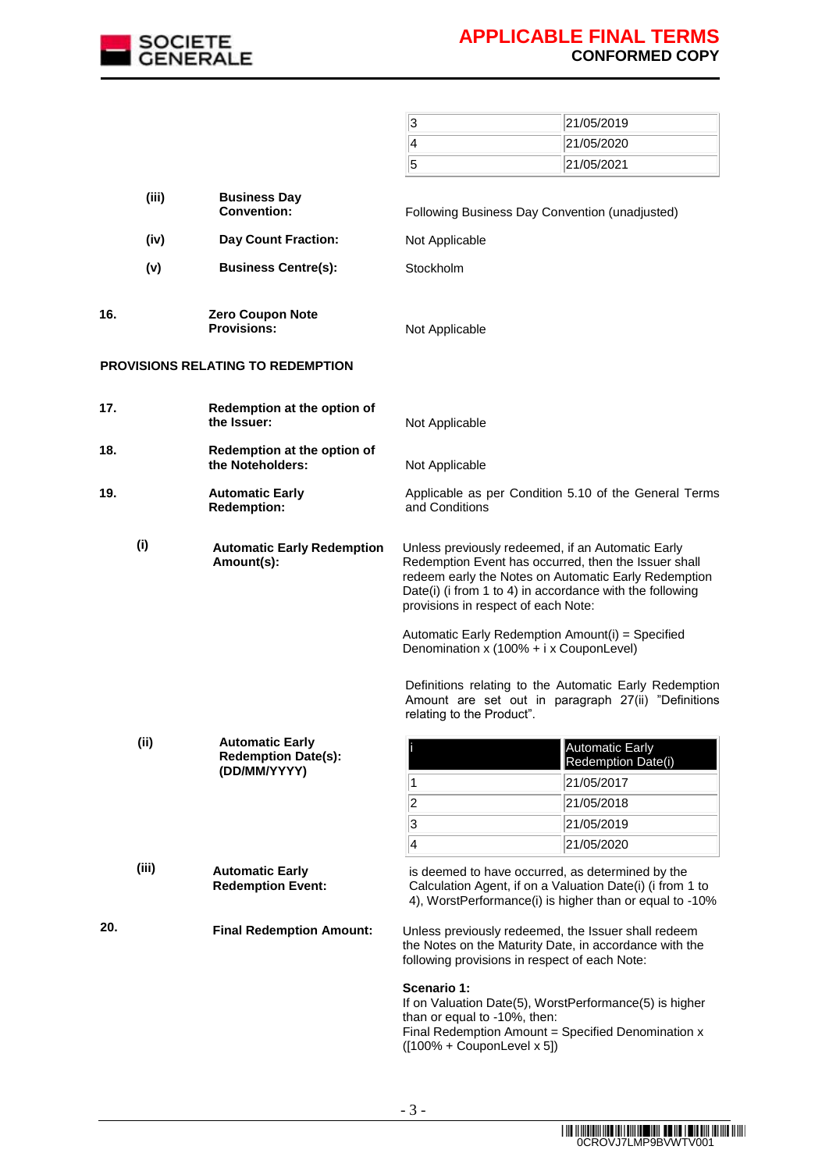

|       |       |                                                                      | 3                                                                                                                                                                                                                                                                                                                        | 21/05/2019                                                                                                    |
|-------|-------|----------------------------------------------------------------------|--------------------------------------------------------------------------------------------------------------------------------------------------------------------------------------------------------------------------------------------------------------------------------------------------------------------------|---------------------------------------------------------------------------------------------------------------|
|       |       |                                                                      | $\overline{\mathbf{4}}$                                                                                                                                                                                                                                                                                                  | 21/05/2020                                                                                                    |
|       |       |                                                                      | 5                                                                                                                                                                                                                                                                                                                        | 21/05/2021                                                                                                    |
|       | (iii) | <b>Business Day</b><br><b>Convention:</b>                            | Following Business Day Convention (unadjusted)                                                                                                                                                                                                                                                                           |                                                                                                               |
|       | (iv)  | <b>Day Count Fraction:</b>                                           | Not Applicable                                                                                                                                                                                                                                                                                                           |                                                                                                               |
|       | (v)   | <b>Business Centre(s):</b>                                           | Stockholm                                                                                                                                                                                                                                                                                                                |                                                                                                               |
|       |       |                                                                      |                                                                                                                                                                                                                                                                                                                          |                                                                                                               |
| 16.   |       | <b>Zero Coupon Note</b><br><b>Provisions:</b>                        | Not Applicable                                                                                                                                                                                                                                                                                                           |                                                                                                               |
|       |       | <b>PROVISIONS RELATING TO REDEMPTION</b>                             |                                                                                                                                                                                                                                                                                                                          |                                                                                                               |
| 17.   |       | Redemption at the option of<br>the Issuer:                           | Not Applicable                                                                                                                                                                                                                                                                                                           |                                                                                                               |
| 18.   |       | Redemption at the option of<br>the Noteholders:                      | Not Applicable                                                                                                                                                                                                                                                                                                           |                                                                                                               |
| 19.   |       | <b>Automatic Early</b><br><b>Redemption:</b>                         | and Conditions                                                                                                                                                                                                                                                                                                           | Applicable as per Condition 5.10 of the General Terms                                                         |
| (i)   |       | <b>Automatic Early Redemption</b><br>Amount(s):                      | Unless previously redeemed, if an Automatic Early<br>Redemption Event has occurred, then the Issuer shall<br>redeem early the Notes on Automatic Early Redemption<br>Date(i) (i from 1 to 4) in accordance with the following<br>provisions in respect of each Note:<br>Automatic Early Redemption Amount(i) = Specified |                                                                                                               |
|       |       |                                                                      | Denomination x (100% + i x CouponLevel)<br>relating to the Product".                                                                                                                                                                                                                                                     | Definitions relating to the Automatic Early Redemption<br>Amount are set out in paragraph 27(ii) "Definitions |
| (ii)  |       | <b>Automatic Early</b><br><b>Redemption Date(s):</b><br>(DD/MM/YYYY) |                                                                                                                                                                                                                                                                                                                          | <b>Automatic Early</b><br>Redemption Date(i)                                                                  |
|       |       |                                                                      | 1                                                                                                                                                                                                                                                                                                                        | 21/05/2017                                                                                                    |
|       |       |                                                                      | $\overline{\mathbf{c}}$                                                                                                                                                                                                                                                                                                  | 21/05/2018                                                                                                    |
|       |       |                                                                      | 3<br>$\overline{\mathbf{4}}$                                                                                                                                                                                                                                                                                             | 21/05/2019                                                                                                    |
|       |       |                                                                      |                                                                                                                                                                                                                                                                                                                          | 21/05/2020                                                                                                    |
| (iii) |       | <b>Automatic Early</b><br><b>Redemption Event:</b>                   | is deemed to have occurred, as determined by the<br>Calculation Agent, if on a Valuation Date(i) (i from 1 to                                                                                                                                                                                                            | 4), WorstPerformance(i) is higher than or equal to -10%                                                       |
| 20.   |       | <b>Final Redemption Amount:</b>                                      | Unless previously redeemed, the Issuer shall redeem<br>the Notes on the Maturity Date, in accordance with the<br>following provisions in respect of each Note:                                                                                                                                                           |                                                                                                               |
|       |       |                                                                      | Scenario 1:<br>If on Valuation Date(5), WorstPerformance(5) is higher<br>than or equal to -10%, then:<br>Final Redemption Amount = Specified Denomination x<br>$([100\% + CouponLevel x 5])$                                                                                                                             |                                                                                                               |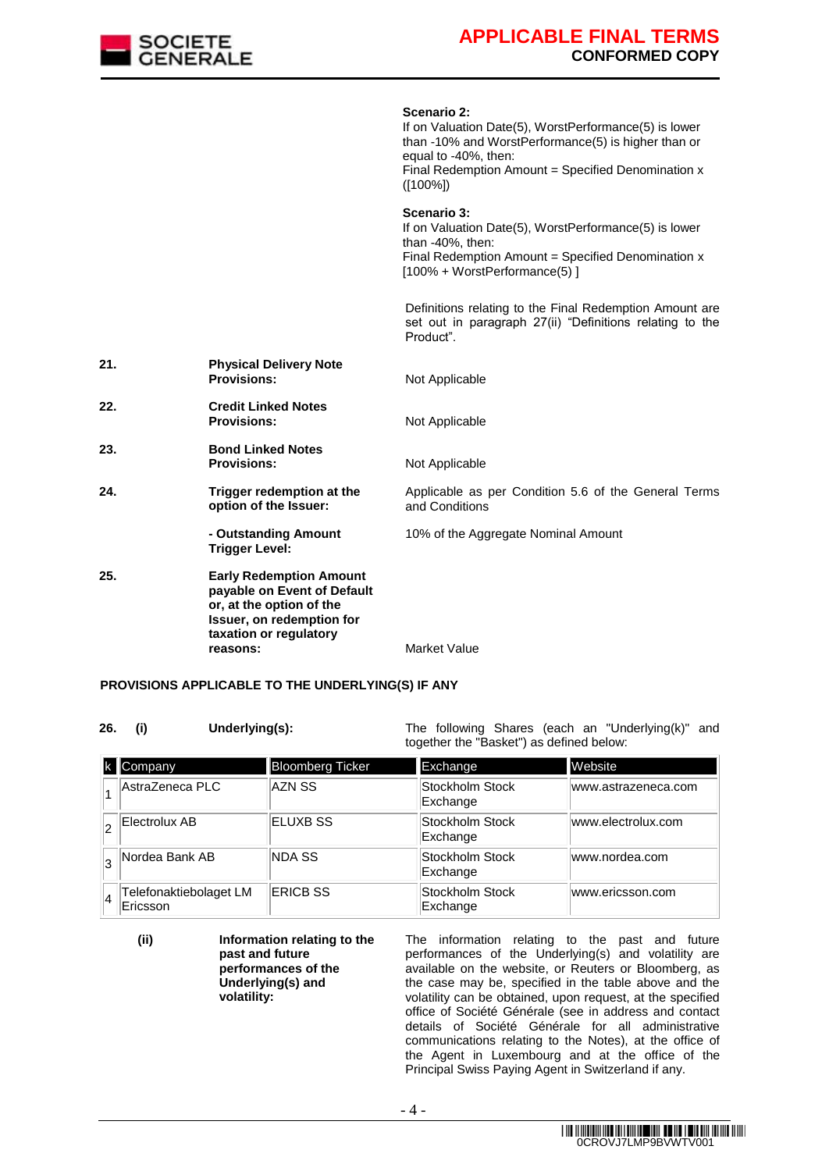

**Scenario 2:**  If on Valuation Date(5), WorstPerformance(5) is lower than -10% and WorstPerformance(5) is higher than or equal to -40%, then: Final Redemption Amount = Specified Denomination x ([100%]) **Scenario 3:**  If on Valuation Date(5), WorstPerformance(5) is lower than -40%, then: Final Redemption Amount = Specified Denomination x [100% + WorstPerformance(5) ] Definitions relating to the Final Redemption Amount are set out in paragraph 27(ii) "Definitions relating to the Product". **21. Physical Delivery Note Not Applicable 22. Credit Linked Notes Provisions:** Not Applicable **23. Bond Linked Notes Provisions:** Not Applicable **24. Trigger redemption at the option of the Issuer:** Applicable as per Condition 5.6 of the General Terms and Conditions **- Outstanding Amount Trigger Level:** 10% of the Aggregate Nominal Amount **25. Early Redemption Amount payable on Event of Default or, at the option of the Issuer, on redemption for taxation or regulatory Market Value** 

#### **PROVISIONS APPLICABLE TO THE UNDERLYING(S) IF ANY**

**26. (i) Underlying(s):** The following Shares (each an "Underlying(k)" and together the "Basket") as defined below:

|    | Company                            | Bloomberg Ticker | Exchange                    | Website             |
|----|------------------------------------|------------------|-----------------------------|---------------------|
|    | AstraZeneca PLC                    | AZN SS           | Stockholm Stock<br>Exchange | www.astrazeneca.com |
|    | Electrolux AB                      | ELUXB SS         | Stockholm Stock<br>Exchange | www.electrolux.com  |
| l3 | Nordea Bank AB                     | <b>NDA SS</b>    | Stockholm Stock<br>Exchange | www.nordea.com      |
| 14 | Telefonaktiebolaget LM<br>Ericsson | <b>ERICB SS</b>  | Stockholm Stock<br>Exchange | www.ericsson.com    |

**(ii) Information relating to the past and future performances of the Underlying(s) and volatility:** The information relating to the past and future performances of the Underlying(s) and volatility are available on the website, or Reuters or Bloomberg, as the case may be, specified in the table above and the volatility can be obtained, upon request, at the specified office of Société Générale (see in address and contact details of Société Générale for all administrative communications relating to the Notes), at the office of the Agent in Luxembourg and at the office of the Principal Swiss Paying Agent in Switzerland if any.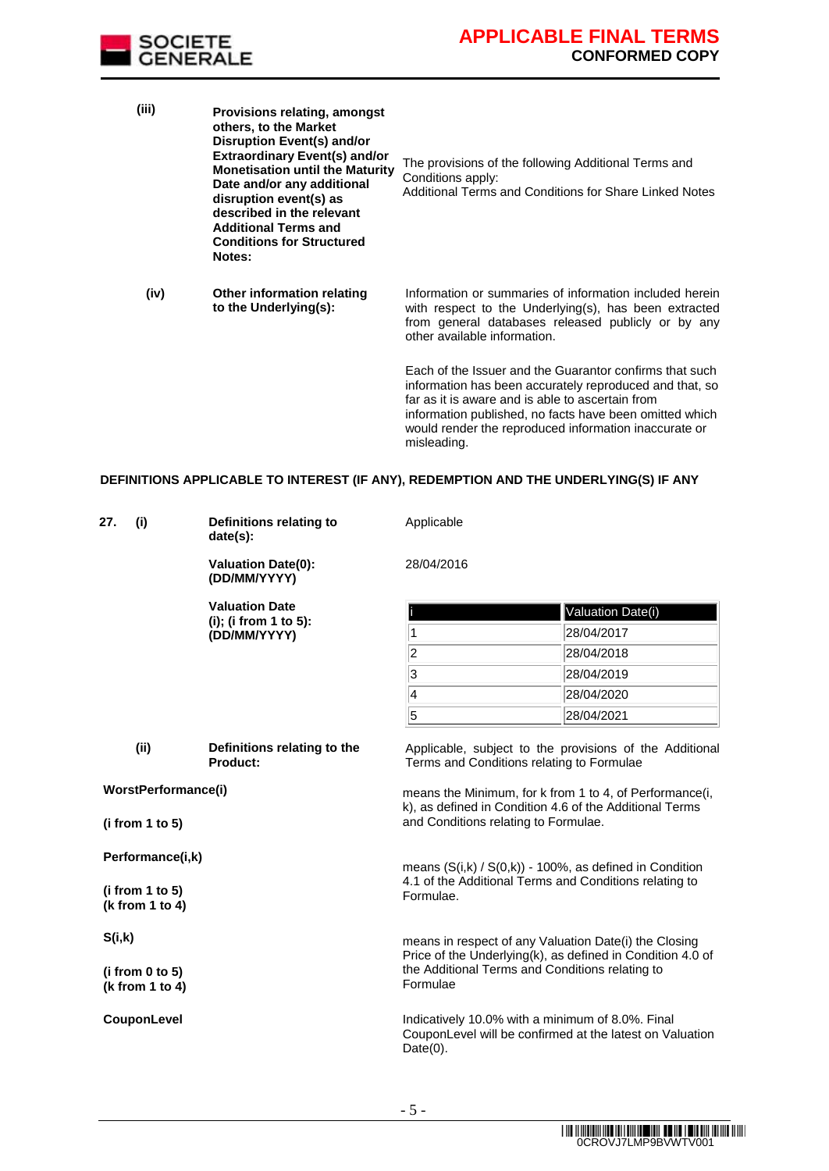

| (iii) | Provisions relating, amongst<br>others, to the Market<br>Disruption Event(s) and/or<br><b>Extraordinary Event(s) and/or</b><br><b>Monetisation until the Maturity</b><br>Date and/or any additional<br>disruption event(s) as<br>described in the relevant<br><b>Additional Terms and</b><br><b>Conditions for Structured</b><br>Notes: | The provisions of the following Additional Terms and<br>Conditions apply:<br>Additional Terms and Conditions for Share Linked Notes                                                                                                                                                                       |
|-------|-----------------------------------------------------------------------------------------------------------------------------------------------------------------------------------------------------------------------------------------------------------------------------------------------------------------------------------------|-----------------------------------------------------------------------------------------------------------------------------------------------------------------------------------------------------------------------------------------------------------------------------------------------------------|
| (iv)  | Other information relating<br>to the Underlying(s):                                                                                                                                                                                                                                                                                     | Information or summaries of information included herein<br>with respect to the Underlying(s), has been extracted<br>from general databases released publicly or by any<br>other available information.                                                                                                    |
|       |                                                                                                                                                                                                                                                                                                                                         | Each of the Issuer and the Guarantor confirms that such<br>information has been accurately reproduced and that, so<br>far as it is aware and is able to ascertain from<br>information published, no facts have been omitted which<br>would render the reproduced information inaccurate or<br>misleading. |

#### **DEFINITIONS APPLICABLE TO INTEREST (IF ANY), REDEMPTION AND THE UNDERLYING(S) IF ANY**

| 27.<br>(i)                                                                    | Definitions relating to<br>date(s):       | Applicable                                                                                                                                                                                              |                                                          |
|-------------------------------------------------------------------------------|-------------------------------------------|---------------------------------------------------------------------------------------------------------------------------------------------------------------------------------------------------------|----------------------------------------------------------|
|                                                                               | <b>Valuation Date(0):</b><br>(DD/MM/YYYY) | 28/04/2016                                                                                                                                                                                              |                                                          |
|                                                                               | <b>Valuation Date</b>                     |                                                                                                                                                                                                         | Valuation Date(i)                                        |
|                                                                               | (i); (i from 1 to 5):<br>(DD/MM/YYYY)     | 1                                                                                                                                                                                                       | 28/04/2017                                               |
|                                                                               |                                           | $\vert$ 2                                                                                                                                                                                               | 28/04/2018                                               |
|                                                                               |                                           | 3                                                                                                                                                                                                       | 28/04/2019                                               |
|                                                                               |                                           | $\vert 4$                                                                                                                                                                                               | 28/04/2020                                               |
|                                                                               |                                           | 5                                                                                                                                                                                                       | 28/04/2021                                               |
| (ii)<br>Definitions relating to the<br>Product:<br><b>WorstPerformance(i)</b> |                                           | Terms and Conditions relating to Formulae<br>means the Minimum, for k from 1 to 4, of Performance(i,<br>k), as defined in Condition 4.6 of the Additional Terms<br>and Conditions relating to Formulae. | Applicable, subject to the provisions of the Additional  |
| (i from 1 to 5)                                                               |                                           |                                                                                                                                                                                                         |                                                          |
| Performance(i,k)                                                              |                                           | means $(S(i,k) / S(0,k))$ - 100%, as defined in Condition                                                                                                                                               |                                                          |
| (i from 1 to 5)<br>(k from 1 to 4)                                            |                                           | 4.1 of the Additional Terms and Conditions relating to<br>Formulae.                                                                                                                                     |                                                          |
| S(i,k)                                                                        |                                           | means in respect of any Valuation Date(i) the Closing<br>Price of the Underlying(k), as defined in Condition 4.0 of                                                                                     |                                                          |
| (i from 0 to 5)<br>(k from 1 to 4)                                            |                                           | the Additional Terms and Conditions relating to<br>Formulae                                                                                                                                             |                                                          |
| CouponLevel                                                                   |                                           | Indicatively 10.0% with a minimum of 8.0%. Final<br>$Date(0)$ .                                                                                                                                         | CouponLevel will be confirmed at the latest on Valuation |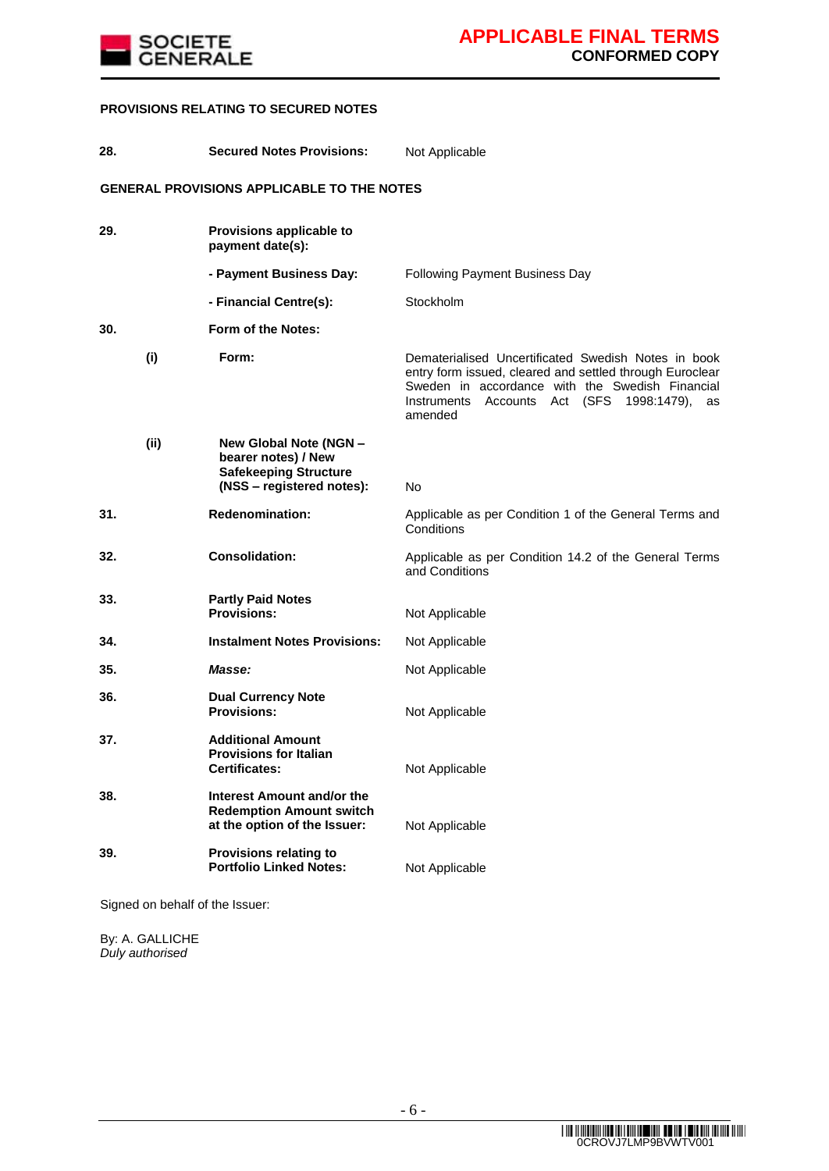

#### **PROVISIONS RELATING TO SECURED NOTES**

| 28. |      | <b>Secured Notes Provisions:</b>                                                                           | Not Applicable                                                                                                                                                                                                                            |
|-----|------|------------------------------------------------------------------------------------------------------------|-------------------------------------------------------------------------------------------------------------------------------------------------------------------------------------------------------------------------------------------|
|     |      | <b>GENERAL PROVISIONS APPLICABLE TO THE NOTES</b>                                                          |                                                                                                                                                                                                                                           |
| 29. |      | Provisions applicable to<br>payment date(s):                                                               |                                                                                                                                                                                                                                           |
|     |      | - Payment Business Day:                                                                                    | <b>Following Payment Business Day</b>                                                                                                                                                                                                     |
|     |      | - Financial Centre(s):                                                                                     | Stockholm                                                                                                                                                                                                                                 |
| 30. |      | Form of the Notes:                                                                                         |                                                                                                                                                                                                                                           |
|     | (i)  | Form:                                                                                                      | Dematerialised Uncertificated Swedish Notes in book<br>entry form issued, cleared and settled through Euroclear<br>Sweden in accordance with the Swedish Financial<br>Instruments<br>Accounts<br>Act (SFS<br>1998:1479),<br>as<br>amended |
|     | (ii) | New Global Note (NGN -<br>bearer notes) / New<br><b>Safekeeping Structure</b><br>(NSS - registered notes): | No                                                                                                                                                                                                                                        |
| 31. |      | <b>Redenomination:</b>                                                                                     | Applicable as per Condition 1 of the General Terms and<br>Conditions                                                                                                                                                                      |
| 32. |      | <b>Consolidation:</b>                                                                                      | Applicable as per Condition 14.2 of the General Terms<br>and Conditions                                                                                                                                                                   |
| 33. |      | <b>Partly Paid Notes</b><br><b>Provisions:</b>                                                             | Not Applicable                                                                                                                                                                                                                            |
| 34. |      | <b>Instalment Notes Provisions:</b>                                                                        | Not Applicable                                                                                                                                                                                                                            |
| 35. |      | Masse:                                                                                                     | Not Applicable                                                                                                                                                                                                                            |
| 36. |      | <b>Dual Currency Note</b><br><b>Provisions:</b>                                                            | Not Applicable                                                                                                                                                                                                                            |
| 37. |      | <b>Additional Amount</b><br><b>Provisions for Italian</b><br><b>Certificates:</b>                          | Not Applicable                                                                                                                                                                                                                            |
| 38. |      | Interest Amount and/or the<br><b>Redemption Amount switch</b><br>at the option of the Issuer:              | Not Applicable                                                                                                                                                                                                                            |
| 39. |      | <b>Provisions relating to</b><br><b>Portfolio Linked Notes:</b>                                            | Not Applicable                                                                                                                                                                                                                            |
|     |      |                                                                                                            |                                                                                                                                                                                                                                           |

Signed on behalf of the Issuer:

By: A. GALLICHE *Duly authorised*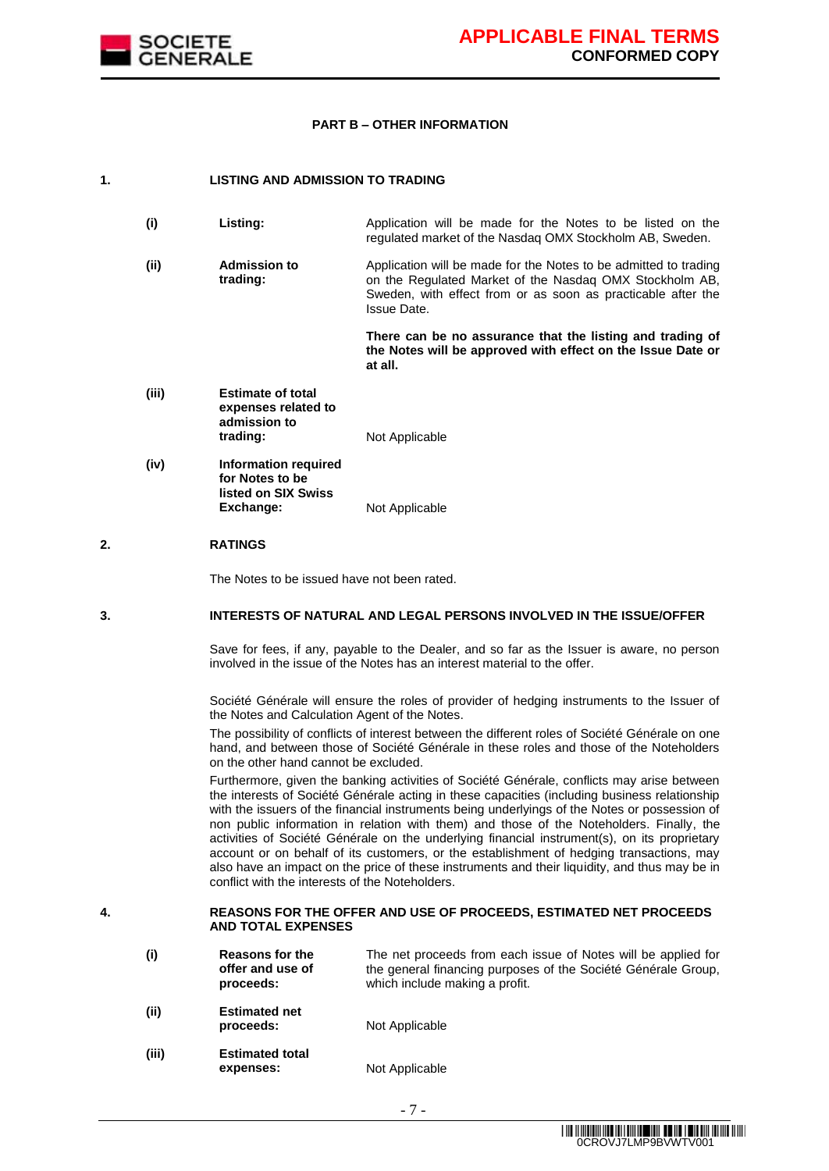

#### **PART B – OTHER INFORMATION**

#### **1. LISTING AND ADMISSION TO TRADING**

| (i)   | Listing:                                                                    | Application will be made for the Notes to be listed on the<br>regulated market of the Nasdaq OMX Stockholm AB, Sweden.                                                                                     |
|-------|-----------------------------------------------------------------------------|------------------------------------------------------------------------------------------------------------------------------------------------------------------------------------------------------------|
| (ii)  | <b>Admission to</b><br>trading:                                             | Application will be made for the Notes to be admitted to trading<br>on the Regulated Market of the Nasdag OMX Stockholm AB,<br>Sweden, with effect from or as soon as practicable after the<br>Issue Date. |
|       |                                                                             | There can be no assurance that the listing and trading of<br>the Notes will be approved with effect on the Issue Date or<br>at all.                                                                        |
| (iii) | <b>Estimate of total</b><br>expenses related to<br>admission to<br>trading: | Not Applicable                                                                                                                                                                                             |

**(iv) Information required for Notes to be listed on SIX Swiss Exchange:** Not Applicable

#### **2. RATINGS**

The Notes to be issued have not been rated.

#### **3. INTERESTS OF NATURAL AND LEGAL PERSONS INVOLVED IN THE ISSUE/OFFER**

Save for fees, if any, payable to the Dealer, and so far as the Issuer is aware, no person involved in the issue of the Notes has an interest material to the offer.

Société Générale will ensure the roles of provider of hedging instruments to the Issuer of the Notes and Calculation Agent of the Notes.

The possibility of conflicts of interest between the different roles of Société Générale on one hand, and between those of Société Générale in these roles and those of the Noteholders on the other hand cannot be excluded.

Furthermore, given the banking activities of Société Générale, conflicts may arise between the interests of Société Générale acting in these capacities (including business relationship with the issuers of the financial instruments being underlyings of the Notes or possession of non public information in relation with them) and those of the Noteholders. Finally, the activities of Société Générale on the underlying financial instrument(s), on its proprietary account or on behalf of its customers, or the establishment of hedging transactions, may also have an impact on the price of these instruments and their liquidity, and thus may be in conflict with the interests of the Noteholders.

#### **4. REASONS FOR THE OFFER AND USE OF PROCEEDS, ESTIMATED NET PROCEEDS AND TOTAL EXPENSES**

| (i)      | <b>Reasons for the</b><br>offer and use of<br>proceeds: | The net proceeds from each issue of Notes will be applied for<br>the general financing purposes of the Société Générale Group,<br>which include making a profit. |
|----------|---------------------------------------------------------|------------------------------------------------------------------------------------------------------------------------------------------------------------------|
| (ii)     | <b>Estimated net</b><br>proceeds:                       | Not Applicable                                                                                                                                                   |
| $\cdots$ |                                                         |                                                                                                                                                                  |

**(iii) Estimated total expenses:** Not Applicable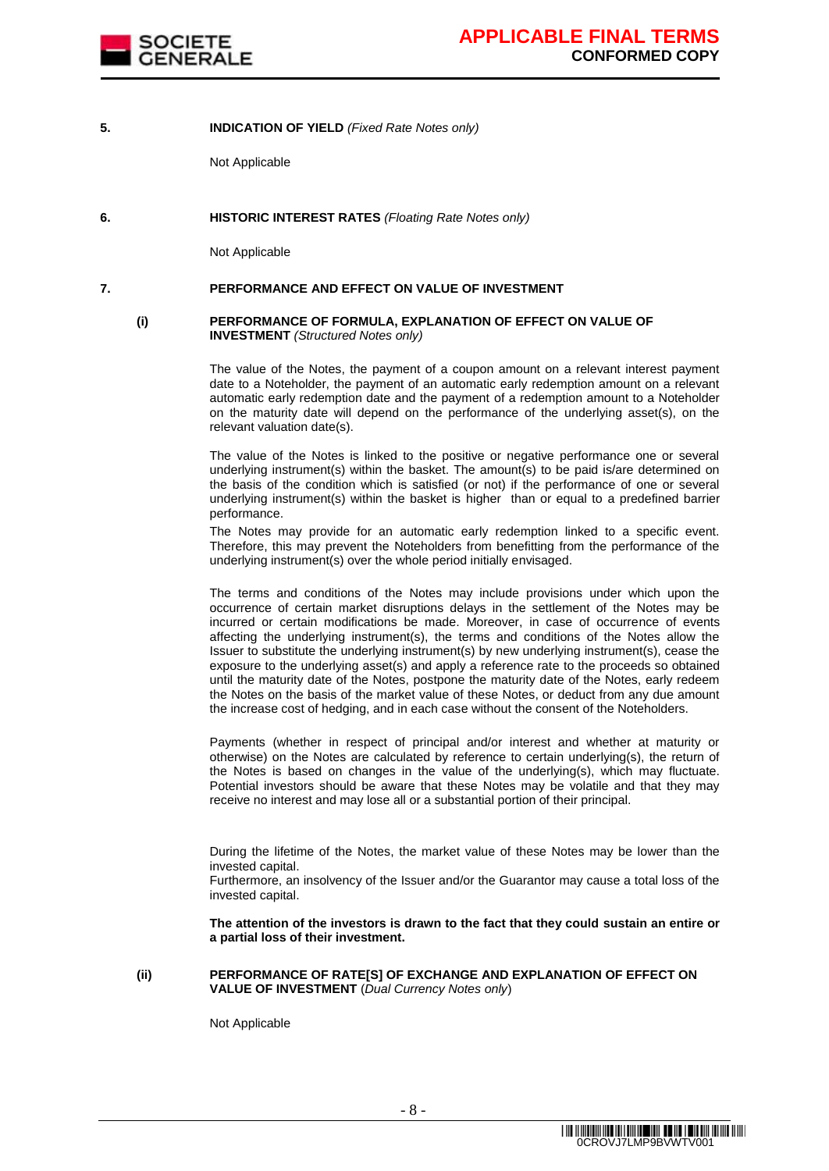

#### **5. INDICATION OF YIELD** *(Fixed Rate Notes only)*

Not Applicable

#### **6. HISTORIC INTEREST RATES** *(Floating Rate Notes only)*

Not Applicable

#### **7. PERFORMANCE AND EFFECT ON VALUE OF INVESTMENT**

#### **(i) PERFORMANCE OF FORMULA, EXPLANATION OF EFFECT ON VALUE OF INVESTMENT** *(Structured Notes only)*

The value of the Notes, the payment of a coupon amount on a relevant interest payment date to a Noteholder, the payment of an automatic early redemption amount on a relevant automatic early redemption date and the payment of a redemption amount to a Noteholder on the maturity date will depend on the performance of the underlying asset(s), on the relevant valuation date(s).

The value of the Notes is linked to the positive or negative performance one or several underlying instrument(s) within the basket. The amount(s) to be paid is/are determined on the basis of the condition which is satisfied (or not) if the performance of one or several underlying instrument(s) within the basket is higher than or equal to a predefined barrier performance.

The Notes may provide for an automatic early redemption linked to a specific event. Therefore, this may prevent the Noteholders from benefitting from the performance of the underlying instrument(s) over the whole period initially envisaged.

The terms and conditions of the Notes may include provisions under which upon the occurrence of certain market disruptions delays in the settlement of the Notes may be incurred or certain modifications be made. Moreover, in case of occurrence of events affecting the underlying instrument(s), the terms and conditions of the Notes allow the Issuer to substitute the underlying instrument(s) by new underlying instrument(s), cease the exposure to the underlying asset(s) and apply a reference rate to the proceeds so obtained until the maturity date of the Notes, postpone the maturity date of the Notes, early redeem the Notes on the basis of the market value of these Notes, or deduct from any due amount the increase cost of hedging, and in each case without the consent of the Noteholders.

Payments (whether in respect of principal and/or interest and whether at maturity or otherwise) on the Notes are calculated by reference to certain underlying(s), the return of the Notes is based on changes in the value of the underlying(s), which may fluctuate. Potential investors should be aware that these Notes may be volatile and that they may receive no interest and may lose all or a substantial portion of their principal.

During the lifetime of the Notes, the market value of these Notes may be lower than the invested capital.

Furthermore, an insolvency of the Issuer and/or the Guarantor may cause a total loss of the invested capital.

**The attention of the investors is drawn to the fact that they could sustain an entire or a partial loss of their investment.**

#### **(ii) PERFORMANCE OF RATE[S] OF EXCHANGE AND EXPLANATION OF EFFECT ON VALUE OF INVESTMENT** (*Dual Currency Notes only*)

Not Applicable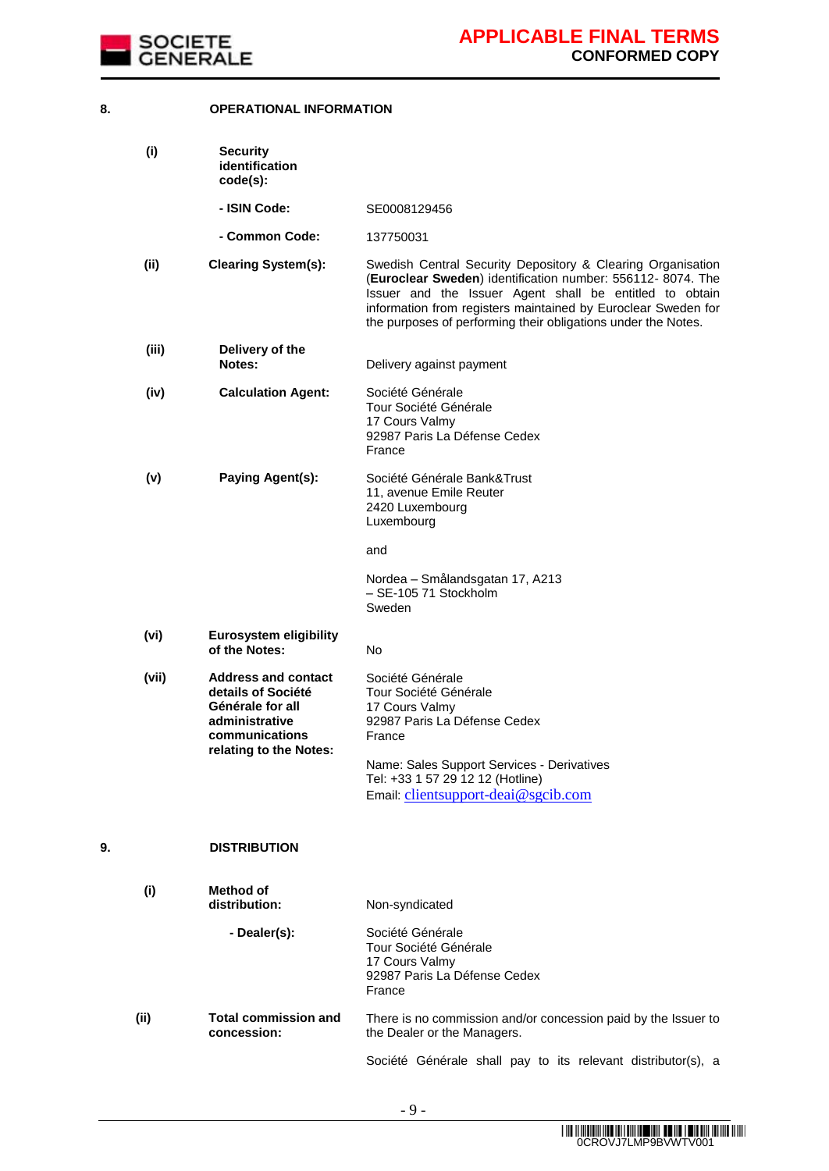

#### **8. OPERATIONAL INFORMATION**

|      | (i)   | <b>Security</b><br>identification<br>$code(s)$ :                                                                                   |                                                                                                                                                                                                                                                                                                                        |
|------|-------|------------------------------------------------------------------------------------------------------------------------------------|------------------------------------------------------------------------------------------------------------------------------------------------------------------------------------------------------------------------------------------------------------------------------------------------------------------------|
|      |       | - ISIN Code:                                                                                                                       | SE0008129456                                                                                                                                                                                                                                                                                                           |
|      |       | - Common Code:                                                                                                                     | 137750031                                                                                                                                                                                                                                                                                                              |
|      | (ii)  | <b>Clearing System(s):</b>                                                                                                         | Swedish Central Security Depository & Clearing Organisation<br>(Euroclear Sweden) identification number: 556112-8074. The<br>Issuer and the Issuer Agent shall be entitled to obtain<br>information from registers maintained by Euroclear Sweden for<br>the purposes of performing their obligations under the Notes. |
|      | (iii) | Delivery of the<br>Notes:                                                                                                          | Delivery against payment                                                                                                                                                                                                                                                                                               |
|      | (iv)  | <b>Calculation Agent:</b>                                                                                                          | Société Générale<br>Tour Société Générale<br>17 Cours Valmy<br>92987 Paris La Défense Cedex<br>France                                                                                                                                                                                                                  |
|      | (v)   | Paying Agent(s):                                                                                                                   | Société Générale Bank&Trust<br>11, avenue Emile Reuter<br>2420 Luxembourg<br>Luxembourg                                                                                                                                                                                                                                |
|      |       |                                                                                                                                    | and                                                                                                                                                                                                                                                                                                                    |
|      |       |                                                                                                                                    | Nordea - Smålandsgatan 17, A213<br>- SE-105 71 Stockholm<br>Sweden                                                                                                                                                                                                                                                     |
|      | (vi)  | <b>Eurosystem eligibility</b><br>of the Notes:                                                                                     | No.                                                                                                                                                                                                                                                                                                                    |
|      | (vii) | <b>Address and contact</b><br>details of Société<br>Générale for all<br>administrative<br>communications<br>relating to the Notes: | Société Générale<br>Tour Société Générale<br>17 Cours Valmy<br>92987 Paris La Défense Cedex<br>France<br>Name: Sales Support Services - Derivatives<br>Tel: +33 1 57 29 12 12 (Hotline)<br>Email: clientsupport-deai@sgcib.com                                                                                         |
| 9.   |       | <b>DISTRIBUTION</b>                                                                                                                |                                                                                                                                                                                                                                                                                                                        |
|      | (i)   | Method of<br>distribution:                                                                                                         | Non-syndicated                                                                                                                                                                                                                                                                                                         |
|      |       | - Dealer(s):                                                                                                                       | Société Générale<br>Tour Société Générale<br>17 Cours Valmy<br>92987 Paris La Défense Cedex<br>France                                                                                                                                                                                                                  |
| (ii) |       | <b>Total commission and</b><br>concession:                                                                                         | There is no commission and/or concession paid by the Issuer to<br>the Dealer or the Managers.                                                                                                                                                                                                                          |
|      |       |                                                                                                                                    | Société Générale shall pay to its relevant distributor(s), a                                                                                                                                                                                                                                                           |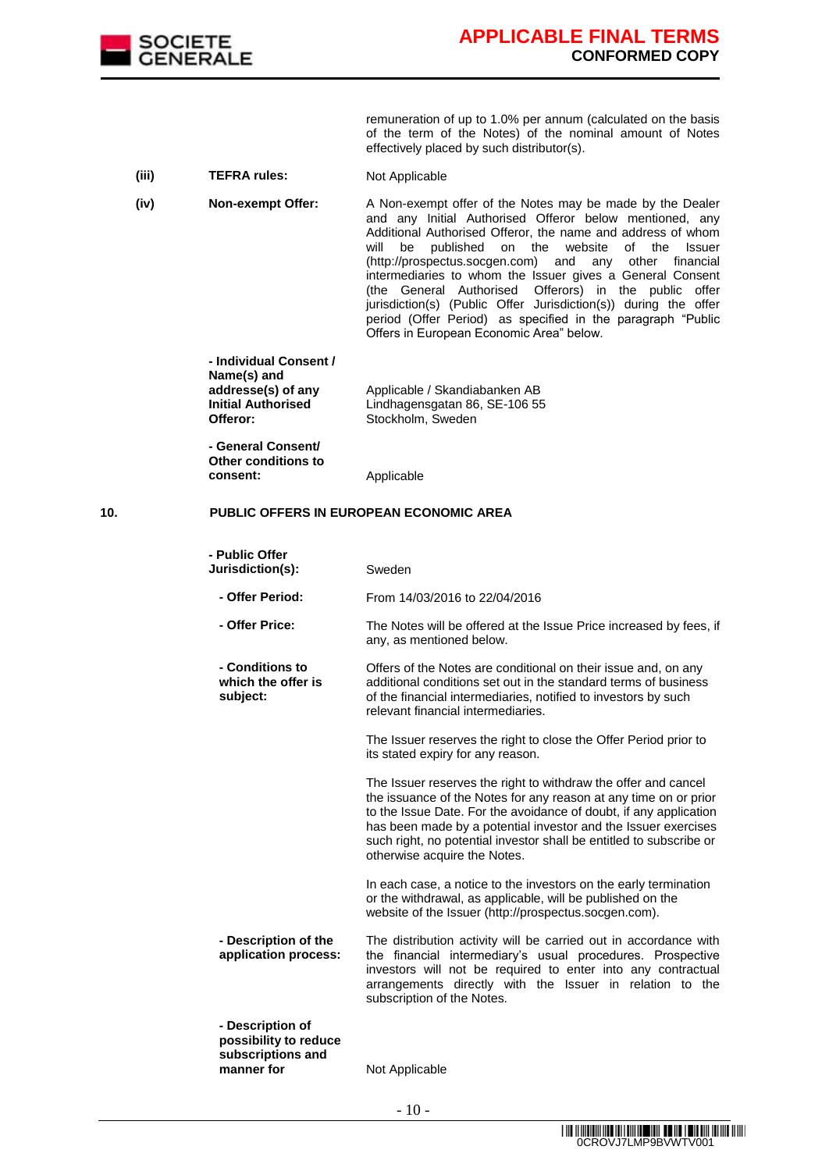

remuneration of up to 1.0% per annum (calculated on the basis of the term of the Notes) of the nominal amount of Notes effectively placed by such distributor(s).

- (iii) TEFRA rules: Not Applicable
- **(iv) Non-exempt Offer:** A Non-exempt offer of the Notes may be made by the Dealer and any Initial Authorised Offeror below mentioned, any Additional Authorised Offeror, the name and address of whom will be published on the website of the Issuer (http://prospectus.socgen.com) and any other financial intermediaries to whom the Issuer gives a General Consent (the General Authorised Offerors) in the public offer jurisdiction(s) (Public Offer Jurisdiction(s)) during the offer period (Offer Period) as specified in the paragraph "Public Offers in European Economic Area" below.

**- Individual Consent / Name(s) and addresse(s) of any Initial Authorised Offeror:** Applicable / Skandiabanken AB Lindhagensgatan 86, SE-106 55 Stockholm, Sweden

**- General Consent/ Other conditions to consent:** Applicable

### **10. PUBLIC OFFERS IN EUROPEAN ECONOMIC AREA**

| - Public Offer<br>Jurisdiction(s):                                           | Sweden                                                                                                                                                                                                                                                                                                                                                                           |
|------------------------------------------------------------------------------|----------------------------------------------------------------------------------------------------------------------------------------------------------------------------------------------------------------------------------------------------------------------------------------------------------------------------------------------------------------------------------|
| - Offer Period:                                                              | From 14/03/2016 to 22/04/2016                                                                                                                                                                                                                                                                                                                                                    |
| - Offer Price:                                                               | The Notes will be offered at the Issue Price increased by fees, if<br>any, as mentioned below.                                                                                                                                                                                                                                                                                   |
| - Conditions to<br>which the offer is<br>subject:                            | Offers of the Notes are conditional on their issue and, on any<br>additional conditions set out in the standard terms of business<br>of the financial intermediaries, notified to investors by such<br>relevant financial intermediaries.                                                                                                                                        |
|                                                                              | The Issuer reserves the right to close the Offer Period prior to<br>its stated expiry for any reason.                                                                                                                                                                                                                                                                            |
|                                                                              | The Issuer reserves the right to withdraw the offer and cancel<br>the issuance of the Notes for any reason at any time on or prior<br>to the Issue Date. For the avoidance of doubt, if any application<br>has been made by a potential investor and the Issuer exercises<br>such right, no potential investor shall be entitled to subscribe or<br>otherwise acquire the Notes. |
|                                                                              | In each case, a notice to the investors on the early termination<br>or the withdrawal, as applicable, will be published on the<br>website of the Issuer (http://prospectus.socgen.com).                                                                                                                                                                                          |
| - Description of the<br>application process:                                 | The distribution activity will be carried out in accordance with<br>the financial intermediary's usual procedures. Prospective<br>investors will not be required to enter into any contractual<br>arrangements directly with the Issuer in relation to the<br>subscription of the Notes.                                                                                         |
| - Description of<br>possibility to reduce<br>subscriptions and<br>manner for | Not Applicable                                                                                                                                                                                                                                                                                                                                                                   |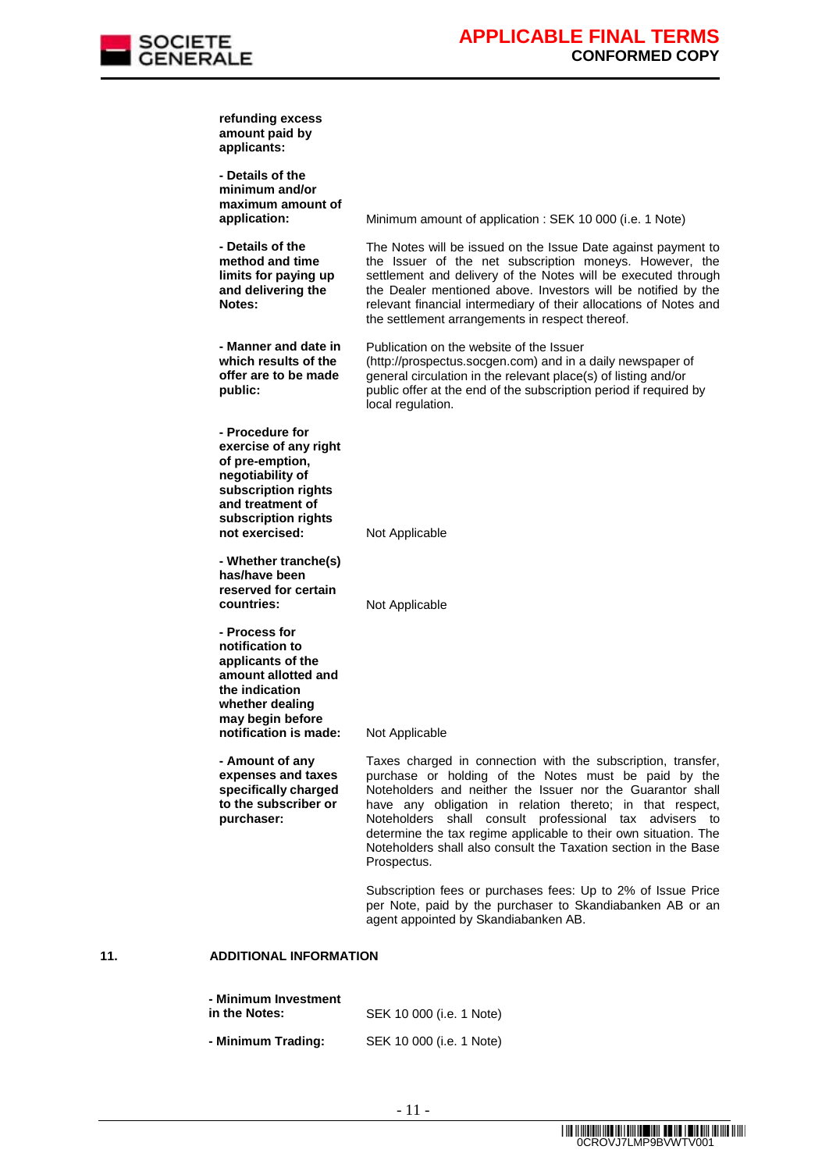

|     | refunding excess<br>amount paid by<br>applicants:                                                                                                                   |                                                                                                                                                                                                                                                                                                                                                                                                                                                                |
|-----|---------------------------------------------------------------------------------------------------------------------------------------------------------------------|----------------------------------------------------------------------------------------------------------------------------------------------------------------------------------------------------------------------------------------------------------------------------------------------------------------------------------------------------------------------------------------------------------------------------------------------------------------|
|     | - Details of the<br>minimum and/or<br>maximum amount of<br>application:                                                                                             | Minimum amount of application : SEK 10 000 (i.e. 1 Note)                                                                                                                                                                                                                                                                                                                                                                                                       |
|     | - Details of the<br>method and time<br>limits for paying up<br>and delivering the<br>Notes:                                                                         | The Notes will be issued on the Issue Date against payment to<br>the Issuer of the net subscription moneys. However, the<br>settlement and delivery of the Notes will be executed through<br>the Dealer mentioned above. Investors will be notified by the<br>relevant financial intermediary of their allocations of Notes and<br>the settlement arrangements in respect thereof.                                                                             |
|     | - Manner and date in<br>which results of the<br>offer are to be made<br>public:                                                                                     | Publication on the website of the Issuer<br>(http://prospectus.socgen.com) and in a daily newspaper of<br>general circulation in the relevant place(s) of listing and/or<br>public offer at the end of the subscription period if required by<br>local regulation.                                                                                                                                                                                             |
|     | - Procedure for<br>exercise of any right<br>of pre-emption,<br>negotiability of<br>subscription rights<br>and treatment of<br>subscription rights<br>not exercised: | Not Applicable                                                                                                                                                                                                                                                                                                                                                                                                                                                 |
|     | - Whether tranche(s)<br>has/have been<br>reserved for certain<br>countries:                                                                                         | Not Applicable                                                                                                                                                                                                                                                                                                                                                                                                                                                 |
|     | - Process for<br>notification to<br>applicants of the<br>amount allotted and<br>the indication<br>whether dealing<br>may begin before<br>notification is made:      | Not Applicable                                                                                                                                                                                                                                                                                                                                                                                                                                                 |
|     | - Amount of any<br>expenses and taxes<br>specifically charged<br>to the subscriber or<br>purchaser:                                                                 | Taxes charged in connection with the subscription, transfer,<br>purchase or holding of the Notes must be paid by the<br>Noteholders and neither the Issuer nor the Guarantor shall<br>have any obligation in relation thereto; in that respect,<br>Noteholders shall consult professional tax advisers to<br>determine the tax regime applicable to their own situation. The<br>Noteholders shall also consult the Taxation section in the Base<br>Prospectus. |
|     |                                                                                                                                                                     | Subscription fees or purchases fees: Up to 2% of Issue Price<br>per Note, paid by the purchaser to Skandiabanken AB or an<br>agent appointed by Skandiabanken AB.                                                                                                                                                                                                                                                                                              |
| 11. | <b>ADDITIONAL INFORMATION</b>                                                                                                                                       |                                                                                                                                                                                                                                                                                                                                                                                                                                                                |
|     |                                                                                                                                                                     |                                                                                                                                                                                                                                                                                                                                                                                                                                                                |

**- Minimum Investment SEK 10 000 (i.e. 1 Note) - Minimum Trading:** SEK 10 000 (i.e. 1 Note)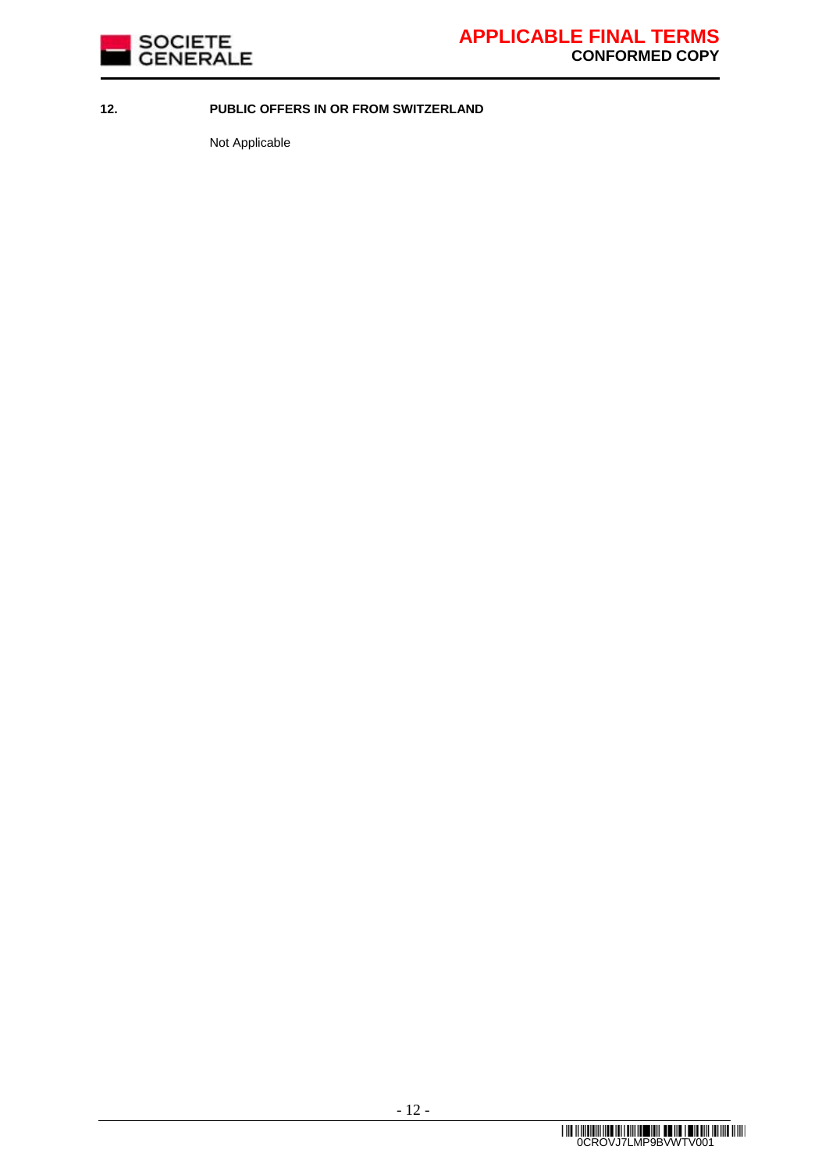

### **12. PUBLIC OFFERS IN OR FROM SWITZERLAND**

Not Applicable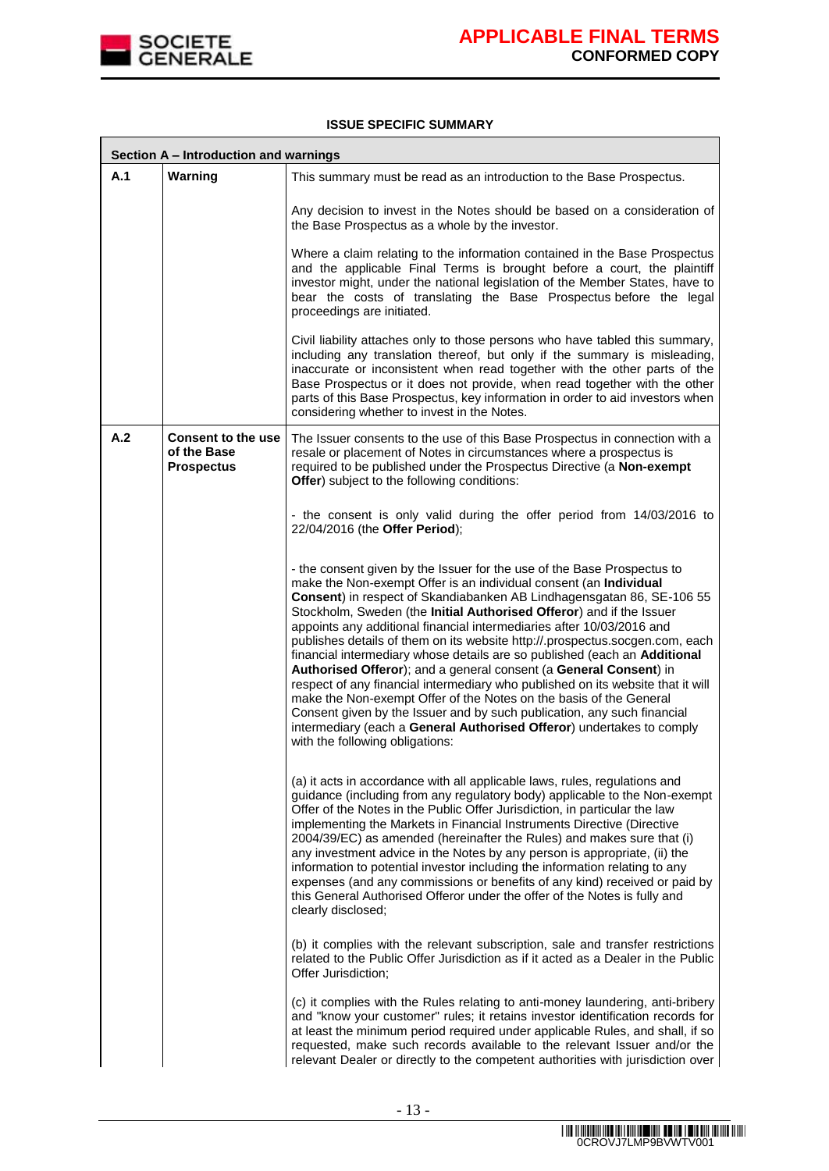

#### **ISSUE SPECIFIC SUMMARY**

|     | Section A - Introduction and warnings                  |                                                                                                                                                                                                                                                                                                                                                                                                                                                                                                                                                                                                                                                                                                                                                                                                                                                                                                                                                          |  |  |
|-----|--------------------------------------------------------|----------------------------------------------------------------------------------------------------------------------------------------------------------------------------------------------------------------------------------------------------------------------------------------------------------------------------------------------------------------------------------------------------------------------------------------------------------------------------------------------------------------------------------------------------------------------------------------------------------------------------------------------------------------------------------------------------------------------------------------------------------------------------------------------------------------------------------------------------------------------------------------------------------------------------------------------------------|--|--|
| A.1 | Warning                                                | This summary must be read as an introduction to the Base Prospectus.                                                                                                                                                                                                                                                                                                                                                                                                                                                                                                                                                                                                                                                                                                                                                                                                                                                                                     |  |  |
|     |                                                        | Any decision to invest in the Notes should be based on a consideration of<br>the Base Prospectus as a whole by the investor.                                                                                                                                                                                                                                                                                                                                                                                                                                                                                                                                                                                                                                                                                                                                                                                                                             |  |  |
|     |                                                        | Where a claim relating to the information contained in the Base Prospectus<br>and the applicable Final Terms is brought before a court, the plaintiff<br>investor might, under the national legislation of the Member States, have to<br>bear the costs of translating the Base Prospectus before the legal<br>proceedings are initiated.                                                                                                                                                                                                                                                                                                                                                                                                                                                                                                                                                                                                                |  |  |
|     |                                                        | Civil liability attaches only to those persons who have tabled this summary,<br>including any translation thereof, but only if the summary is misleading,<br>inaccurate or inconsistent when read together with the other parts of the<br>Base Prospectus or it does not provide, when read together with the other<br>parts of this Base Prospectus, key information in order to aid investors when<br>considering whether to invest in the Notes.                                                                                                                                                                                                                                                                                                                                                                                                                                                                                                      |  |  |
| A.2 | Consent to the use<br>of the Base<br><b>Prospectus</b> | The Issuer consents to the use of this Base Prospectus in connection with a<br>resale or placement of Notes in circumstances where a prospectus is<br>required to be published under the Prospectus Directive (a Non-exempt<br>Offer) subject to the following conditions:                                                                                                                                                                                                                                                                                                                                                                                                                                                                                                                                                                                                                                                                               |  |  |
|     |                                                        | - the consent is only valid during the offer period from 14/03/2016 to<br>22/04/2016 (the Offer Period);                                                                                                                                                                                                                                                                                                                                                                                                                                                                                                                                                                                                                                                                                                                                                                                                                                                 |  |  |
|     |                                                        | - the consent given by the Issuer for the use of the Base Prospectus to<br>make the Non-exempt Offer is an individual consent (an Individual<br>Consent) in respect of Skandiabanken AB Lindhagensgatan 86, SE-106 55<br>Stockholm, Sweden (the Initial Authorised Offeror) and if the Issuer<br>appoints any additional financial intermediaries after 10/03/2016 and<br>publishes details of them on its website http://.prospectus.socgen.com, each<br>financial intermediary whose details are so published (each an Additional<br>Authorised Offeror); and a general consent (a General Consent) in<br>respect of any financial intermediary who published on its website that it will<br>make the Non-exempt Offer of the Notes on the basis of the General<br>Consent given by the Issuer and by such publication, any such financial<br>intermediary (each a General Authorised Offeror) undertakes to comply<br>with the following obligations: |  |  |
|     |                                                        | (a) it acts in accordance with all applicable laws, rules, regulations and<br>guidance (including from any regulatory body) applicable to the Non-exempt<br>Offer of the Notes in the Public Offer Jurisdiction, in particular the law<br>implementing the Markets in Financial Instruments Directive (Directive<br>2004/39/EC) as amended (hereinafter the Rules) and makes sure that (i)<br>any investment advice in the Notes by any person is appropriate, (ii) the<br>information to potential investor including the information relating to any<br>expenses (and any commissions or benefits of any kind) received or paid by<br>this General Authorised Offeror under the offer of the Notes is fully and<br>clearly disclosed;                                                                                                                                                                                                                  |  |  |
|     |                                                        | (b) it complies with the relevant subscription, sale and transfer restrictions<br>related to the Public Offer Jurisdiction as if it acted as a Dealer in the Public<br>Offer Jurisdiction;                                                                                                                                                                                                                                                                                                                                                                                                                                                                                                                                                                                                                                                                                                                                                               |  |  |
|     |                                                        | (c) it complies with the Rules relating to anti-money laundering, anti-bribery<br>and "know your customer" rules; it retains investor identification records for<br>at least the minimum period required under applicable Rules, and shall, if so<br>requested, make such records available to the relevant Issuer and/or the<br>relevant Dealer or directly to the competent authorities with jurisdiction over                                                                                                                                                                                                                                                                                                                                                                                                                                                                                                                                         |  |  |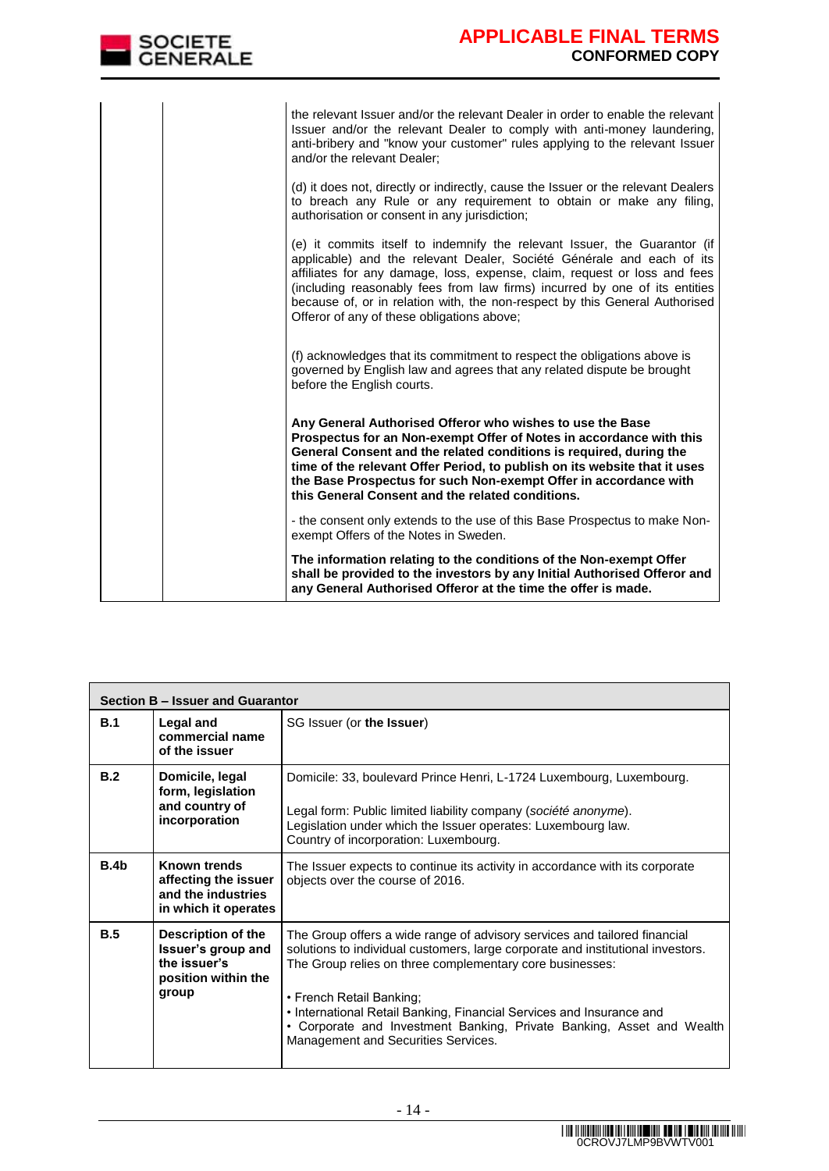| SOCIETE<br>CENERALE | APPLICABLE FINAL TERMS<br><b>CONFORMED COPY</b>                                                                                                                                                                                                                                                                                                                                                                                            |
|---------------------|--------------------------------------------------------------------------------------------------------------------------------------------------------------------------------------------------------------------------------------------------------------------------------------------------------------------------------------------------------------------------------------------------------------------------------------------|
|                     | the relevant Issuer and/or the relevant Dealer in order to enable the relevant<br>Issuer and/or the relevant Dealer to comply with anti-money laundering,<br>anti-bribery and "know your customer" rules applying to the relevant Issuer<br>and/or the relevant Dealer;                                                                                                                                                                    |
|                     | (d) it does not, directly or indirectly, cause the Issuer or the relevant Dealers<br>to breach any Rule or any requirement to obtain or make any filing,<br>authorisation or consent in any jurisdiction;                                                                                                                                                                                                                                  |
|                     | (e) it commits itself to indemnify the relevant Issuer, the Guarantor (if<br>applicable) and the relevant Dealer, Société Générale and each of its<br>affiliates for any damage, loss, expense, claim, request or loss and fees<br>(including reasonably fees from law firms) incurred by one of its entities<br>because of, or in relation with, the non-respect by this General Authorised<br>Offeror of any of these obligations above; |
|                     | (f) acknowledges that its commitment to respect the obligations above is<br>governed by English law and agrees that any related dispute be brought<br>before the English courts.                                                                                                                                                                                                                                                           |
|                     | Any General Authorised Offeror who wishes to use the Base<br>Prospectus for an Non-exempt Offer of Notes in accordance with this<br>General Consent and the related conditions is required, during the<br>time of the relevant Offer Period, to publish on its website that it uses<br>the Base Prospectus for such Non-exempt Offer in accordance with<br>this General Consent and the related conditions.                                |
|                     | - the consent only extends to the use of this Base Prospectus to make Non-<br>exempt Offers of the Notes in Sweden.                                                                                                                                                                                                                                                                                                                        |
|                     | The information relating to the conditions of the Non-exempt Offer<br>shall be provided to the investors by any Initial Authorised Offeror and<br>any General Authorised Offeror at the time the offer is made.                                                                                                                                                                                                                            |

|      | Section B - Issuer and Guarantor                                                         |                                                                                                                                                                                                                                                                                                                                                                                                                                              |  |  |  |
|------|------------------------------------------------------------------------------------------|----------------------------------------------------------------------------------------------------------------------------------------------------------------------------------------------------------------------------------------------------------------------------------------------------------------------------------------------------------------------------------------------------------------------------------------------|--|--|--|
| B.1  | Legal and<br>commercial name<br>of the issuer                                            | SG Issuer (or the Issuer)                                                                                                                                                                                                                                                                                                                                                                                                                    |  |  |  |
| B.2  | Domicile, legal<br>form, legislation<br>and country of<br>incorporation                  | Domicile: 33, boulevard Prince Henri, L-1724 Luxembourg, Luxembourg.<br>Legal form: Public limited liability company (société anonyme).<br>Legislation under which the Issuer operates: Luxembourg law.<br>Country of incorporation: Luxembourg.                                                                                                                                                                                             |  |  |  |
| B.4b | Known trends<br>affecting the issuer<br>and the industries<br>in which it operates       | The Issuer expects to continue its activity in accordance with its corporate<br>objects over the course of 2016.                                                                                                                                                                                                                                                                                                                             |  |  |  |
| B.5  | Description of the<br>Issuer's group and<br>the issuer's<br>position within the<br>group | The Group offers a wide range of advisory services and tailored financial<br>solutions to individual customers, large corporate and institutional investors.<br>The Group relies on three complementary core businesses:<br>• French Retail Banking;<br>• International Retail Banking, Financial Services and Insurance and<br>• Corporate and Investment Banking, Private Banking, Asset and Wealth<br>Management and Securities Services. |  |  |  |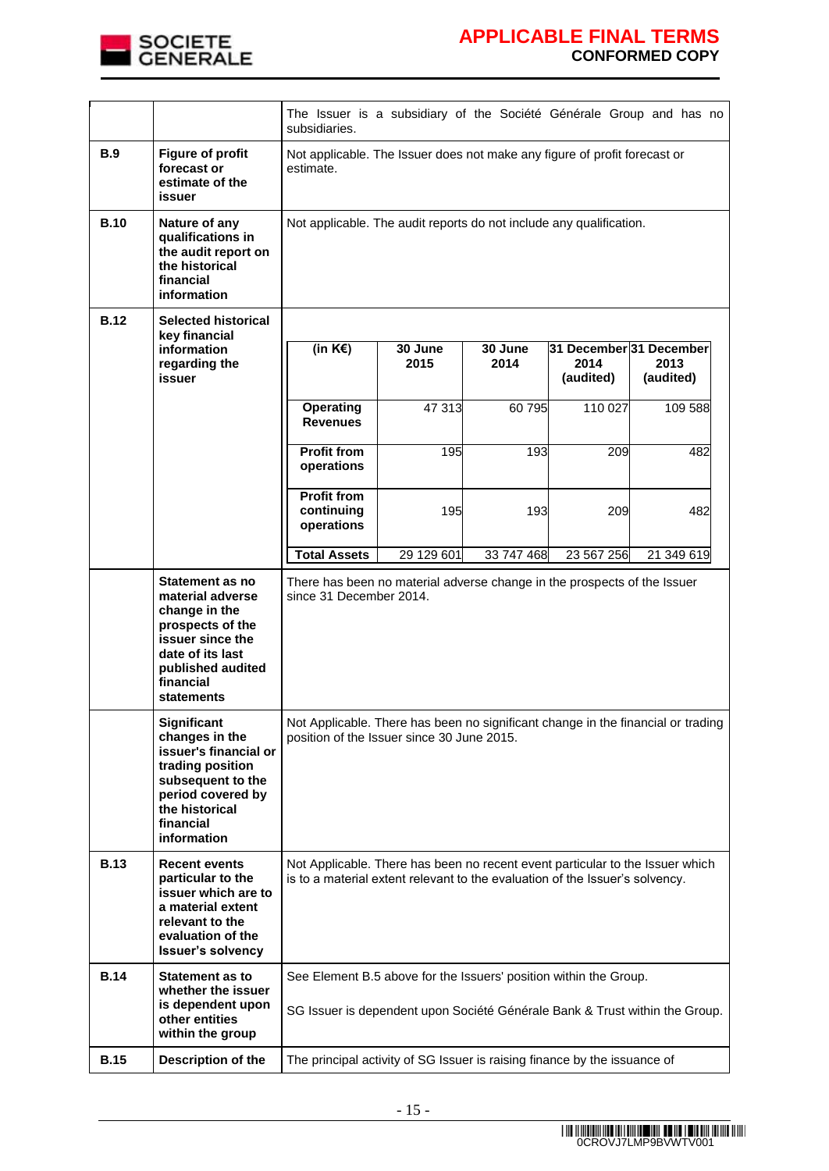

|             |                                                                                                                                                                         | The Issuer is a subsidiary of the Société Générale Group and has no<br>subsidiaries.                                                                          |                 |                 |                                              |                   |
|-------------|-------------------------------------------------------------------------------------------------------------------------------------------------------------------------|---------------------------------------------------------------------------------------------------------------------------------------------------------------|-----------------|-----------------|----------------------------------------------|-------------------|
| <b>B.9</b>  | <b>Figure of profit</b><br>forecast or<br>estimate of the<br>issuer                                                                                                     | Not applicable. The Issuer does not make any figure of profit forecast or<br>estimate.                                                                        |                 |                 |                                              |                   |
| <b>B.10</b> | Nature of any<br>qualifications in<br>the audit report on<br>the historical<br>financial<br>information                                                                 | Not applicable. The audit reports do not include any qualification.                                                                                           |                 |                 |                                              |                   |
| <b>B.12</b> | <b>Selected historical</b>                                                                                                                                              |                                                                                                                                                               |                 |                 |                                              |                   |
|             | key financial                                                                                                                                                           |                                                                                                                                                               |                 |                 |                                              |                   |
|             | information<br>regarding the<br>issuer                                                                                                                                  | (in $K \in \mathcal{E}$ )                                                                                                                                     | 30 June<br>2015 | 30 June<br>2014 | 31 December 31 December<br>2014<br>(audited) | 2013<br>(audited) |
|             |                                                                                                                                                                         | <b>Operating</b><br><b>Revenues</b>                                                                                                                           | 47 313          | 60 795          | 110 027                                      | 109 588           |
|             |                                                                                                                                                                         | <b>Profit from</b><br>operations                                                                                                                              | 195             | 193             | 209                                          | 482               |
|             |                                                                                                                                                                         | <b>Profit from</b><br>continuing<br>operations                                                                                                                | 195             | 193             | 209                                          | 482               |
|             |                                                                                                                                                                         | <b>Total Assets</b>                                                                                                                                           | 29 129 601      | 33 747 468      | 23 567 256                                   | 21 349 619        |
|             | Statement as no<br>material adverse<br>change in the<br>prospects of the<br>issuer since the<br>date of its last<br>published audited<br>financial<br><b>statements</b> | There has been no material adverse change in the prospects of the Issuer<br>since 31 December 2014.                                                           |                 |                 |                                              |                   |
|             | Significant<br>changes in the<br>issuer's financial or<br>trading position<br>subsequent to the<br>period covered by<br>the historical<br>financial<br>information      | Not Applicable. There has been no significant change in the financial or trading<br>position of the Issuer since 30 June 2015.                                |                 |                 |                                              |                   |
| <b>B.13</b> | <b>Recent events</b><br>particular to the<br>issuer which are to<br>a material extent<br>relevant to the<br>evaluation of the<br><b>Issuer's solvency</b>               | Not Applicable. There has been no recent event particular to the Issuer which<br>is to a material extent relevant to the evaluation of the Issuer's solvency. |                 |                 |                                              |                   |
| <b>B.14</b> | <b>Statement as to</b><br>whether the issuer<br>is dependent upon<br>other entities<br>within the group                                                                 | See Element B.5 above for the Issuers' position within the Group.<br>SG Issuer is dependent upon Société Générale Bank & Trust within the Group.              |                 |                 |                                              |                   |
| <b>B.15</b> | Description of the                                                                                                                                                      | The principal activity of SG Issuer is raising finance by the issuance of                                                                                     |                 |                 |                                              |                   |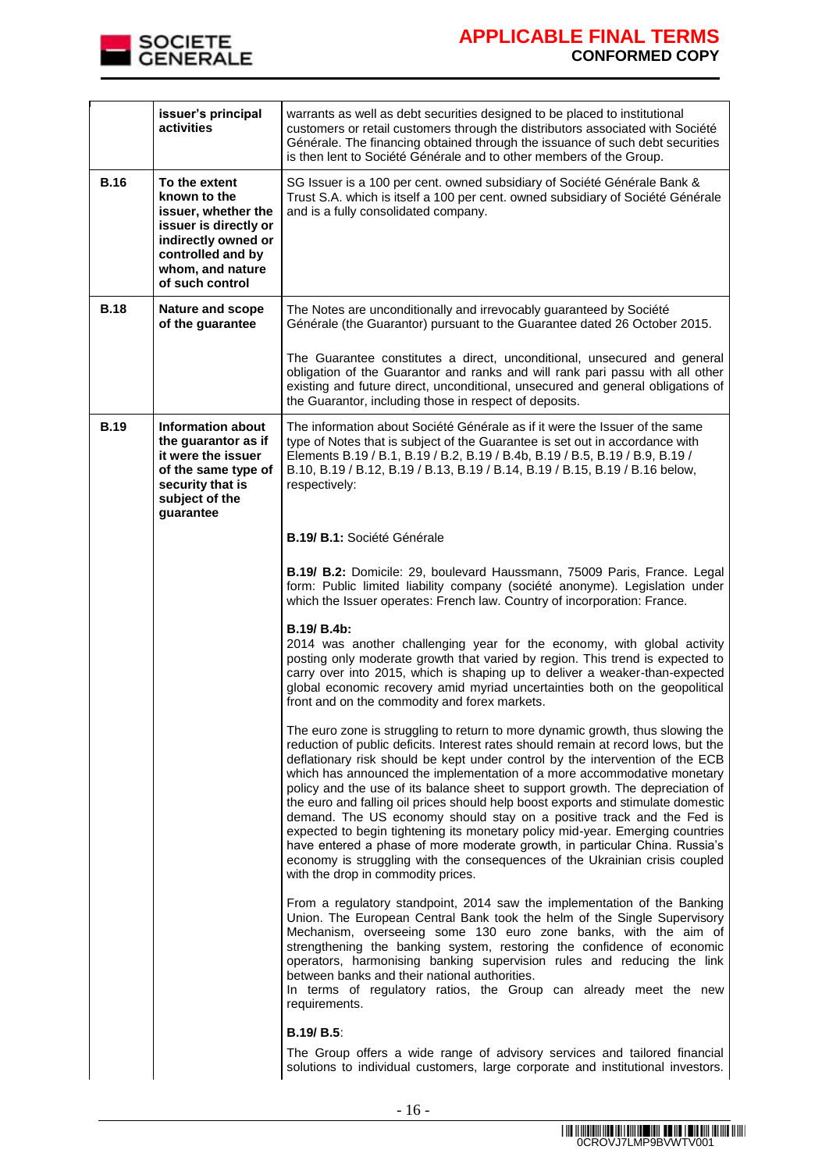

|             | issuer's principal<br>activities                                                                                                                                 | warrants as well as debt securities designed to be placed to institutional<br>customers or retail customers through the distributors associated with Société<br>Générale. The financing obtained through the issuance of such debt securities<br>is then lent to Société Générale and to other members of the Group.                                                                                                                                                                                                                                                                                                                                                                                                                                                                                                                                                 |  |
|-------------|------------------------------------------------------------------------------------------------------------------------------------------------------------------|----------------------------------------------------------------------------------------------------------------------------------------------------------------------------------------------------------------------------------------------------------------------------------------------------------------------------------------------------------------------------------------------------------------------------------------------------------------------------------------------------------------------------------------------------------------------------------------------------------------------------------------------------------------------------------------------------------------------------------------------------------------------------------------------------------------------------------------------------------------------|--|
| <b>B.16</b> | To the extent<br>known to the<br>issuer, whether the<br>issuer is directly or<br>indirectly owned or<br>controlled and by<br>whom, and nature<br>of such control | SG Issuer is a 100 per cent. owned subsidiary of Société Générale Bank &<br>Trust S.A. which is itself a 100 per cent. owned subsidiary of Société Générale<br>and is a fully consolidated company.                                                                                                                                                                                                                                                                                                                                                                                                                                                                                                                                                                                                                                                                  |  |
| <b>B.18</b> | <b>Nature and scope</b><br>of the guarantee                                                                                                                      | The Notes are unconditionally and irrevocably guaranteed by Société<br>Générale (the Guarantor) pursuant to the Guarantee dated 26 October 2015.                                                                                                                                                                                                                                                                                                                                                                                                                                                                                                                                                                                                                                                                                                                     |  |
|             |                                                                                                                                                                  | The Guarantee constitutes a direct, unconditional, unsecured and general<br>obligation of the Guarantor and ranks and will rank pari passu with all other<br>existing and future direct, unconditional, unsecured and general obligations of<br>the Guarantor, including those in respect of deposits.                                                                                                                                                                                                                                                                                                                                                                                                                                                                                                                                                               |  |
| <b>B.19</b> | <b>Information about</b><br>the guarantor as if<br>it were the issuer<br>of the same type of<br>security that is<br>subject of the<br>guarantee                  | The information about Société Générale as if it were the Issuer of the same<br>type of Notes that is subject of the Guarantee is set out in accordance with<br>Elements B.19 / B.1, B.19 / B.2, B.19 / B.4b, B.19 / B.5, B.19 / B.9, B.19 /<br>B.10, B.19 / B.12, B.19 / B.13, B.19 / B.14, B.19 / B.15, B.19 / B.16 below,<br>respectively:                                                                                                                                                                                                                                                                                                                                                                                                                                                                                                                         |  |
|             |                                                                                                                                                                  | B.19/ B.1: Société Générale                                                                                                                                                                                                                                                                                                                                                                                                                                                                                                                                                                                                                                                                                                                                                                                                                                          |  |
|             |                                                                                                                                                                  | B.19/ B.2: Domicile: 29, boulevard Haussmann, 75009 Paris, France. Legal<br>form: Public limited liability company (société anonyme). Legislation under<br>which the Issuer operates: French law. Country of incorporation: France.                                                                                                                                                                                                                                                                                                                                                                                                                                                                                                                                                                                                                                  |  |
|             |                                                                                                                                                                  | B.19/ B.4b:<br>2014 was another challenging year for the economy, with global activity<br>posting only moderate growth that varied by region. This trend is expected to<br>carry over into 2015, which is shaping up to deliver a weaker-than-expected<br>global economic recovery amid myriad uncertainties both on the geopolitical<br>front and on the commodity and forex markets.                                                                                                                                                                                                                                                                                                                                                                                                                                                                               |  |
|             |                                                                                                                                                                  | The euro zone is struggling to return to more dynamic growth, thus slowing the<br>reduction of public deficits. Interest rates should remain at record lows, but the<br>deflationary risk should be kept under control by the intervention of the ECB<br>which has announced the implementation of a more accommodative monetary<br>policy and the use of its balance sheet to support growth. The depreciation of<br>the euro and falling oil prices should help boost exports and stimulate domestic<br>demand. The US economy should stay on a positive track and the Fed is<br>expected to begin tightening its monetary policy mid-year. Emerging countries<br>have entered a phase of more moderate growth, in particular China. Russia's<br>economy is struggling with the consequences of the Ukrainian crisis coupled<br>with the drop in commodity prices. |  |
|             |                                                                                                                                                                  | From a regulatory standpoint, 2014 saw the implementation of the Banking<br>Union. The European Central Bank took the helm of the Single Supervisory<br>Mechanism, overseeing some 130 euro zone banks, with the aim of<br>strengthening the banking system, restoring the confidence of economic<br>operators, harmonising banking supervision rules and reducing the link<br>between banks and their national authorities.<br>In terms of regulatory ratios, the Group can already meet the new<br>requirements.                                                                                                                                                                                                                                                                                                                                                   |  |
|             |                                                                                                                                                                  | <b>B.19/ B.5:</b><br>The Group offers a wide range of advisory services and tailored financial<br>solutions to individual customers, large corporate and institutional investors.                                                                                                                                                                                                                                                                                                                                                                                                                                                                                                                                                                                                                                                                                    |  |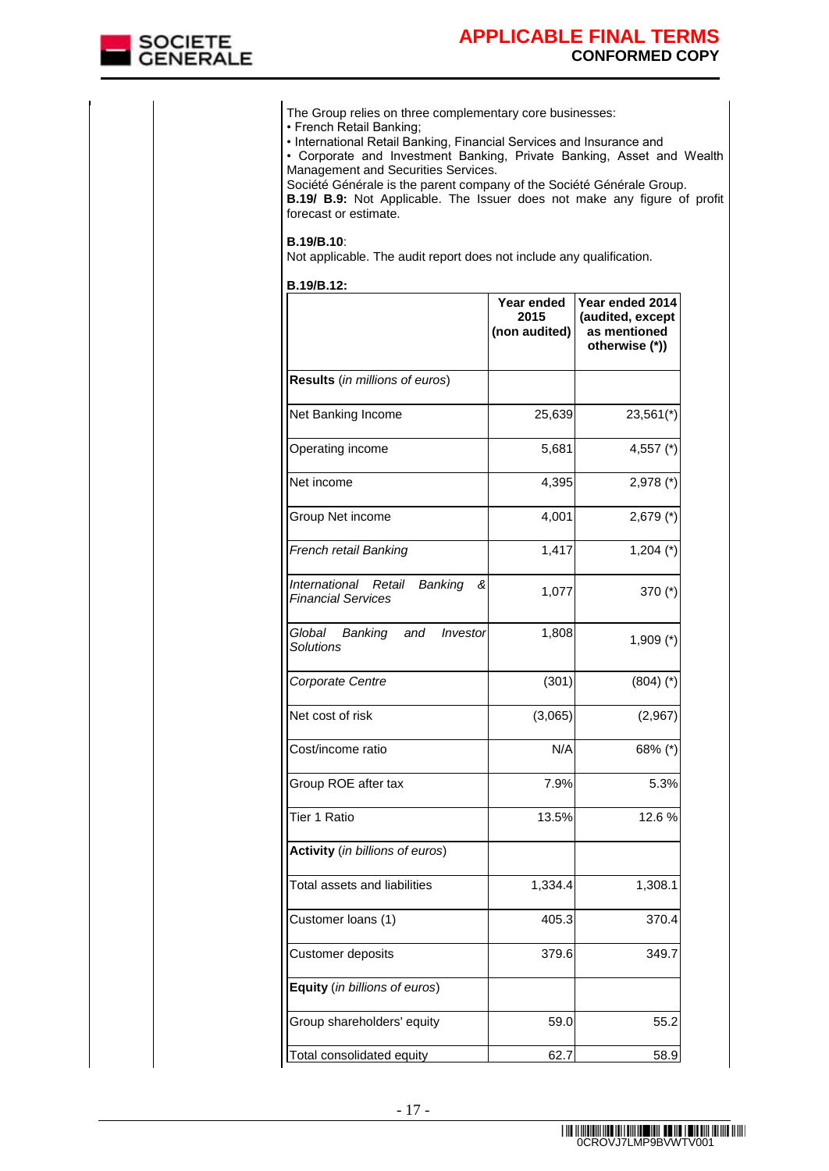

| • Corporate and Investment Banking, Private Banking, Asset and Wealth<br>Management and Securities Services.<br>Société Générale is the parent company of the Société Générale Group.<br>B.19/ B.9: Not Applicable. The Issuer does not make any figure of profit<br>forecast or estimate. |                                     |                                                                       |
|--------------------------------------------------------------------------------------------------------------------------------------------------------------------------------------------------------------------------------------------------------------------------------------------|-------------------------------------|-----------------------------------------------------------------------|
| <b>B.19/B.10:</b><br>Not applicable. The audit report does not include any qualification.                                                                                                                                                                                                  |                                     |                                                                       |
| <b>B.19/B.12:</b>                                                                                                                                                                                                                                                                          | Year ended<br>2015<br>(non audited) | Year ended 2014<br>(audited, except<br>as mentioned<br>otherwise (*)) |
| Results (in millions of euros)                                                                                                                                                                                                                                                             |                                     |                                                                       |
| Net Banking Income                                                                                                                                                                                                                                                                         | 25,639                              | $23,561$ <sup>*</sup> )                                               |
| Operating income                                                                                                                                                                                                                                                                           | 5,681                               | 4,557 $(*)$                                                           |
| Net income                                                                                                                                                                                                                                                                                 | 4,395                               | $2,978$ (*)                                                           |
| Group Net income                                                                                                                                                                                                                                                                           | 4,001                               | $2,679$ (*)                                                           |
| French retail Banking                                                                                                                                                                                                                                                                      | 1,417                               | $1,204$ (*)                                                           |
| International<br>Retail<br>Banking<br>ଝ<br><b>Financial Services</b>                                                                                                                                                                                                                       | 1,077                               | 370 $(*)$                                                             |
| Global<br>Banking<br>and<br>Investor<br>Solutions                                                                                                                                                                                                                                          | 1,808                               | $1,909$ (*)                                                           |
| Corporate Centre                                                                                                                                                                                                                                                                           | (301)                               | $(804)$ $(*)$                                                         |
| Net cost of risk                                                                                                                                                                                                                                                                           | (3,065)                             | (2,967)                                                               |
| Cost/income ratio                                                                                                                                                                                                                                                                          | N/A                                 | 68% (*)                                                               |
| Group ROE after tax                                                                                                                                                                                                                                                                        | 7.9%                                | 5.3%                                                                  |
| Tier 1 Ratio                                                                                                                                                                                                                                                                               | 13.5%                               | 12.6%                                                                 |
| Activity (in billions of euros)                                                                                                                                                                                                                                                            |                                     |                                                                       |
| Total assets and liabilities                                                                                                                                                                                                                                                               | 1,334.4                             | 1,308.1                                                               |
| Customer loans (1)                                                                                                                                                                                                                                                                         | 405.3                               | 370.4                                                                 |
| Customer deposits                                                                                                                                                                                                                                                                          | 379.6                               | 349.7                                                                 |
| Equity (in billions of euros)                                                                                                                                                                                                                                                              |                                     |                                                                       |
| Group shareholders' equity                                                                                                                                                                                                                                                                 | 59.0                                | 55.2                                                                  |
| Total consolidated equity                                                                                                                                                                                                                                                                  | 62.7                                | 58.9                                                                  |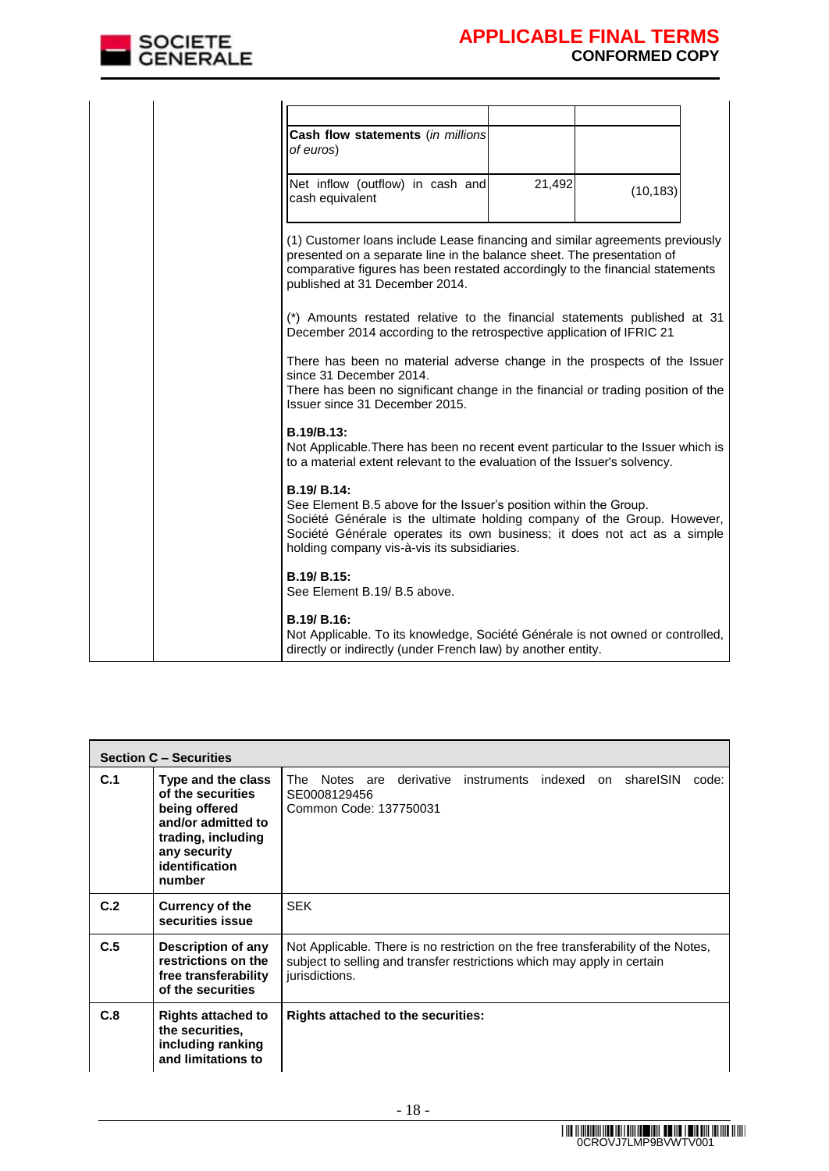

| Cash flow statements (in millions<br>of euros)                                                                                                                                                                                                                                               |        |           |  |
|----------------------------------------------------------------------------------------------------------------------------------------------------------------------------------------------------------------------------------------------------------------------------------------------|--------|-----------|--|
| Net inflow (outflow) in cash and<br>cash equivalent                                                                                                                                                                                                                                          | 21,492 | (10, 183) |  |
| (1) Customer loans include Lease financing and similar agreements previously<br>presented on a separate line in the balance sheet. The presentation of<br>comparative figures has been restated accordingly to the financial statements<br>published at 31 December 2014.                    |        |           |  |
| (*) Amounts restated relative to the financial statements published at 31<br>December 2014 according to the retrospective application of IFRIC 21                                                                                                                                            |        |           |  |
| There has been no material adverse change in the prospects of the Issuer<br>since 31 December 2014.<br>There has been no significant change in the financial or trading position of the<br>Issuer since 31 December 2015.                                                                    |        |           |  |
| B.19/B.13:<br>Not Applicable. There has been no recent event particular to the Issuer which is<br>to a material extent relevant to the evaluation of the Issuer's solvency.                                                                                                                  |        |           |  |
| <b>B.19/ B.14:</b><br>See Element B.5 above for the Issuer's position within the Group.<br>Société Générale is the ultimate holding company of the Group. However,<br>Société Générale operates its own business; it does not act as a simple<br>holding company vis-à-vis its subsidiaries. |        |           |  |
| B.19/ B.15:<br>See Element B.19/ B.5 above.                                                                                                                                                                                                                                                  |        |           |  |
| <b>B.19/ B.16:</b><br>Not Applicable. To its knowledge, Société Générale is not owned or controlled,<br>directly or indirectly (under French law) by another entity.                                                                                                                         |        |           |  |

|     | <b>Section C - Securities</b>                                                                                                                    |                                                                                                                                                                                |
|-----|--------------------------------------------------------------------------------------------------------------------------------------------------|--------------------------------------------------------------------------------------------------------------------------------------------------------------------------------|
| C.1 | Type and the class<br>of the securities<br>being offered<br>and/or admitted to<br>trading, including<br>any security<br>identification<br>number | instruments indexed<br>shareISIN<br>The<br>Notes are<br>derivative<br>on<br>code:<br>SE0008129456<br>Common Code: 137750031                                                    |
| C.2 | <b>Currency of the</b><br>securities issue                                                                                                       | <b>SEK</b>                                                                                                                                                                     |
| C.5 | Description of any<br>restrictions on the<br>free transferability<br>of the securities                                                           | Not Applicable. There is no restriction on the free transferability of the Notes,<br>subject to selling and transfer restrictions which may apply in certain<br>jurisdictions. |
| C.8 | <b>Rights attached to</b><br>the securities.<br>including ranking<br>and limitations to                                                          | <b>Rights attached to the securities:</b>                                                                                                                                      |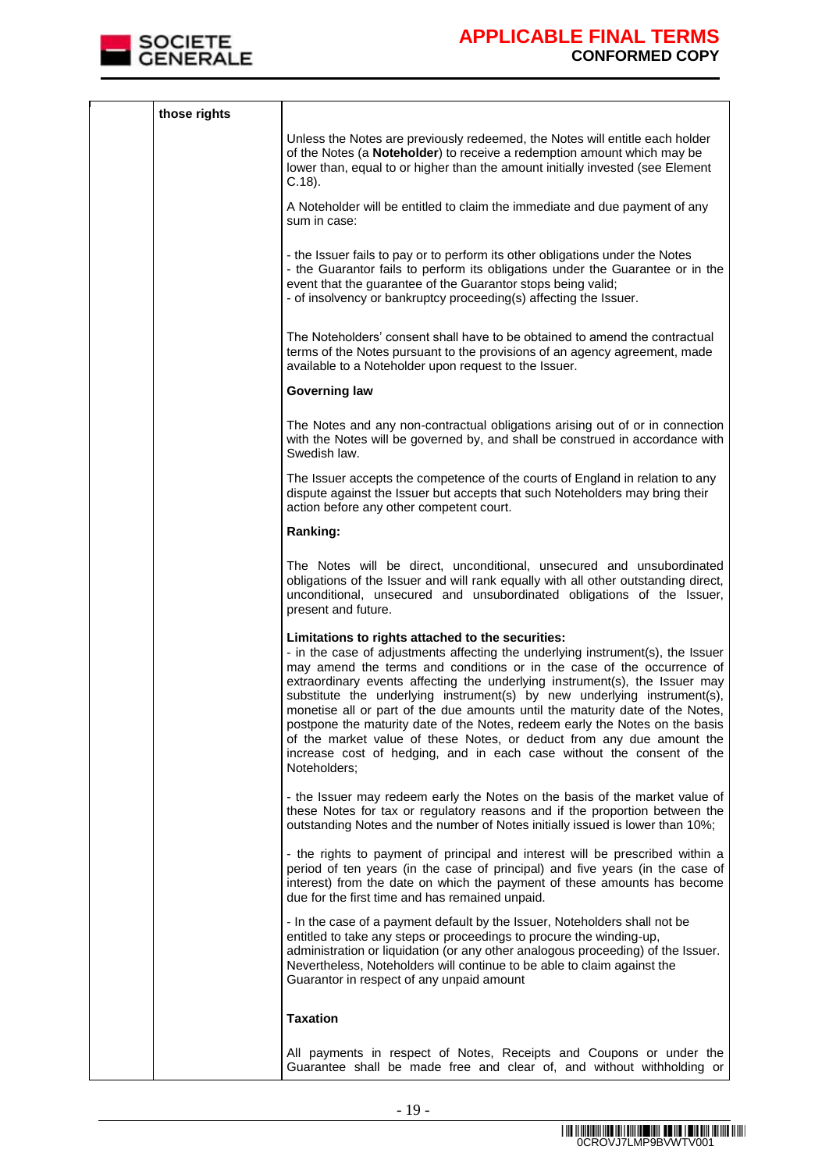

| those rights |                                                                                                                                                                                                                                                                                                                                                                                                                                                                                                                                                                                                                                                                                                              |  |
|--------------|--------------------------------------------------------------------------------------------------------------------------------------------------------------------------------------------------------------------------------------------------------------------------------------------------------------------------------------------------------------------------------------------------------------------------------------------------------------------------------------------------------------------------------------------------------------------------------------------------------------------------------------------------------------------------------------------------------------|--|
|              | Unless the Notes are previously redeemed, the Notes will entitle each holder<br>of the Notes (a Noteholder) to receive a redemption amount which may be<br>lower than, equal to or higher than the amount initially invested (see Element<br>$C.18$ ).                                                                                                                                                                                                                                                                                                                                                                                                                                                       |  |
|              | A Noteholder will be entitled to claim the immediate and due payment of any<br>sum in case:                                                                                                                                                                                                                                                                                                                                                                                                                                                                                                                                                                                                                  |  |
|              | - the Issuer fails to pay or to perform its other obligations under the Notes<br>- the Guarantor fails to perform its obligations under the Guarantee or in the<br>event that the guarantee of the Guarantor stops being valid;<br>- of insolvency or bankruptcy proceeding(s) affecting the Issuer.                                                                                                                                                                                                                                                                                                                                                                                                         |  |
|              | The Noteholders' consent shall have to be obtained to amend the contractual<br>terms of the Notes pursuant to the provisions of an agency agreement, made<br>available to a Noteholder upon request to the Issuer.                                                                                                                                                                                                                                                                                                                                                                                                                                                                                           |  |
|              | <b>Governing law</b>                                                                                                                                                                                                                                                                                                                                                                                                                                                                                                                                                                                                                                                                                         |  |
|              | The Notes and any non-contractual obligations arising out of or in connection<br>with the Notes will be governed by, and shall be construed in accordance with<br>Swedish law.                                                                                                                                                                                                                                                                                                                                                                                                                                                                                                                               |  |
|              | The Issuer accepts the competence of the courts of England in relation to any<br>dispute against the Issuer but accepts that such Noteholders may bring their<br>action before any other competent court.                                                                                                                                                                                                                                                                                                                                                                                                                                                                                                    |  |
|              | Ranking:                                                                                                                                                                                                                                                                                                                                                                                                                                                                                                                                                                                                                                                                                                     |  |
|              | The Notes will be direct, unconditional, unsecured and unsubordinated<br>obligations of the Issuer and will rank equally with all other outstanding direct,<br>unconditional, unsecured and unsubordinated obligations of the Issuer,<br>present and future.                                                                                                                                                                                                                                                                                                                                                                                                                                                 |  |
|              | Limitations to rights attached to the securities:<br>- in the case of adjustments affecting the underlying instrument(s), the Issuer<br>may amend the terms and conditions or in the case of the occurrence of<br>extraordinary events affecting the underlying instrument(s), the Issuer may<br>substitute the underlying instrument(s) by new underlying instrument(s),<br>monetise all or part of the due amounts until the maturity date of the Notes,<br>postpone the maturity date of the Notes, redeem early the Notes on the basis<br>of the market value of these Notes, or deduct from any due amount the<br>increase cost of hedging, and in each case without the consent of the<br>Noteholders; |  |
|              | - the Issuer may redeem early the Notes on the basis of the market value of<br>these Notes for tax or regulatory reasons and if the proportion between the<br>outstanding Notes and the number of Notes initially issued is lower than 10%;                                                                                                                                                                                                                                                                                                                                                                                                                                                                  |  |
|              | - the rights to payment of principal and interest will be prescribed within a<br>period of ten years (in the case of principal) and five years (in the case of<br>interest) from the date on which the payment of these amounts has become<br>due for the first time and has remained unpaid.                                                                                                                                                                                                                                                                                                                                                                                                                |  |
|              | - In the case of a payment default by the Issuer, Noteholders shall not be<br>entitled to take any steps or proceedings to procure the winding-up,<br>administration or liquidation (or any other analogous proceeding) of the Issuer.<br>Nevertheless, Noteholders will continue to be able to claim against the<br>Guarantor in respect of any unpaid amount                                                                                                                                                                                                                                                                                                                                               |  |
|              | <b>Taxation</b>                                                                                                                                                                                                                                                                                                                                                                                                                                                                                                                                                                                                                                                                                              |  |
|              | All payments in respect of Notes, Receipts and Coupons or under the<br>Guarantee shall be made free and clear of, and without withholding or                                                                                                                                                                                                                                                                                                                                                                                                                                                                                                                                                                 |  |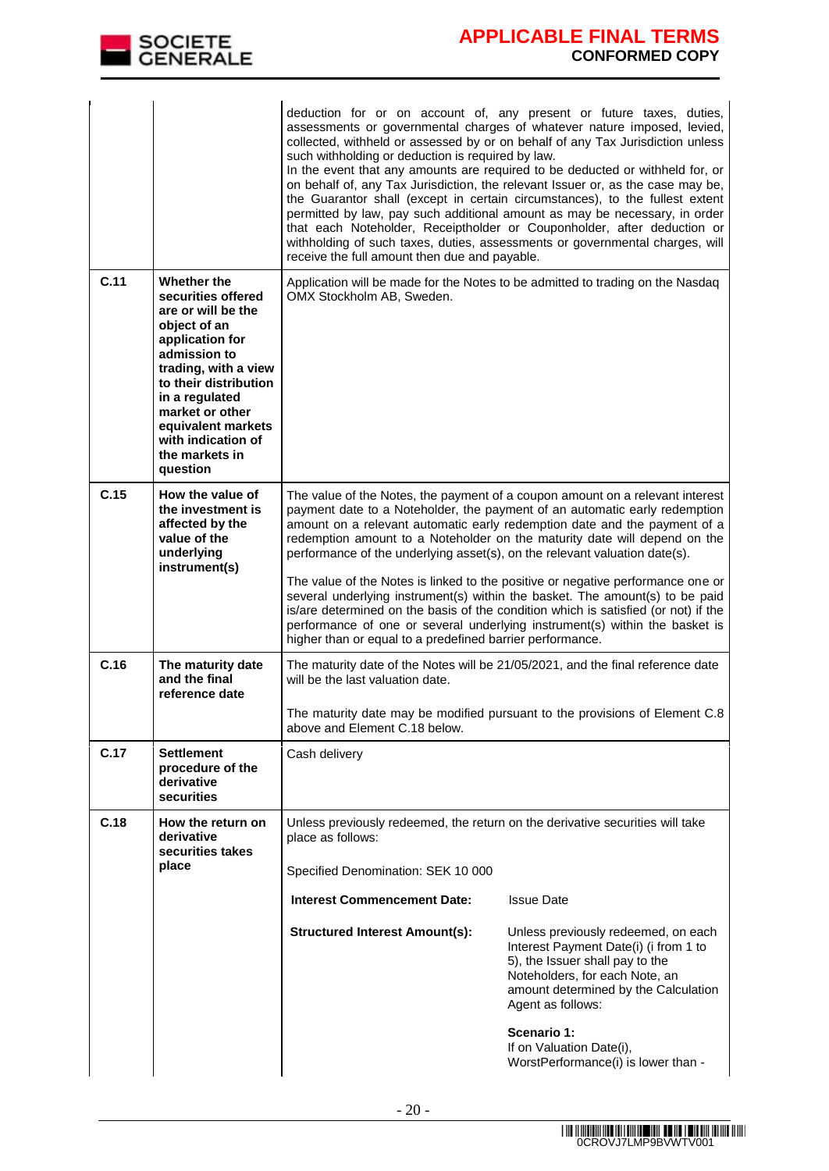

|      |                                                                                                                                                                                                                                                                            | deduction for or on account of, any present or future taxes, duties,<br>assessments or governmental charges of whatever nature imposed, levied,<br>collected, withheld or assessed by or on behalf of any Tax Jurisdiction unless<br>such withholding or deduction is required by law.<br>In the event that any amounts are required to be deducted or withheld for, or<br>on behalf of, any Tax Jurisdiction, the relevant Issuer or, as the case may be,<br>the Guarantor shall (except in certain circumstances), to the fullest extent<br>permitted by law, pay such additional amount as may be necessary, in order<br>that each Noteholder, Receiptholder or Couponholder, after deduction or<br>withholding of such taxes, duties, assessments or governmental charges, will<br>receive the full amount then due and payable. |                                                                                                                                                                                                                                                                                                                       |  |
|------|----------------------------------------------------------------------------------------------------------------------------------------------------------------------------------------------------------------------------------------------------------------------------|--------------------------------------------------------------------------------------------------------------------------------------------------------------------------------------------------------------------------------------------------------------------------------------------------------------------------------------------------------------------------------------------------------------------------------------------------------------------------------------------------------------------------------------------------------------------------------------------------------------------------------------------------------------------------------------------------------------------------------------------------------------------------------------------------------------------------------------|-----------------------------------------------------------------------------------------------------------------------------------------------------------------------------------------------------------------------------------------------------------------------------------------------------------------------|--|
| C.11 | Whether the<br>securities offered<br>are or will be the<br>object of an<br>application for<br>admission to<br>trading, with a view<br>to their distribution<br>in a regulated<br>market or other<br>equivalent markets<br>with indication of<br>the markets in<br>question | Application will be made for the Notes to be admitted to trading on the Nasdaq<br>OMX Stockholm AB, Sweden.                                                                                                                                                                                                                                                                                                                                                                                                                                                                                                                                                                                                                                                                                                                          |                                                                                                                                                                                                                                                                                                                       |  |
| C.15 | How the value of<br>the investment is<br>affected by the<br>value of the<br>underlying<br>instrument(s)                                                                                                                                                                    | The value of the Notes, the payment of a coupon amount on a relevant interest<br>payment date to a Noteholder, the payment of an automatic early redemption<br>amount on a relevant automatic early redemption date and the payment of a<br>redemption amount to a Noteholder on the maturity date will depend on the<br>performance of the underlying asset(s), on the relevant valuation date(s).<br>The value of the Notes is linked to the positive or negative performance one or<br>several underlying instrument(s) within the basket. The amount(s) to be paid<br>is/are determined on the basis of the condition which is satisfied (or not) if the<br>performance of one or several underlying instrument(s) within the basket is<br>higher than or equal to a predefined barrier performance.                             |                                                                                                                                                                                                                                                                                                                       |  |
| C.16 | The maturity date<br>and the final<br>reference date                                                                                                                                                                                                                       | The maturity date of the Notes will be 21/05/2021, and the final reference date<br>will be the last valuation date.<br>The maturity date may be modified pursuant to the provisions of Element C.8<br>above and Element C.18 below.                                                                                                                                                                                                                                                                                                                                                                                                                                                                                                                                                                                                  |                                                                                                                                                                                                                                                                                                                       |  |
| C.17 | <b>Settlement</b><br>procedure of the<br>derivative<br>securities                                                                                                                                                                                                          | Cash delivery                                                                                                                                                                                                                                                                                                                                                                                                                                                                                                                                                                                                                                                                                                                                                                                                                        |                                                                                                                                                                                                                                                                                                                       |  |
| C.18 | How the return on<br>derivative<br>securities takes<br>place                                                                                                                                                                                                               | Unless previously redeemed, the return on the derivative securities will take<br>place as follows:<br>Specified Denomination: SEK 10 000<br><b>Interest Commencement Date:</b><br><b>Structured Interest Amount(s):</b>                                                                                                                                                                                                                                                                                                                                                                                                                                                                                                                                                                                                              | <b>Issue Date</b><br>Unless previously redeemed, on each<br>Interest Payment Date(i) (i from 1 to<br>5), the Issuer shall pay to the<br>Noteholders, for each Note, an<br>amount determined by the Calculation<br>Agent as follows:<br>Scenario 1:<br>If on Valuation Date(i),<br>WorstPerformance(i) is lower than - |  |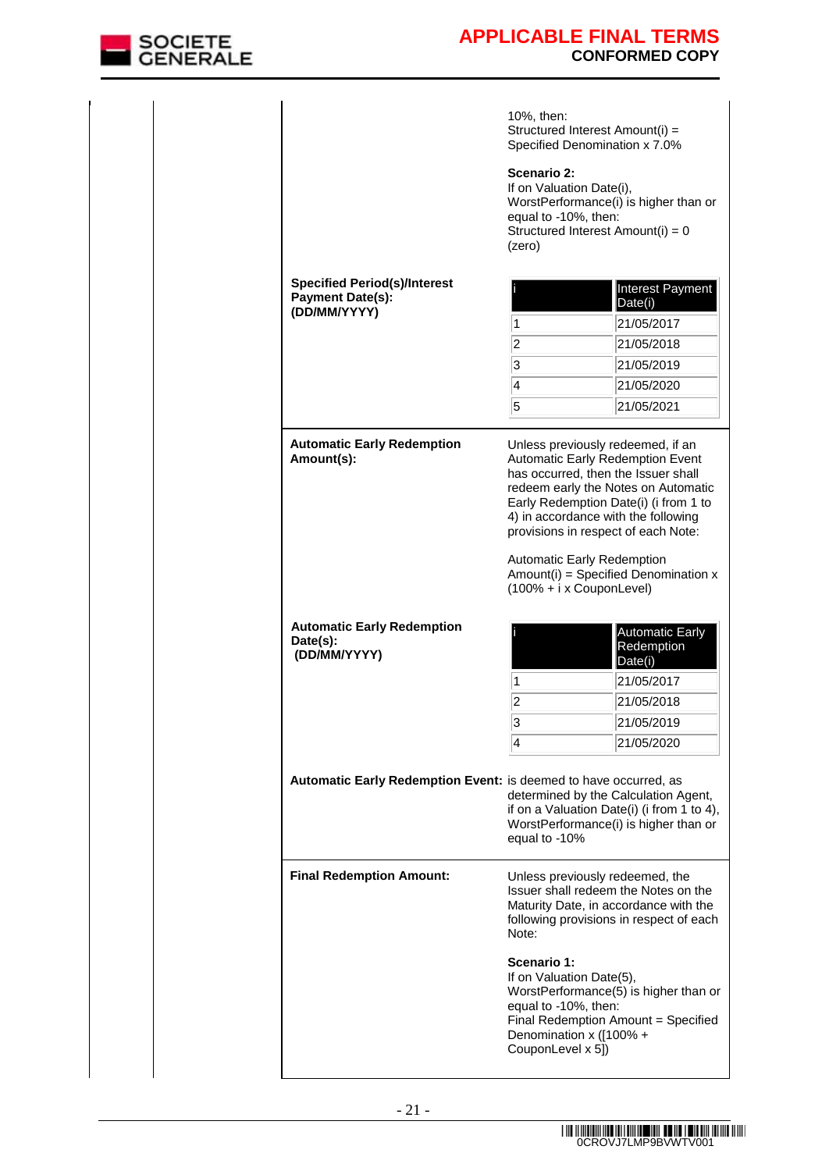

|                                                                                | 10%, then:<br>Structured Interest Amount(i) =<br>Specified Denomination x 7.0%<br>Scenario 2:<br>If on Valuation Date(i),<br>equal to -10%, then:<br>Structured Interest Amount(i) = 0<br>(zero) | WorstPerformance(i) is higher than or                                                                                                                                                                                                                                                                                      |
|--------------------------------------------------------------------------------|--------------------------------------------------------------------------------------------------------------------------------------------------------------------------------------------------|----------------------------------------------------------------------------------------------------------------------------------------------------------------------------------------------------------------------------------------------------------------------------------------------------------------------------|
| <b>Specified Period(s)/Interest</b><br><b>Payment Date(s):</b><br>(DD/MM/YYYY) | 1<br>$\overline{c}$<br>3<br>$\overline{\mathcal{A}}$<br>5                                                                                                                                        | Interest Payment<br>Date(i)<br>21/05/2017<br>21/05/2018<br>21/05/2019<br>21/05/2020<br>21/05/2021                                                                                                                                                                                                                          |
| <b>Automatic Early Redemption</b><br>Amount(s):                                | Automatic Early Redemption<br>$(100\% + i \times \text{CouponLevel})$                                                                                                                            | Unless previously redeemed, if an<br><b>Automatic Early Redemption Event</b><br>has occurred, then the Issuer shall<br>redeem early the Notes on Automatic<br>Early Redemption Date(i) (i from 1 to<br>4) in accordance with the following<br>provisions in respect of each Note:<br>$Amount(i) = Specificd Denominator x$ |
| <b>Automatic Early Redemption</b><br>Date(s):<br>(DD/MM/YYYY)                  | 1<br>$\overline{c}$<br>3<br>4                                                                                                                                                                    | <b>Automatic Early</b><br>Redemption<br>Date(i)<br>21/05/2017<br>21/05/2018<br>21/05/2019<br>21/05/2020                                                                                                                                                                                                                    |
| Automatic Early Redemption Event: is deemed to have occurred, as               | equal to -10%                                                                                                                                                                                    | determined by the Calculation Agent,<br>if on a Valuation Date(i) (i from 1 to 4),<br>WorstPerformance(i) is higher than or                                                                                                                                                                                                |
| <b>Final Redemption Amount:</b>                                                | Unless previously redeemed, the<br>Note:                                                                                                                                                         | Issuer shall redeem the Notes on the<br>Maturity Date, in accordance with the<br>following provisions in respect of each                                                                                                                                                                                                   |
|                                                                                | Scenario 1:<br>If on Valuation Date(5),<br>equal to -10%, then:<br>Denomination x ([100% +<br>CouponLevel x 5])                                                                                  | WorstPerformance(5) is higher than or<br>Final Redemption Amount = Specified                                                                                                                                                                                                                                               |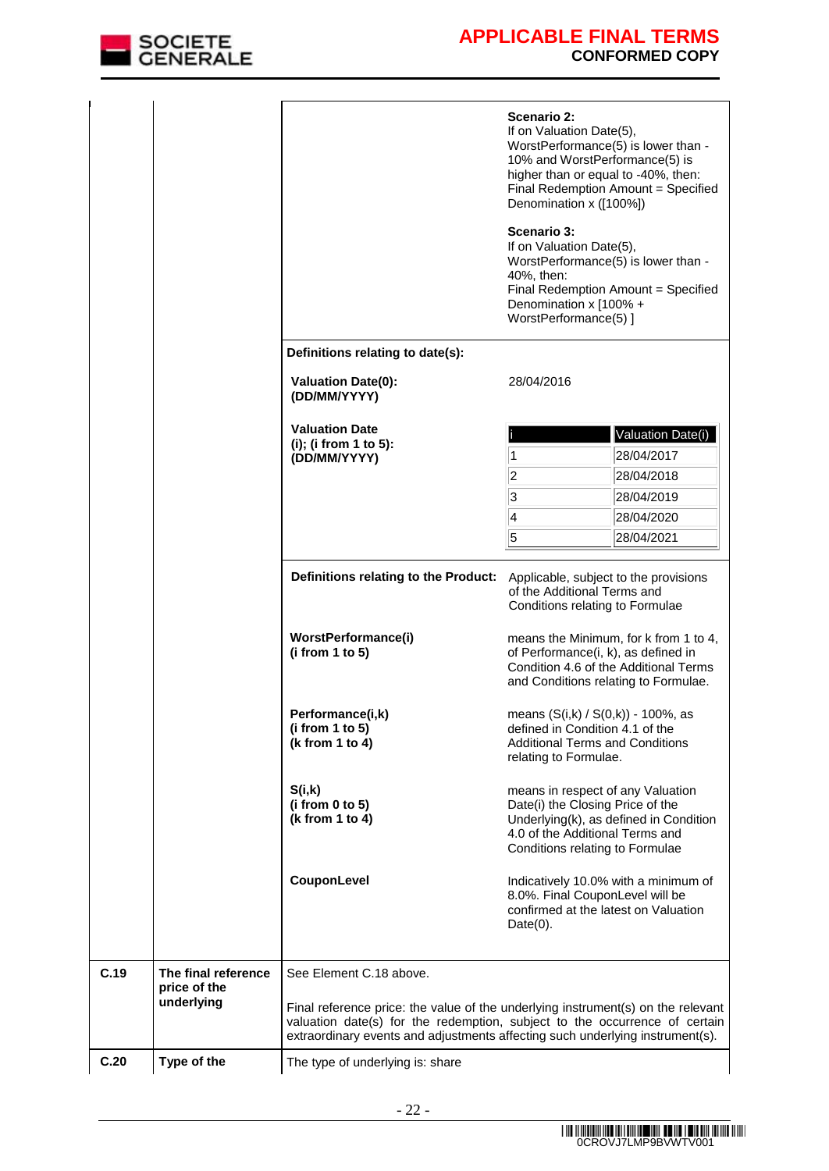

|      |                                                   |                                                                                                                                                                                                                                                 | Scenario 2:<br>If on Valuation Date(5),<br>WorstPerformance(5) is lower than -<br>10% and WorstPerformance(5) is<br>higher than or equal to -40%, then:<br>Final Redemption Amount = Specified<br>Denomination x ([100%])<br>Scenario 3: |                                                                                |  |
|------|---------------------------------------------------|-------------------------------------------------------------------------------------------------------------------------------------------------------------------------------------------------------------------------------------------------|------------------------------------------------------------------------------------------------------------------------------------------------------------------------------------------------------------------------------------------|--------------------------------------------------------------------------------|--|
|      |                                                   |                                                                                                                                                                                                                                                 | If on Valuation Date(5),<br>WorstPerformance(5) is lower than -<br>40%, then:<br>Final Redemption Amount = Specified<br>Denomination x [100% +<br>WorstPerformance(5) ]                                                                  |                                                                                |  |
|      |                                                   | Definitions relating to date(s):<br><b>Valuation Date(0):</b>                                                                                                                                                                                   | 28/04/2016                                                                                                                                                                                                                               |                                                                                |  |
|      |                                                   | (DD/MM/YYYY)                                                                                                                                                                                                                                    |                                                                                                                                                                                                                                          |                                                                                |  |
|      |                                                   | <b>Valuation Date</b>                                                                                                                                                                                                                           |                                                                                                                                                                                                                                          | Valuation Date(i)                                                              |  |
|      |                                                   | (i); (i from 1 to 5):<br>(DD/MM/YYYY)                                                                                                                                                                                                           | 1                                                                                                                                                                                                                                        | 28/04/2017                                                                     |  |
|      |                                                   |                                                                                                                                                                                                                                                 | 2                                                                                                                                                                                                                                        | 28/04/2018                                                                     |  |
|      |                                                   |                                                                                                                                                                                                                                                 | 3                                                                                                                                                                                                                                        | 28/04/2019                                                                     |  |
|      |                                                   |                                                                                                                                                                                                                                                 | 4                                                                                                                                                                                                                                        | 28/04/2020                                                                     |  |
|      |                                                   |                                                                                                                                                                                                                                                 | 5                                                                                                                                                                                                                                        | 28/04/2021                                                                     |  |
|      |                                                   | Definitions relating to the Product:                                                                                                                                                                                                            | Applicable, subject to the provisions<br>of the Additional Terms and<br>Conditions relating to Formulae                                                                                                                                  |                                                                                |  |
|      |                                                   | WorstPerformance(i)<br>(i from 1 to 5)                                                                                                                                                                                                          | of Performance(i, k), as defined in<br>and Conditions relating to Formulae.                                                                                                                                                              | means the Minimum, for k from 1 to 4,<br>Condition 4.6 of the Additional Terms |  |
|      |                                                   | Performance(i,k)<br>(i from 1 to 5)<br>(k from 1 to 4)                                                                                                                                                                                          | means (S(i,k) / S(0,k)) - 100%, as<br>defined in Condition 4.1 of the<br><b>Additional Terms and Conditions</b><br>relating to Formulae.                                                                                                 |                                                                                |  |
|      |                                                   | S(i,k)<br>(i from 0 to 5)<br>(k from 1 to 4)                                                                                                                                                                                                    | means in respect of any Valuation<br>Date(i) the Closing Price of the<br>4.0 of the Additional Terms and<br>Conditions relating to Formulae                                                                                              | Underlying(k), as defined in Condition                                         |  |
|      |                                                   | CouponLevel                                                                                                                                                                                                                                     | 8.0%. Final CouponLevel will be<br>confirmed at the latest on Valuation<br>$Date(0)$ .                                                                                                                                                   | Indicatively 10.0% with a minimum of                                           |  |
| C.19 | The final reference<br>price of the<br>underlying | See Element C.18 above.                                                                                                                                                                                                                         |                                                                                                                                                                                                                                          |                                                                                |  |
|      |                                                   | Final reference price: the value of the underlying instrument(s) on the relevant<br>valuation date(s) for the redemption, subject to the occurrence of certain<br>extraordinary events and adjustments affecting such underlying instrument(s). |                                                                                                                                                                                                                                          |                                                                                |  |
| C.20 | Type of the                                       | The type of underlying is: share                                                                                                                                                                                                                |                                                                                                                                                                                                                                          |                                                                                |  |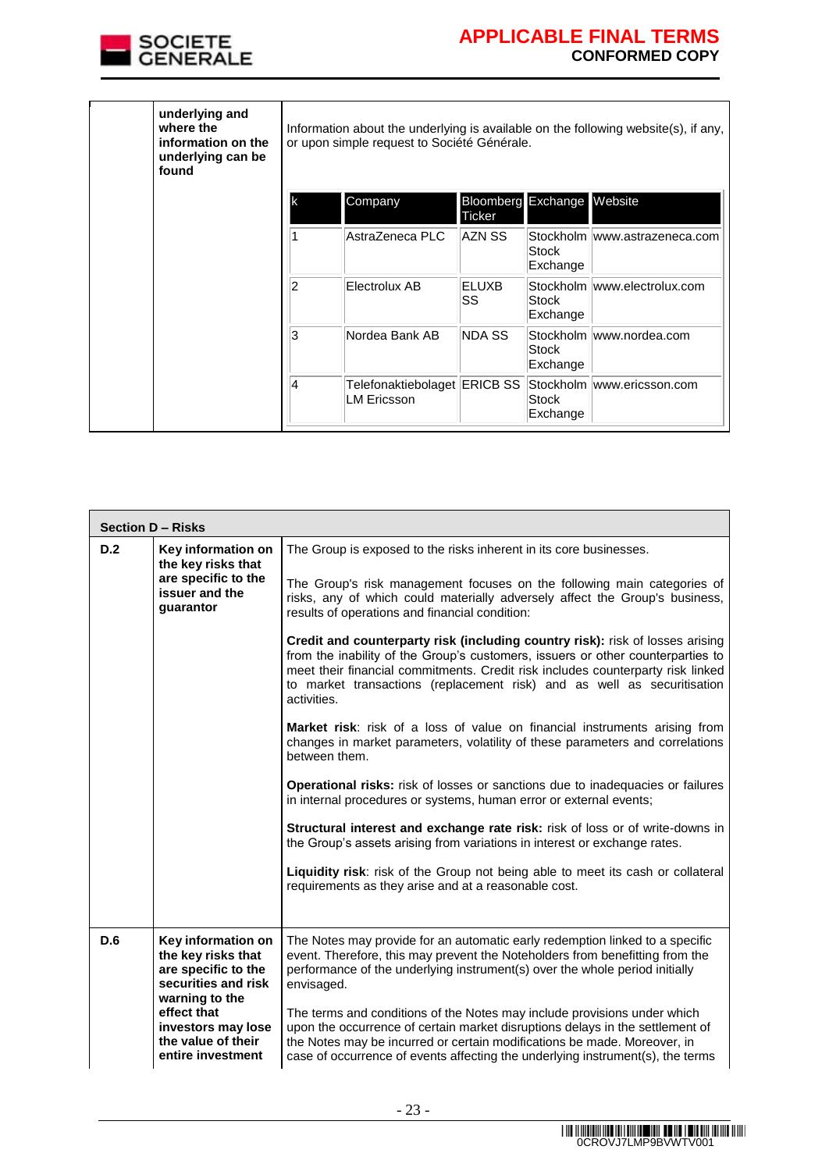

| underlying and<br>where the<br>information on the<br>underlying can be<br>found |                | Information about the underlying is available on the following website(s), if any,<br>or upon simple request to Société Générale. |                    |                            |                               |  |  |
|---------------------------------------------------------------------------------|----------------|-----------------------------------------------------------------------------------------------------------------------------------|--------------------|----------------------------|-------------------------------|--|--|
|                                                                                 | lk             | Company                                                                                                                           | Ticker             | Bloomberg Exchange Website |                               |  |  |
|                                                                                 |                | AstraZeneca PLC                                                                                                                   | AZN SS             | Stock<br>Exchange          | Stockholm www.astrazeneca.com |  |  |
|                                                                                 | $\overline{2}$ | Electrolux AB                                                                                                                     | <b>ELUXB</b><br>SS | Stock<br>Exchange          | Stockholm www.electrolux.com  |  |  |
|                                                                                 | 3              | Nordea Bank AB                                                                                                                    | NDA SS             | Stock<br>Exchange          | Stockholm www.nordea.com      |  |  |
|                                                                                 | 4              | Telefonaktiebolaget ERICB SS<br><b>LM Ericsson</b>                                                                                |                    | Stock<br>Exchange          | Stockholm www.ericsson.com    |  |  |

| <b>Section D - Risks</b> |                                                                                                                                                                                          |                                                                                                                                                                                                                                                                                                                                               |
|--------------------------|------------------------------------------------------------------------------------------------------------------------------------------------------------------------------------------|-----------------------------------------------------------------------------------------------------------------------------------------------------------------------------------------------------------------------------------------------------------------------------------------------------------------------------------------------|
| D.2                      | Key information on<br>the key risks that                                                                                                                                                 | The Group is exposed to the risks inherent in its core businesses.                                                                                                                                                                                                                                                                            |
|                          | are specific to the<br>issuer and the<br>quarantor                                                                                                                                       | The Group's risk management focuses on the following main categories of<br>risks, any of which could materially adversely affect the Group's business,<br>results of operations and financial condition:                                                                                                                                      |
|                          |                                                                                                                                                                                          | Credit and counterparty risk (including country risk): risk of losses arising<br>from the inability of the Group's customers, issuers or other counterparties to<br>meet their financial commitments. Credit risk includes counterparty risk linked<br>to market transactions (replacement risk) and as well as securitisation<br>activities. |
|                          |                                                                                                                                                                                          | <b>Market risk:</b> risk of a loss of value on financial instruments arising from<br>changes in market parameters, volatility of these parameters and correlations<br>between them.                                                                                                                                                           |
|                          |                                                                                                                                                                                          | Operational risks: risk of losses or sanctions due to inadequacies or failures<br>in internal procedures or systems, human error or external events;                                                                                                                                                                                          |
|                          |                                                                                                                                                                                          | Structural interest and exchange rate risk: risk of loss or of write-downs in<br>the Group's assets arising from variations in interest or exchange rates.                                                                                                                                                                                    |
|                          |                                                                                                                                                                                          | Liquidity risk: risk of the Group not being able to meet its cash or collateral<br>requirements as they arise and at a reasonable cost.                                                                                                                                                                                                       |
| D.6                      | Key information on<br>the key risks that<br>are specific to the<br>securities and risk<br>warning to the<br>effect that<br>investors may lose<br>the value of their<br>entire investment | The Notes may provide for an automatic early redemption linked to a specific<br>event. Therefore, this may prevent the Noteholders from benefitting from the<br>performance of the underlying instrument(s) over the whole period initially<br>envisaged.                                                                                     |
|                          |                                                                                                                                                                                          | The terms and conditions of the Notes may include provisions under which<br>upon the occurrence of certain market disruptions delays in the settlement of<br>the Notes may be incurred or certain modifications be made. Moreover, in<br>case of occurrence of events affecting the underlying instrument(s), the terms                       |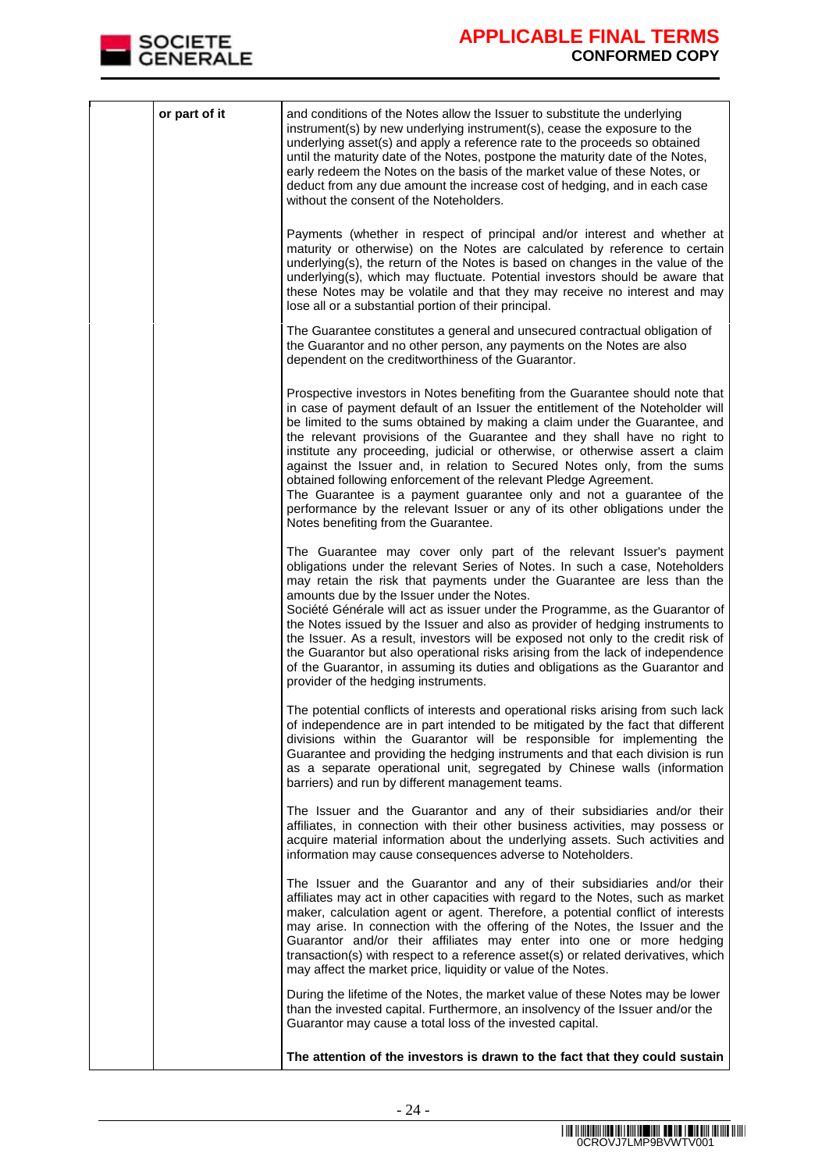

| or part of it | and conditions of the Notes allow the Issuer to substitute the underlying<br>instrument(s) by new underlying instrument(s), cease the exposure to the                                                                                                                                                                                                                                                                                                                                                                                                                                                                                                                                                                                                     |
|---------------|-----------------------------------------------------------------------------------------------------------------------------------------------------------------------------------------------------------------------------------------------------------------------------------------------------------------------------------------------------------------------------------------------------------------------------------------------------------------------------------------------------------------------------------------------------------------------------------------------------------------------------------------------------------------------------------------------------------------------------------------------------------|
|               | underlying asset(s) and apply a reference rate to the proceeds so obtained<br>until the maturity date of the Notes, postpone the maturity date of the Notes,<br>early redeem the Notes on the basis of the market value of these Notes, or<br>deduct from any due amount the increase cost of hedging, and in each case<br>without the consent of the Noteholders.                                                                                                                                                                                                                                                                                                                                                                                        |
|               | Payments (whether in respect of principal and/or interest and whether at<br>maturity or otherwise) on the Notes are calculated by reference to certain<br>underlying(s), the return of the Notes is based on changes in the value of the<br>underlying(s), which may fluctuate. Potential investors should be aware that<br>these Notes may be volatile and that they may receive no interest and may<br>lose all or a substantial portion of their principal.                                                                                                                                                                                                                                                                                            |
|               | The Guarantee constitutes a general and unsecured contractual obligation of<br>the Guarantor and no other person, any payments on the Notes are also<br>dependent on the creditworthiness of the Guarantor.                                                                                                                                                                                                                                                                                                                                                                                                                                                                                                                                               |
|               | Prospective investors in Notes benefiting from the Guarantee should note that<br>in case of payment default of an Issuer the entitlement of the Noteholder will<br>be limited to the sums obtained by making a claim under the Guarantee, and<br>the relevant provisions of the Guarantee and they shall have no right to<br>institute any proceeding, judicial or otherwise, or otherwise assert a claim<br>against the Issuer and, in relation to Secured Notes only, from the sums<br>obtained following enforcement of the relevant Pledge Agreement.<br>The Guarantee is a payment guarantee only and not a guarantee of the<br>performance by the relevant Issuer or any of its other obligations under the<br>Notes benefiting from the Guarantee. |
|               | The Guarantee may cover only part of the relevant Issuer's payment<br>obligations under the relevant Series of Notes. In such a case, Noteholders<br>may retain the risk that payments under the Guarantee are less than the<br>amounts due by the Issuer under the Notes.<br>Société Générale will act as issuer under the Programme, as the Guarantor of<br>the Notes issued by the Issuer and also as provider of hedging instruments to<br>the Issuer. As a result, investors will be exposed not only to the credit risk of<br>the Guarantor but also operational risks arising from the lack of independence<br>of the Guarantor, in assuming its duties and obligations as the Guarantor and<br>provider of the hedging instruments.               |
|               | The potential conflicts of interests and operational risks arising from such lack<br>of independence are in part intended to be mitigated by the fact that different<br>divisions within the Guarantor will be responsible for implementing the<br>Guarantee and providing the hedging instruments and that each division is run<br>as a separate operational unit, segregated by Chinese walls (information<br>barriers) and run by different management teams.                                                                                                                                                                                                                                                                                          |
|               | The Issuer and the Guarantor and any of their subsidiaries and/or their<br>affiliates, in connection with their other business activities, may possess or<br>acquire material information about the underlying assets. Such activities and<br>information may cause consequences adverse to Noteholders.                                                                                                                                                                                                                                                                                                                                                                                                                                                  |
|               | The Issuer and the Guarantor and any of their subsidiaries and/or their<br>affiliates may act in other capacities with regard to the Notes, such as market<br>maker, calculation agent or agent. Therefore, a potential conflict of interests<br>may arise. In connection with the offering of the Notes, the Issuer and the<br>Guarantor and/or their affiliates may enter into one or more hedging<br>transaction(s) with respect to a reference asset(s) or related derivatives, which<br>may affect the market price, liquidity or value of the Notes.                                                                                                                                                                                                |
|               | During the lifetime of the Notes, the market value of these Notes may be lower<br>than the invested capital. Furthermore, an insolvency of the Issuer and/or the<br>Guarantor may cause a total loss of the invested capital.                                                                                                                                                                                                                                                                                                                                                                                                                                                                                                                             |
|               | The attention of the investors is drawn to the fact that they could sustain                                                                                                                                                                                                                                                                                                                                                                                                                                                                                                                                                                                                                                                                               |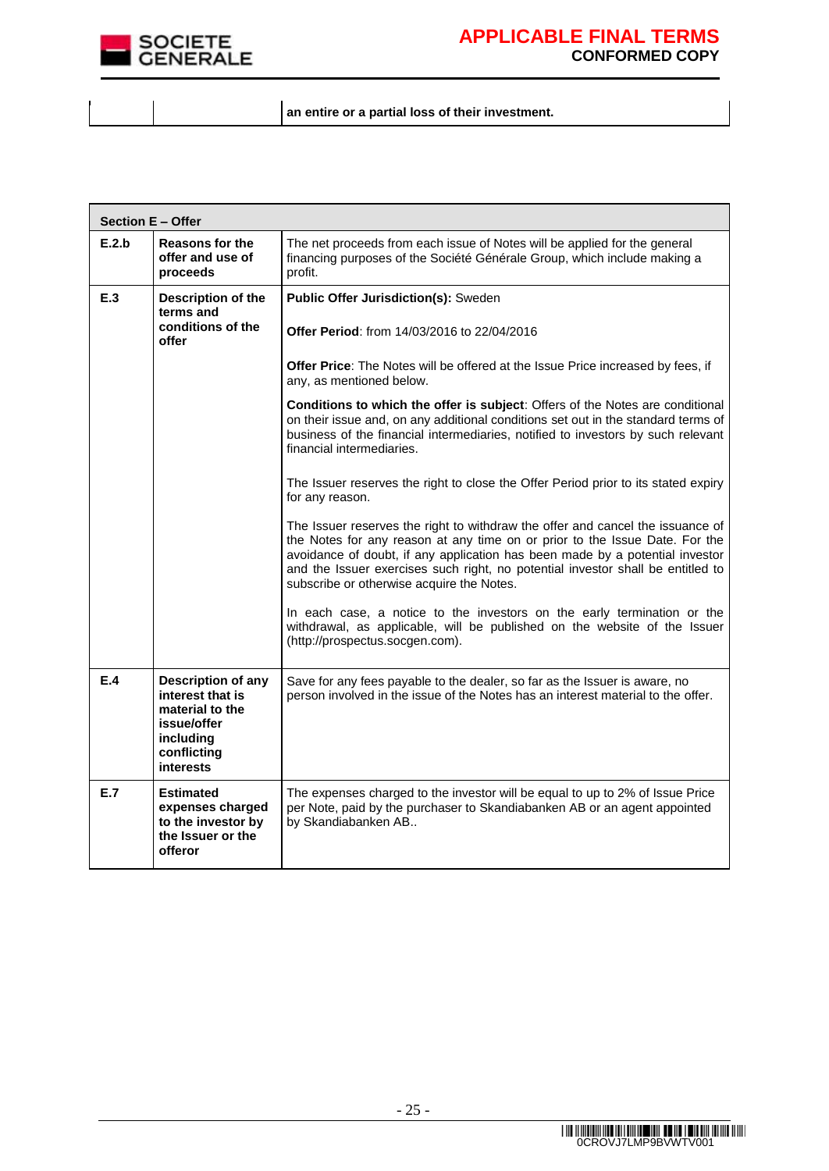

 $\blacksquare$ 

### **APPLICABLE FINAL TERMS CONFORMED COPY**

 $\overline{\phantom{0}}$ 

**an entire or a partial loss of their investment.**

| <b>Section E - Offer</b> |                                                                                                                          |                                                                                                                                                                                                                                                                                                                                                                               |
|--------------------------|--------------------------------------------------------------------------------------------------------------------------|-------------------------------------------------------------------------------------------------------------------------------------------------------------------------------------------------------------------------------------------------------------------------------------------------------------------------------------------------------------------------------|
| E.2.b                    | <b>Reasons for the</b><br>offer and use of<br>proceeds                                                                   | The net proceeds from each issue of Notes will be applied for the general<br>financing purposes of the Société Générale Group, which include making a<br>profit.                                                                                                                                                                                                              |
| E.3                      | Description of the                                                                                                       | Public Offer Jurisdiction(s): Sweden                                                                                                                                                                                                                                                                                                                                          |
|                          | terms and<br>conditions of the<br>offer                                                                                  | <b>Offer Period:</b> from 14/03/2016 to 22/04/2016                                                                                                                                                                                                                                                                                                                            |
|                          |                                                                                                                          | Offer Price: The Notes will be offered at the Issue Price increased by fees, if<br>any, as mentioned below.                                                                                                                                                                                                                                                                   |
|                          |                                                                                                                          | Conditions to which the offer is subject: Offers of the Notes are conditional<br>on their issue and, on any additional conditions set out in the standard terms of<br>business of the financial intermediaries, notified to investors by such relevant<br>financial intermediaries.                                                                                           |
|                          |                                                                                                                          | The Issuer reserves the right to close the Offer Period prior to its stated expiry<br>for any reason.                                                                                                                                                                                                                                                                         |
|                          |                                                                                                                          | The Issuer reserves the right to withdraw the offer and cancel the issuance of<br>the Notes for any reason at any time on or prior to the Issue Date. For the<br>avoidance of doubt, if any application has been made by a potential investor<br>and the Issuer exercises such right, no potential investor shall be entitled to<br>subscribe or otherwise acquire the Notes. |
|                          |                                                                                                                          | In each case, a notice to the investors on the early termination or the<br>withdrawal, as applicable, will be published on the website of the Issuer<br>(http://prospectus.socgen.com).                                                                                                                                                                                       |
| E.4                      | <b>Description of any</b><br>interest that is<br>material to the<br>issue/offer<br>including<br>conflicting<br>interests | Save for any fees payable to the dealer, so far as the Issuer is aware, no<br>person involved in the issue of the Notes has an interest material to the offer.                                                                                                                                                                                                                |
| E.7                      | <b>Estimated</b><br>expenses charged<br>to the investor by<br>the Issuer or the<br>offeror                               | The expenses charged to the investor will be equal to up to 2% of Issue Price<br>per Note, paid by the purchaser to Skandiabanken AB or an agent appointed<br>by Skandiabanken AB                                                                                                                                                                                             |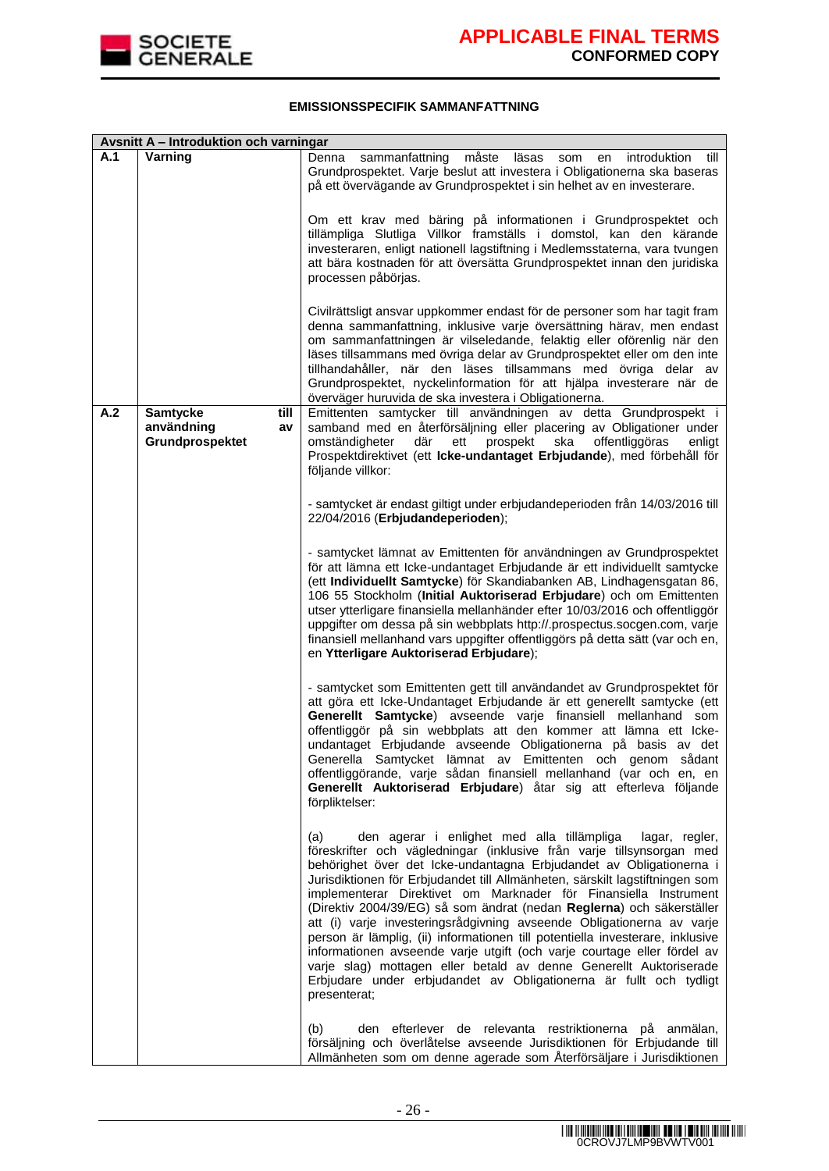

#### **EMISSIONSSPECIFIK SAMMANFATTNING**

|     | Avsnitt A - Introduktion och varningar                         |                                                                                                                                                                                                                                                                                                                                                                                                                                                                                                                                                                                                                                                                                                                                                                                                                                                   |
|-----|----------------------------------------------------------------|---------------------------------------------------------------------------------------------------------------------------------------------------------------------------------------------------------------------------------------------------------------------------------------------------------------------------------------------------------------------------------------------------------------------------------------------------------------------------------------------------------------------------------------------------------------------------------------------------------------------------------------------------------------------------------------------------------------------------------------------------------------------------------------------------------------------------------------------------|
| A.1 | Varning                                                        | sammanfattning<br>måste<br>läsas<br>introduktion<br>till<br>Denna<br>som<br>en<br>Grundprospektet. Varje beslut att investera i Obligationerna ska baseras<br>på ett övervägande av Grundprospektet i sin helhet av en investerare.<br>Om ett krav med bäring på informationen i Grundprospektet och<br>tillämpliga Slutliga Villkor framställs i domstol, kan den kärande<br>investeraren, enligt nationell lagstiftning i Medlemsstaterna, vara tvungen<br>att bära kostnaden för att översätta Grundprospektet innan den juridiska<br>processen påbörjas.<br>Civilrättsligt ansvar uppkommer endast för de personer som har tagit fram                                                                                                                                                                                                         |
|     |                                                                | denna sammanfattning, inklusive varje översättning härav, men endast<br>om sammanfattningen är vilseledande, felaktig eller oförenlig när den<br>läses tillsammans med övriga delar av Grundprospektet eller om den inte<br>tillhandahåller, när den läses tillsammans med övriga delar av<br>Grundprospektet, nyckelinformation för att hjälpa investerare när de<br>överväger huruvida de ska investera i Obligationerna.                                                                                                                                                                                                                                                                                                                                                                                                                       |
| A.2 | <b>Samtycke</b><br>till<br>användning<br>av<br>Grundprospektet | Emittenten samtycker till användningen av detta Grundprospekt i<br>samband med en återförsäljning eller placering av Obligationer under<br>prospekt<br>offentliggöras<br>omständigheter<br>där<br>ett<br>ska<br>enligt<br>Prospektdirektivet (ett Icke-undantaget Erbjudande), med förbehåll för<br>följande villkor:                                                                                                                                                                                                                                                                                                                                                                                                                                                                                                                             |
|     |                                                                | - samtycket är endast giltigt under erbjudandeperioden från 14/03/2016 till<br>22/04/2016 (Erbjudandeperioden);                                                                                                                                                                                                                                                                                                                                                                                                                                                                                                                                                                                                                                                                                                                                   |
|     |                                                                | - samtycket lämnat av Emittenten för användningen av Grundprospektet<br>för att lämna ett Icke-undantaget Erbjudande är ett individuellt samtycke<br>(ett Individuellt Samtycke) för Skandiabanken AB, Lindhagensgatan 86,<br>106 55 Stockholm (Initial Auktoriserad Erbjudare) och om Emittenten<br>utser ytterligare finansiella mellanhänder efter 10/03/2016 och offentliggör<br>uppgifter om dessa på sin webbplats http://.prospectus.socgen.com, varje<br>finansiell mellanhand vars uppgifter offentliggörs på detta sätt (var och en,<br>en Ytterligare Auktoriserad Erbjudare);                                                                                                                                                                                                                                                         |
|     |                                                                | - samtycket som Emittenten gett till användandet av Grundprospektet för<br>att göra ett Icke-Undantaget Erbjudande är ett generellt samtycke (ett<br>Generellt Samtycke) avseende varje finansiell mellanhand som<br>offentliggör på sin webbplats att den kommer att lämna ett Icke-<br>undantaget Erbjudande avseende Obligationerna på basis av det<br>Generella Samtycket lämnat av Emittenten och genom sådant<br>offentliggörande, varje sådan finansiell mellanhand (var och en, en<br>Generellt Auktoriserad Erbjudare) åtar sig att efterleva följande<br>förpliktelser:                                                                                                                                                                                                                                                                 |
|     |                                                                | den agerar i enlighet med alla tillämpliga<br>(a)<br>lagar, regler,<br>föreskrifter och vägledningar (inklusive från varje tillsynsorgan med<br>behörighet över det Icke-undantagna Erbjudandet av Obligationerna i<br>Jurisdiktionen för Erbjudandet till Allmänheten, särskilt lagstiftningen som<br>implementerar Direktivet om Marknader för Finansiella Instrument<br>(Direktiv 2004/39/EG) så som ändrat (nedan Reglerna) och säkerställer<br>att (i) varje investeringsrådgivning avseende Obligationerna av varje<br>person är lämplig, (ii) informationen till potentiella investerare, inklusive<br>informationen avseende varje utgift (och varje courtage eller fördel av<br>varje slag) mottagen eller betald av denne Generellt Auktoriserade<br>Erbjudare under erbjudandet av Obligationerna är fullt och tydligt<br>presenterat; |
|     |                                                                | den efterlever de relevanta restriktionerna på anmälan,<br>(b)<br>försäljning och överlåtelse avseende Jurisdiktionen för Erbjudande till<br>Allmänheten som om denne agerade som Återförsäljare i Jurisdiktionen                                                                                                                                                                                                                                                                                                                                                                                                                                                                                                                                                                                                                                 |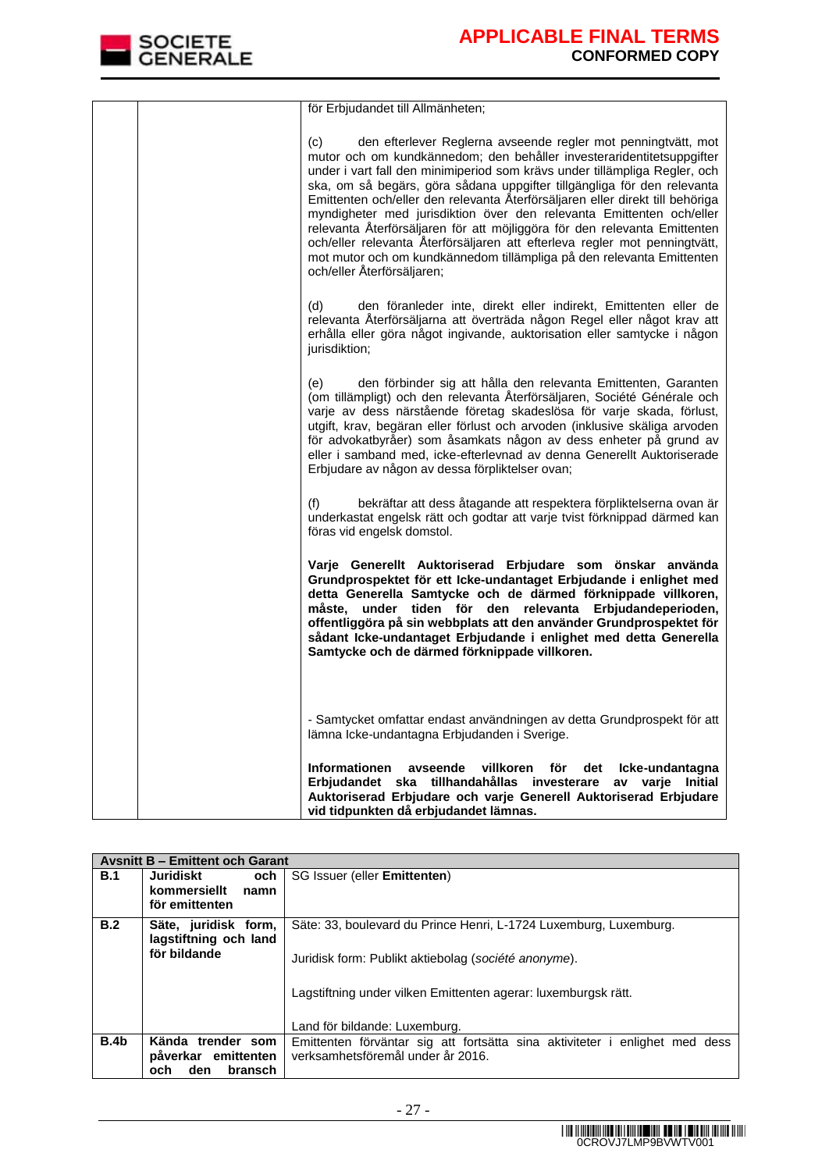

| för Erbjudandet till Allmänheten;                                                                                                                                                                                                                                                                                                                                                                                                                                                                                                                                                                                                                                                                                                 |
|-----------------------------------------------------------------------------------------------------------------------------------------------------------------------------------------------------------------------------------------------------------------------------------------------------------------------------------------------------------------------------------------------------------------------------------------------------------------------------------------------------------------------------------------------------------------------------------------------------------------------------------------------------------------------------------------------------------------------------------|
| (c)<br>den efterlever Reglerna avseende regler mot penningtvätt, mot<br>mutor och om kundkännedom; den behåller investeraridentitetsuppgifter<br>under i vart fall den minimiperiod som krävs under tillämpliga Regler, och<br>ska, om så begärs, göra sådana uppgifter tillgängliga för den relevanta<br>Emittenten och/eller den relevanta Återförsäljaren eller direkt till behöriga<br>myndigheter med jurisdiktion över den relevanta Emittenten och/eller<br>relevanta Återförsäljaren för att möjliggöra för den relevanta Emittenten<br>och/eller relevanta Återförsäljaren att efterleva regler mot penningtvätt,<br>mot mutor och om kundkännedom tillämpliga på den relevanta Emittenten<br>och/eller Återförsäljaren; |
| den föranleder inte, direkt eller indirekt, Emittenten eller de<br>(d)<br>relevanta Återförsäljarna att överträda någon Regel eller något krav att<br>erhålla eller göra något ingivande, auktorisation eller samtycke i någon<br>jurisdiktion;                                                                                                                                                                                                                                                                                                                                                                                                                                                                                   |
| den förbinder sig att hålla den relevanta Emittenten, Garanten<br>(e)<br>(om tillämpligt) och den relevanta Återförsäljaren, Société Générale och<br>varje av dess närstående företag skadeslösa för varje skada, förlust,<br>utgift, krav, begäran eller förlust och arvoden (inklusive skäliga arvoden<br>för advokatbyråer) som åsamkats någon av dess enheter på grund av<br>eller i samband med, icke-efterlevnad av denna Generellt Auktoriserade<br>Erbjudare av någon av dessa förpliktelser ovan;                                                                                                                                                                                                                        |
| bekräftar att dess åtagande att respektera förpliktelserna ovan är<br>(f)<br>underkastat engelsk rätt och godtar att varje tvist förknippad därmed kan<br>föras vid engelsk domstol.                                                                                                                                                                                                                                                                                                                                                                                                                                                                                                                                              |
| Varje Generellt Auktoriserad Erbjudare som önskar använda<br>Grundprospektet för ett Icke-undantaget Erbjudande i enlighet med<br>detta Generella Samtycke och de därmed förknippade villkoren,<br>under tiden för den relevanta Erbjudandeperioden,<br>måste.<br>offentliggöra på sin webbplats att den använder Grundprospektet för<br>sådant Icke-undantaget Erbjudande i enlighet med detta Generella<br>Samtycke och de därmed förknippade villkoren.                                                                                                                                                                                                                                                                        |
| - Samtycket omfattar endast användningen av detta Grundprospekt för att<br>lämna Icke-undantagna Erbjudanden i Sverige.                                                                                                                                                                                                                                                                                                                                                                                                                                                                                                                                                                                                           |
| <b>Informationen</b><br>avseende<br>villkoren<br>för<br>det<br>Icke-undantagna<br>Erbjudandet ska tillhandahållas investerare<br>av varie Initial<br>Auktoriserad Erbjudare och varje Generell Auktoriserad Erbjudare<br>vid tidpunkten då erbjudandet lämnas.                                                                                                                                                                                                                                                                                                                                                                                                                                                                    |

|      | <b>Avsnitt B - Emittent och Garant</b>                              |                                                                                                                                                                                                                              |
|------|---------------------------------------------------------------------|------------------------------------------------------------------------------------------------------------------------------------------------------------------------------------------------------------------------------|
| B.1  | Juridiskt<br>och<br>kommersiellt<br>namn<br>för emittenten          | SG Issuer (eller <b>Emittenten)</b>                                                                                                                                                                                          |
| B.2  | Säte, juridisk form,<br>lagstiftning och land<br>för bildande       | Säte: 33, boulevard du Prince Henri, L-1724 Luxemburg, Luxemburg.<br>Juridisk form: Publikt aktiebolag (société anonyme).<br>Lagstiftning under vilken Emittenten agerar: luxemburgsk rätt.<br>Land för bildande: Luxemburg. |
| B.4b | Kända trender som<br>påverkar emittenten<br>bransch<br>den.<br>och. | Emittenten förväntar sig att fortsätta sina aktiviteter i enlighet med dess<br>verksamhetsföremål under år 2016.                                                                                                             |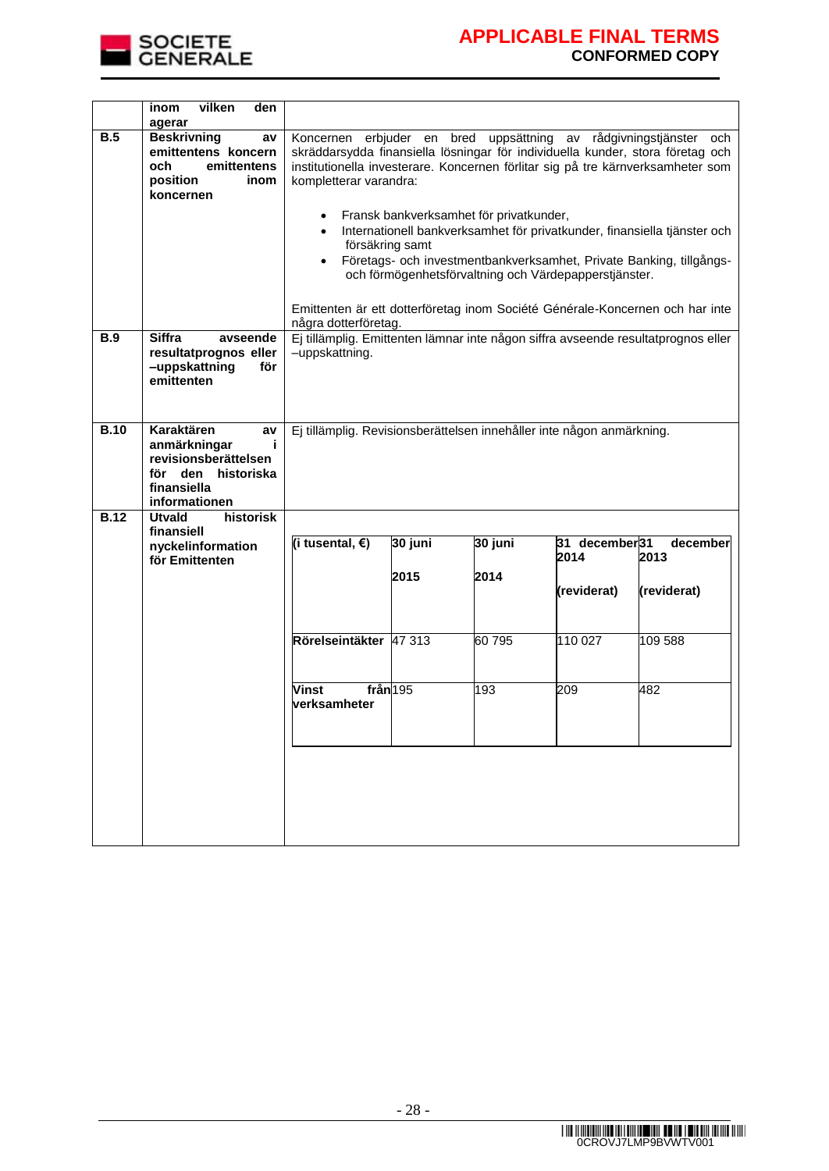

|             | inom<br>vilken<br>den<br>agerar                                                                                            |                                                                                                                                                                                                                                                                        |         |                                         |                                                       |                                                                                                                                                 |
|-------------|----------------------------------------------------------------------------------------------------------------------------|------------------------------------------------------------------------------------------------------------------------------------------------------------------------------------------------------------------------------------------------------------------------|---------|-----------------------------------------|-------------------------------------------------------|-------------------------------------------------------------------------------------------------------------------------------------------------|
| B.5         | <b>Beskrivning</b><br>av<br>emittentens koncern<br>emittentens<br>och<br>position<br>inom<br>koncernen                     | erbjuder en bred<br>uppsättning av rådgivningstjänster och<br>Koncernen<br>skräddarsydda finansiella lösningar för individuella kunder, stora företag och<br>institutionella investerare. Koncernen förlitar sig på tre kärnverksamheter som<br>kompletterar varandra: |         |                                         |                                                       |                                                                                                                                                 |
|             |                                                                                                                            |                                                                                                                                                                                                                                                                        |         | Fransk bankverksamhet för privatkunder, |                                                       |                                                                                                                                                 |
|             |                                                                                                                            | försäkring samt                                                                                                                                                                                                                                                        |         |                                         | och förmögenhetsförvaltning och Värdepapperstjänster. | Internationell bankverksamhet för privatkunder, finansiella tjänster och<br>Företags- och investmentbankverksamhet, Private Banking, tillgångs- |
|             |                                                                                                                            |                                                                                                                                                                                                                                                                        |         |                                         |                                                       |                                                                                                                                                 |
|             |                                                                                                                            | några dotterföretag.                                                                                                                                                                                                                                                   |         |                                         |                                                       | Emittenten är ett dotterföretag inom Société Générale-Koncernen och har inte                                                                    |
| <b>B.9</b>  | <b>Siffra</b><br>avseende<br>resultatprognos eller<br>-uppskattning<br>för<br>emittenten                                   | -uppskattning.                                                                                                                                                                                                                                                         |         |                                         |                                                       | Ej tillämplig. Emittenten lämnar inte någon siffra avseende resultatprognos eller                                                               |
| <b>B.10</b> | Karaktären<br>av<br>anmärkningar<br>j.<br>revisionsberättelsen<br>för<br>den<br>historiska<br>finansiella<br>informationen | Ej tillämplig. Revisionsberättelsen innehåller inte någon anmärkning.                                                                                                                                                                                                  |         |                                         |                                                       |                                                                                                                                                 |
| <b>B.12</b> | <b>Utvald</b><br>historisk<br>finansiell                                                                                   |                                                                                                                                                                                                                                                                        |         |                                         |                                                       |                                                                                                                                                 |
|             | nyckelinformation<br>för Emittenten                                                                                        | (i tusental, $\epsilon$ )                                                                                                                                                                                                                                              | 30 juni | 30 juni                                 | 31 december 31<br>2014                                | december<br>2013                                                                                                                                |
|             |                                                                                                                            |                                                                                                                                                                                                                                                                        | 2015    | 2014                                    | (reviderat)                                           | (reviderat)                                                                                                                                     |
|             |                                                                                                                            | Rörelseintäkter 47 313                                                                                                                                                                                                                                                 |         | 60795                                   | 110 027                                               | 109 588                                                                                                                                         |
|             |                                                                                                                            | från 195<br><b>Vinst</b><br><u>lverksamheter</u>                                                                                                                                                                                                                       |         | 193                                     | 209                                                   | 482                                                                                                                                             |
|             |                                                                                                                            |                                                                                                                                                                                                                                                                        |         |                                         |                                                       |                                                                                                                                                 |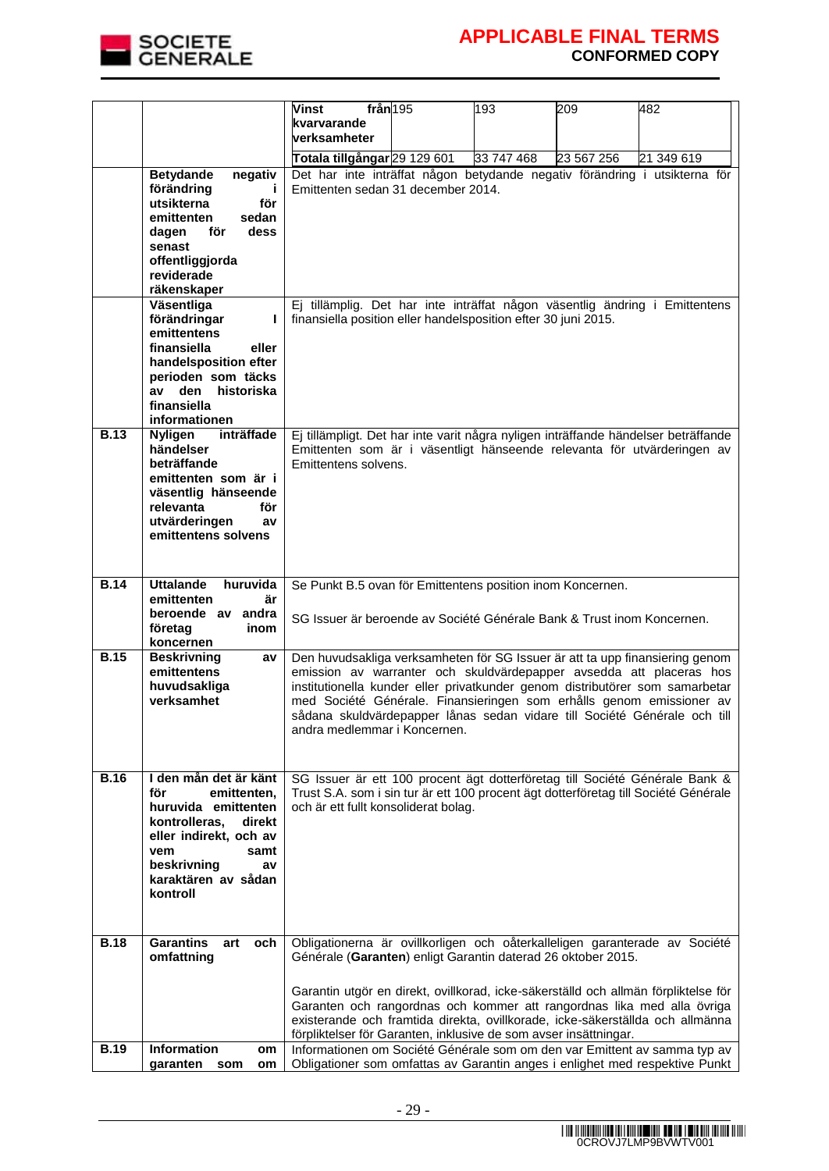

|             |                                                                                                                                                                                                | från 195<br><b>Vinst</b><br>kvarvarande<br><b>verksamheter</b>                                                                                                                                                                                                                                                                                                                                 | 193        | 209        | 482                                                                       |
|-------------|------------------------------------------------------------------------------------------------------------------------------------------------------------------------------------------------|------------------------------------------------------------------------------------------------------------------------------------------------------------------------------------------------------------------------------------------------------------------------------------------------------------------------------------------------------------------------------------------------|------------|------------|---------------------------------------------------------------------------|
|             |                                                                                                                                                                                                | Totala tillgångar 29 129 601                                                                                                                                                                                                                                                                                                                                                                   | 33 747 468 | 23 567 256 | 21 349 619                                                                |
|             | <b>Betydande</b><br>negativ<br>förändring<br>utsikterna<br>för<br>emittenten<br>sedan<br>för<br>dess<br>dagen<br>senast<br>offentliggjorda<br>reviderade<br>räkenskaper                        | Det har inte inträffat någon betydande negativ förändring i utsikterna för<br>Emittenten sedan 31 december 2014.                                                                                                                                                                                                                                                                               |            |            |                                                                           |
|             | Väsentliga<br>förändringar<br>emittentens<br>finansiella<br>eller<br>handelsposition efter<br>perioden som täcks<br>av den<br>historiska<br>finansiella<br>informationen                       | Ej tillämplig. Det har inte inträffat någon väsentlig ändring i Emittentens<br>finansiella position eller handelsposition efter 30 juni 2015.                                                                                                                                                                                                                                                  |            |            |                                                                           |
| <b>B.13</b> | inträffade<br><b>Nyligen</b><br>händelser<br>beträffande<br>emittenten som är i<br>väsentlig hänseende<br>relevanta<br>för<br>utvärderingen<br>av<br>emittentens solvens                       | Ej tillämpligt. Det har inte varit några nyligen inträffande händelser beträffande<br>Emittenten som är i väsentligt hänseende relevanta för utvärderingen av<br>Emittentens solvens.                                                                                                                                                                                                          |            |            |                                                                           |
| <b>B.14</b> | <b>Uttalande</b><br>huruvida<br>emittenten<br>är<br>beroende av andra<br>företag<br>inom                                                                                                       | Se Punkt B.5 ovan för Emittentens position inom Koncernen.<br>SG Issuer är beroende av Société Générale Bank & Trust inom Koncernen.                                                                                                                                                                                                                                                           |            |            |                                                                           |
|             | koncernen                                                                                                                                                                                      |                                                                                                                                                                                                                                                                                                                                                                                                |            |            |                                                                           |
| <b>B.15</b> | <b>Beskrivning</b><br>av<br>emittentens<br>huvudsakliga<br>verksamhet                                                                                                                          | Den huvudsakliga verksamheten för SG Issuer är att ta upp finansiering genom<br>emission av warranter och skuldvärdepapper avsedda att placeras hos<br>institutionella kunder eller privatkunder genom distributörer som samarbetar<br>med Société Générale. Finansieringen som erhålls genom emissioner av<br>andra medlemmar i Koncernen.                                                    |            |            | sådana skuldvärdepapper lånas sedan vidare till Société Générale och till |
| B.16        | I den mån det är känt<br>för<br>emittenten,<br>huruvida emittenten<br>kontrolleras,<br>direkt<br>eller indirekt, och av<br>vem<br>samt<br>beskrivning<br>av<br>karaktären av sådan<br>kontroll | SG Issuer är ett 100 procent ägt dotterföretag till Société Générale Bank &<br>Trust S.A. som i sin tur är ett 100 procent ägt dotterföretag till Société Générale<br>och är ett fullt konsoliderat bolag.                                                                                                                                                                                     |            |            |                                                                           |
| <b>B.18</b> | <b>Garantins</b><br>art<br>och                                                                                                                                                                 | Obligationerna är ovillkorligen och oåterkalleligen garanterade av Société                                                                                                                                                                                                                                                                                                                     |            |            |                                                                           |
|             | omfattning                                                                                                                                                                                     | Générale (Garanten) enligt Garantin daterad 26 oktober 2015.                                                                                                                                                                                                                                                                                                                                   |            |            |                                                                           |
| <b>B.19</b> | Information<br>om                                                                                                                                                                              | Garantin utgör en direkt, ovillkorad, icke-säkerställd och allmän förpliktelse för<br>Garanten och rangordnas och kommer att rangordnas lika med alla övriga<br>existerande och framtida direkta, ovillkorade, icke-säkerställda och allmänna<br>förpliktelser för Garanten, inklusive de som avser insättningar.<br>Informationen om Société Générale som om den var Emittent av samma typ av |            |            |                                                                           |
|             | garanten som<br>om                                                                                                                                                                             | Obligationer som omfattas av Garantin anges i enlighet med respektive Punkt                                                                                                                                                                                                                                                                                                                    |            |            |                                                                           |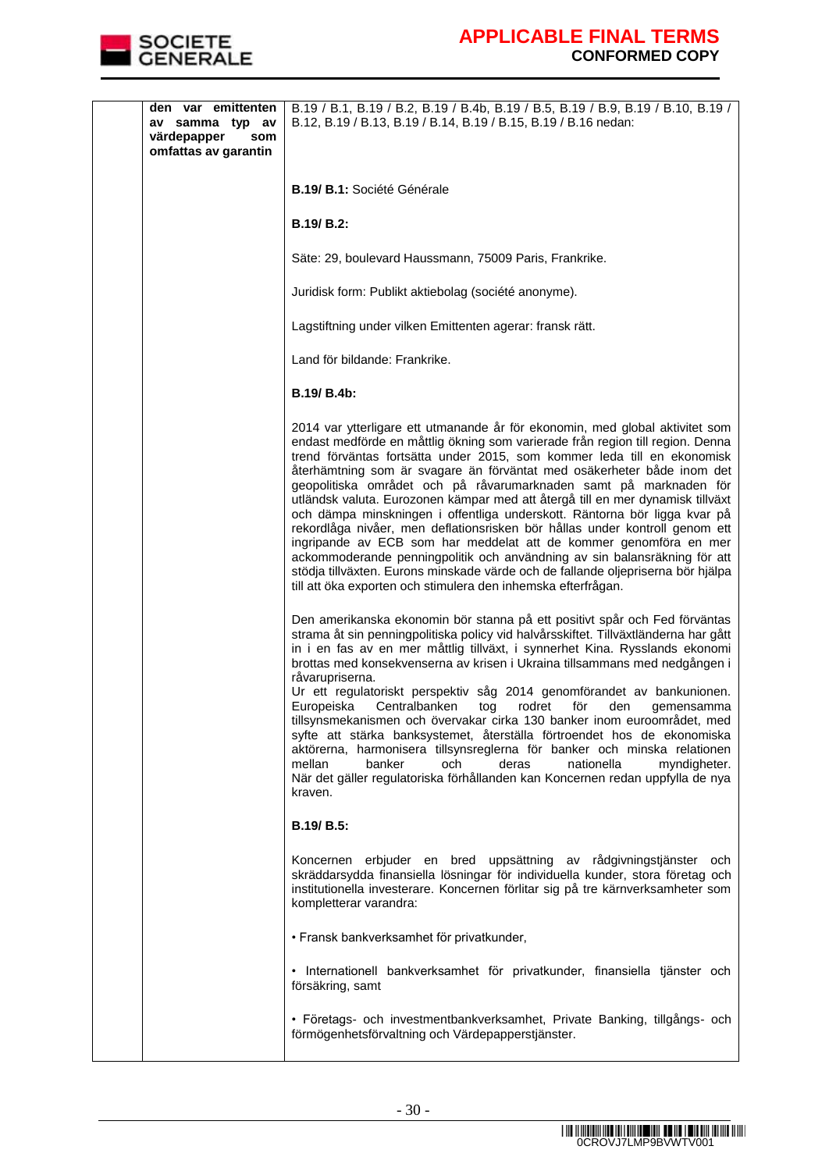

| den var emittenten<br>av samma typ av<br>värdepapper<br>som<br>omfattas av garantin | B.19 / B.1, B.19 / B.2, B.19 / B.4b, B.19 / B.5, B.19 / B.9, B.19 / B.10, B.19 /<br>B.12, B.19 / B.13, B.19 / B.14, B.19 / B.15, B.19 / B.16 nedan:                                                                                                                                                                                                                                                                                                                                                                                                                                                                                                                                                                                                                                                                                                                                                                                           |
|-------------------------------------------------------------------------------------|-----------------------------------------------------------------------------------------------------------------------------------------------------------------------------------------------------------------------------------------------------------------------------------------------------------------------------------------------------------------------------------------------------------------------------------------------------------------------------------------------------------------------------------------------------------------------------------------------------------------------------------------------------------------------------------------------------------------------------------------------------------------------------------------------------------------------------------------------------------------------------------------------------------------------------------------------|
|                                                                                     | B.19/ B.1: Société Générale                                                                                                                                                                                                                                                                                                                                                                                                                                                                                                                                                                                                                                                                                                                                                                                                                                                                                                                   |
|                                                                                     | <b>B.19/ B.2:</b>                                                                                                                                                                                                                                                                                                                                                                                                                                                                                                                                                                                                                                                                                                                                                                                                                                                                                                                             |
|                                                                                     | Säte: 29, boulevard Haussmann, 75009 Paris, Frankrike.                                                                                                                                                                                                                                                                                                                                                                                                                                                                                                                                                                                                                                                                                                                                                                                                                                                                                        |
|                                                                                     | Juridisk form: Publikt aktiebolag (société anonyme).                                                                                                                                                                                                                                                                                                                                                                                                                                                                                                                                                                                                                                                                                                                                                                                                                                                                                          |
|                                                                                     | Lagstiftning under vilken Emittenten agerar: fransk rätt.                                                                                                                                                                                                                                                                                                                                                                                                                                                                                                                                                                                                                                                                                                                                                                                                                                                                                     |
|                                                                                     | Land för bildande: Frankrike.                                                                                                                                                                                                                                                                                                                                                                                                                                                                                                                                                                                                                                                                                                                                                                                                                                                                                                                 |
|                                                                                     | <b>B.19/ B.4b:</b>                                                                                                                                                                                                                                                                                                                                                                                                                                                                                                                                                                                                                                                                                                                                                                                                                                                                                                                            |
|                                                                                     | 2014 var ytterligare ett utmanande år för ekonomin, med global aktivitet som<br>endast medförde en måttlig ökning som varierade från region till region. Denna<br>trend förväntas fortsätta under 2015, som kommer leda till en ekonomisk<br>återhämtning som är svagare än förväntat med osäkerheter både inom det<br>geopolitiska området och på råvarumarknaden samt på marknaden för<br>utländsk valuta. Eurozonen kämpar med att återgå till en mer dynamisk tillväxt<br>och dämpa minskningen i offentliga underskott. Räntorna bör ligga kvar på<br>rekordlåga nivåer, men deflationsrisken bör hållas under kontroll genom ett<br>ingripande av ECB som har meddelat att de kommer genomföra en mer<br>ackommoderande penningpolitik och användning av sin balansräkning för att<br>stödja tillväxten. Eurons minskade värde och de fallande oljepriserna bör hjälpa<br>till att öka exporten och stimulera den inhemska efterfrågan. |
|                                                                                     | Den amerikanska ekonomin bör stanna på ett positivt spår och Fed förväntas<br>strama åt sin penningpolitiska policy vid halvårsskiftet. Tillväxtländerna har gått<br>in i en fas av en mer måttlig tillväxt, i synnerhet Kina. Rysslands ekonomi<br>brottas med konsekvenserna av krisen i Ukraina tillsammans med nedgången i<br>råvarupriserna.<br>Ur ett regulatoriskt perspektiv såg 2014 genomförandet av bankunionen.<br>Europeiska Centralbanken tog<br>rodret för<br>den<br>gemensamma<br>tillsynsmekanismen och övervakar cirka 130 banker inom euroområdet, med<br>syfte att stärka banksystemet, återställa förtroendet hos de ekonomiska<br>aktörerna, harmonisera tillsynsreglerna för banker och minska relationen<br>mellan<br>banker<br>nationella<br>och<br>deras<br>myndigheter.<br>När det gäller regulatoriska förhållanden kan Koncernen redan uppfylla de nya<br>kraven.                                                |
|                                                                                     | B.19/ B.5:                                                                                                                                                                                                                                                                                                                                                                                                                                                                                                                                                                                                                                                                                                                                                                                                                                                                                                                                    |
|                                                                                     | Koncernen erbjuder en bred uppsättning av rådgivningstjänster och<br>skräddarsydda finansiella lösningar för individuella kunder, stora företag och<br>institutionella investerare. Koncernen förlitar sig på tre kärnverksamheter som<br>kompletterar varandra:                                                                                                                                                                                                                                                                                                                                                                                                                                                                                                                                                                                                                                                                              |
|                                                                                     | · Fransk bankverksamhet för privatkunder,                                                                                                                                                                                                                                                                                                                                                                                                                                                                                                                                                                                                                                                                                                                                                                                                                                                                                                     |
|                                                                                     | · Internationell bankverksamhet för privatkunder, finansiella tjänster och<br>försäkring, samt                                                                                                                                                                                                                                                                                                                                                                                                                                                                                                                                                                                                                                                                                                                                                                                                                                                |
|                                                                                     | · Företags- och investmentbankverksamhet, Private Banking, tillgångs- och<br>förmögenhetsförvaltning och Värdepapperstjänster.                                                                                                                                                                                                                                                                                                                                                                                                                                                                                                                                                                                                                                                                                                                                                                                                                |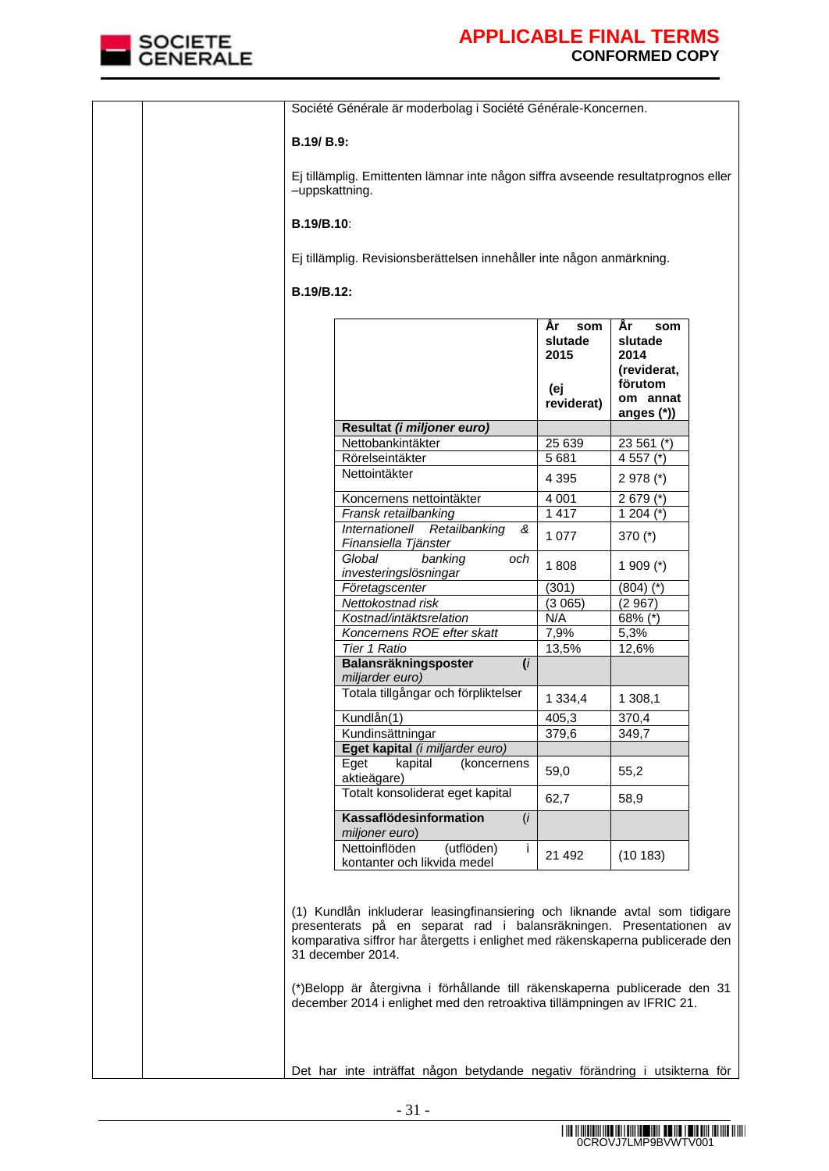

| B.19/ B.9:<br>-uppskattning.<br><b>B.19/B.10:</b><br>Ej tillämplig. Revisionsberättelsen innehåller inte någon anmärkning.<br>B.19/B.12:<br>Ar<br>Ar<br>som<br>som<br>slutade<br>slutade<br>2015<br>2014<br>(reviderat,<br>förutom<br>(ej<br>om annat<br>reviderat)<br>anges (*))<br>Resultat (i miljoner euro)<br>Nettobankintäkter<br>25 639<br>23 561 (*)<br>5681<br>4 557 (*)<br>Rörelseintäkter<br>Nettointäkter<br>4 3 9 5<br>$2978$ (*)<br>Koncernens nettointäkter<br>4 0 0 1<br>$2679$ (*)<br>Fransk retailbanking<br>1 4 1 7<br>1 204 $(*)$<br>Internationell<br>Retailbanking<br>&<br>1 0 7 7<br>370 $(*)$<br>Finansiella Tjänster<br>Global<br>banking<br>och<br>1808<br>1 909 $(*)$<br>investeringslösningar<br>Företagscenter<br>(301)<br>$(804)$ $(*)$<br>Nettokostnad risk<br>(3065)<br>(2967)<br>Kostnad/intäktsrelation<br>N/A<br>68% (*)<br>Koncernens ROE efter skatt<br>7,9%<br>5,3%<br>Tier 1 Ratio<br>13,5%<br>12,6%<br>Balansräkningsposter<br>(i)<br>miljarder euro)<br>Totala tillgångar och förpliktelser<br>1 3 3 4 , 4<br>1 308,1<br>Kundlån(1)<br>405.3<br>370.4<br>379,6<br>349,7<br>Kundinsättningar<br>Eget kapital (i miljarder euro)<br>Eget<br>kapital<br>(koncernens<br>59,0<br>55,2<br>aktieägare)<br>Totalt konsoliderat eget kapital<br>62,7<br>58,9<br>Kassaflödesinformation<br>(i)<br>miljoner euro)<br>Nettoinflöden<br>(utflöden)<br>j.<br>21 4 9 2<br>(10183)<br>kontanter och likvida medel | Société Générale är moderbolag i Société Générale-Koncernen.                      |  |  |  |  |  |  |
|--------------------------------------------------------------------------------------------------------------------------------------------------------------------------------------------------------------------------------------------------------------------------------------------------------------------------------------------------------------------------------------------------------------------------------------------------------------------------------------------------------------------------------------------------------------------------------------------------------------------------------------------------------------------------------------------------------------------------------------------------------------------------------------------------------------------------------------------------------------------------------------------------------------------------------------------------------------------------------------------------------------------------------------------------------------------------------------------------------------------------------------------------------------------------------------------------------------------------------------------------------------------------------------------------------------------------------------------------------------------------------------------------------------------------------------------|-----------------------------------------------------------------------------------|--|--|--|--|--|--|
|                                                                                                                                                                                                                                                                                                                                                                                                                                                                                                                                                                                                                                                                                                                                                                                                                                                                                                                                                                                                                                                                                                                                                                                                                                                                                                                                                                                                                                            |                                                                                   |  |  |  |  |  |  |
|                                                                                                                                                                                                                                                                                                                                                                                                                                                                                                                                                                                                                                                                                                                                                                                                                                                                                                                                                                                                                                                                                                                                                                                                                                                                                                                                                                                                                                            | Ej tillämplig. Emittenten lämnar inte någon siffra avseende resultatprognos eller |  |  |  |  |  |  |
|                                                                                                                                                                                                                                                                                                                                                                                                                                                                                                                                                                                                                                                                                                                                                                                                                                                                                                                                                                                                                                                                                                                                                                                                                                                                                                                                                                                                                                            |                                                                                   |  |  |  |  |  |  |
|                                                                                                                                                                                                                                                                                                                                                                                                                                                                                                                                                                                                                                                                                                                                                                                                                                                                                                                                                                                                                                                                                                                                                                                                                                                                                                                                                                                                                                            |                                                                                   |  |  |  |  |  |  |
|                                                                                                                                                                                                                                                                                                                                                                                                                                                                                                                                                                                                                                                                                                                                                                                                                                                                                                                                                                                                                                                                                                                                                                                                                                                                                                                                                                                                                                            |                                                                                   |  |  |  |  |  |  |
|                                                                                                                                                                                                                                                                                                                                                                                                                                                                                                                                                                                                                                                                                                                                                                                                                                                                                                                                                                                                                                                                                                                                                                                                                                                                                                                                                                                                                                            |                                                                                   |  |  |  |  |  |  |
|                                                                                                                                                                                                                                                                                                                                                                                                                                                                                                                                                                                                                                                                                                                                                                                                                                                                                                                                                                                                                                                                                                                                                                                                                                                                                                                                                                                                                                            |                                                                                   |  |  |  |  |  |  |
|                                                                                                                                                                                                                                                                                                                                                                                                                                                                                                                                                                                                                                                                                                                                                                                                                                                                                                                                                                                                                                                                                                                                                                                                                                                                                                                                                                                                                                            |                                                                                   |  |  |  |  |  |  |
|                                                                                                                                                                                                                                                                                                                                                                                                                                                                                                                                                                                                                                                                                                                                                                                                                                                                                                                                                                                                                                                                                                                                                                                                                                                                                                                                                                                                                                            |                                                                                   |  |  |  |  |  |  |
|                                                                                                                                                                                                                                                                                                                                                                                                                                                                                                                                                                                                                                                                                                                                                                                                                                                                                                                                                                                                                                                                                                                                                                                                                                                                                                                                                                                                                                            |                                                                                   |  |  |  |  |  |  |
|                                                                                                                                                                                                                                                                                                                                                                                                                                                                                                                                                                                                                                                                                                                                                                                                                                                                                                                                                                                                                                                                                                                                                                                                                                                                                                                                                                                                                                            |                                                                                   |  |  |  |  |  |  |
|                                                                                                                                                                                                                                                                                                                                                                                                                                                                                                                                                                                                                                                                                                                                                                                                                                                                                                                                                                                                                                                                                                                                                                                                                                                                                                                                                                                                                                            |                                                                                   |  |  |  |  |  |  |
|                                                                                                                                                                                                                                                                                                                                                                                                                                                                                                                                                                                                                                                                                                                                                                                                                                                                                                                                                                                                                                                                                                                                                                                                                                                                                                                                                                                                                                            |                                                                                   |  |  |  |  |  |  |
|                                                                                                                                                                                                                                                                                                                                                                                                                                                                                                                                                                                                                                                                                                                                                                                                                                                                                                                                                                                                                                                                                                                                                                                                                                                                                                                                                                                                                                            |                                                                                   |  |  |  |  |  |  |
|                                                                                                                                                                                                                                                                                                                                                                                                                                                                                                                                                                                                                                                                                                                                                                                                                                                                                                                                                                                                                                                                                                                                                                                                                                                                                                                                                                                                                                            |                                                                                   |  |  |  |  |  |  |
|                                                                                                                                                                                                                                                                                                                                                                                                                                                                                                                                                                                                                                                                                                                                                                                                                                                                                                                                                                                                                                                                                                                                                                                                                                                                                                                                                                                                                                            |                                                                                   |  |  |  |  |  |  |
|                                                                                                                                                                                                                                                                                                                                                                                                                                                                                                                                                                                                                                                                                                                                                                                                                                                                                                                                                                                                                                                                                                                                                                                                                                                                                                                                                                                                                                            |                                                                                   |  |  |  |  |  |  |
|                                                                                                                                                                                                                                                                                                                                                                                                                                                                                                                                                                                                                                                                                                                                                                                                                                                                                                                                                                                                                                                                                                                                                                                                                                                                                                                                                                                                                                            |                                                                                   |  |  |  |  |  |  |
|                                                                                                                                                                                                                                                                                                                                                                                                                                                                                                                                                                                                                                                                                                                                                                                                                                                                                                                                                                                                                                                                                                                                                                                                                                                                                                                                                                                                                                            |                                                                                   |  |  |  |  |  |  |
|                                                                                                                                                                                                                                                                                                                                                                                                                                                                                                                                                                                                                                                                                                                                                                                                                                                                                                                                                                                                                                                                                                                                                                                                                                                                                                                                                                                                                                            |                                                                                   |  |  |  |  |  |  |
|                                                                                                                                                                                                                                                                                                                                                                                                                                                                                                                                                                                                                                                                                                                                                                                                                                                                                                                                                                                                                                                                                                                                                                                                                                                                                                                                                                                                                                            |                                                                                   |  |  |  |  |  |  |
|                                                                                                                                                                                                                                                                                                                                                                                                                                                                                                                                                                                                                                                                                                                                                                                                                                                                                                                                                                                                                                                                                                                                                                                                                                                                                                                                                                                                                                            |                                                                                   |  |  |  |  |  |  |
|                                                                                                                                                                                                                                                                                                                                                                                                                                                                                                                                                                                                                                                                                                                                                                                                                                                                                                                                                                                                                                                                                                                                                                                                                                                                                                                                                                                                                                            |                                                                                   |  |  |  |  |  |  |
|                                                                                                                                                                                                                                                                                                                                                                                                                                                                                                                                                                                                                                                                                                                                                                                                                                                                                                                                                                                                                                                                                                                                                                                                                                                                                                                                                                                                                                            |                                                                                   |  |  |  |  |  |  |
|                                                                                                                                                                                                                                                                                                                                                                                                                                                                                                                                                                                                                                                                                                                                                                                                                                                                                                                                                                                                                                                                                                                                                                                                                                                                                                                                                                                                                                            |                                                                                   |  |  |  |  |  |  |
|                                                                                                                                                                                                                                                                                                                                                                                                                                                                                                                                                                                                                                                                                                                                                                                                                                                                                                                                                                                                                                                                                                                                                                                                                                                                                                                                                                                                                                            |                                                                                   |  |  |  |  |  |  |
| (1) Kundlån inkluderar leasingfinansiering och liknande avtal som tidigare<br>presenterats på en separat rad i balansräkningen. Presentationen av<br>komparativa siffror har återgetts i enlighet med räkenskaperna publicerade den<br>31 december 2014.<br>(*)Belopp är återgivna i förhållande till räkenskaperna publicerade den 31<br>december 2014 i enlighet med den retroaktiva tillämpningen av IFRIC 21.<br>Det har inte inträffat någon betydande negativ förändring i utsikterna för                                                                                                                                                                                                                                                                                                                                                                                                                                                                                                                                                                                                                                                                                                                                                                                                                                                                                                                                            |                                                                                   |  |  |  |  |  |  |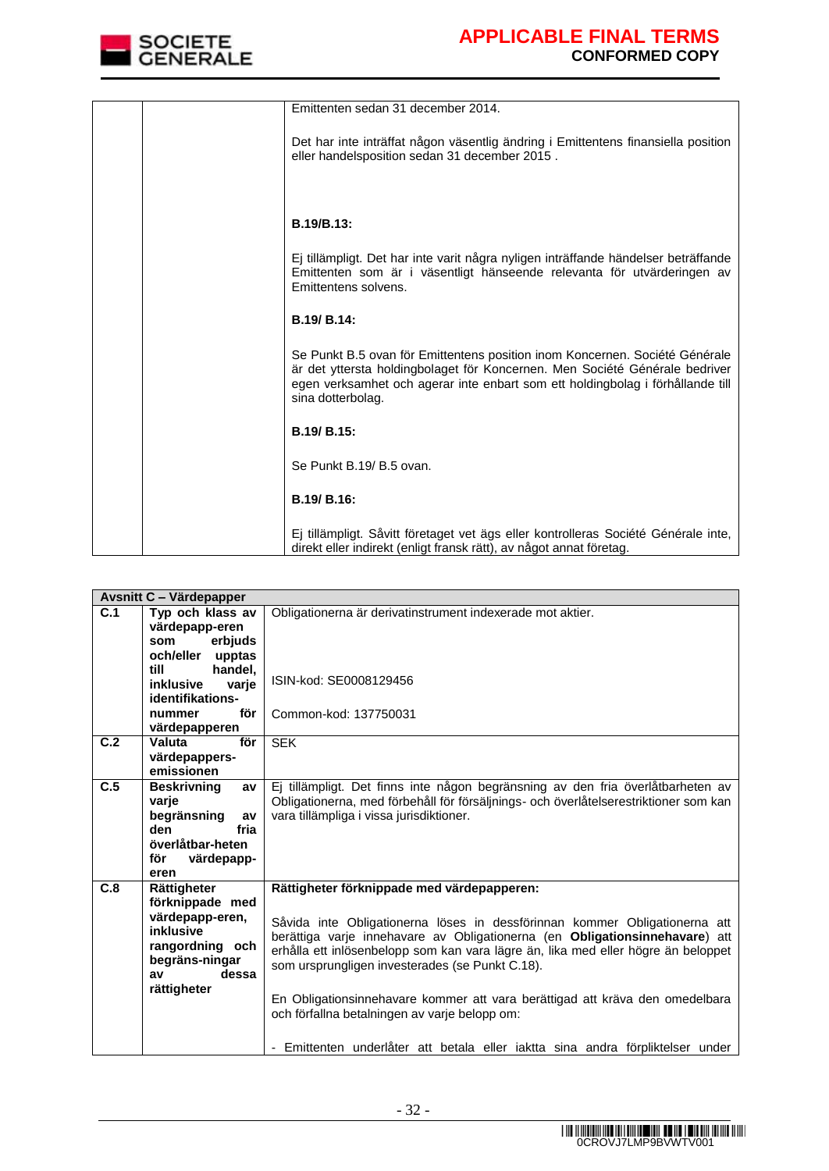

| Emittenten sedan 31 december 2014.                                                                                                                                                                                                                                |
|-------------------------------------------------------------------------------------------------------------------------------------------------------------------------------------------------------------------------------------------------------------------|
| Det har inte inträffat någon väsentlig ändring i Emittentens finansiella position<br>eller handelsposition sedan 31 december 2015.                                                                                                                                |
|                                                                                                                                                                                                                                                                   |
| <b>B.19/B.13:</b>                                                                                                                                                                                                                                                 |
| Ej tillämpligt. Det har inte varit några nyligen inträffande händelser beträffande<br>Emittenten som är i väsentligt hänseende relevanta för utvärderingen av<br>Emittentens solvens.                                                                             |
| B.19/ B.14:                                                                                                                                                                                                                                                       |
| Se Punkt B.5 ovan för Emittentens position inom Koncernen. Société Générale<br>är det yttersta holdingbolaget för Koncernen. Men Société Générale bedriver<br>egen verksamhet och agerar inte enbart som ett holdingbolag i förhållande till<br>sina dotterbolag. |
| B.19/ B.15:                                                                                                                                                                                                                                                       |
| Se Punkt B.19/ B.5 ovan.                                                                                                                                                                                                                                          |
| B.19/ B.16:                                                                                                                                                                                                                                                       |
| Ej tillämpligt. Såvitt företaget vet ägs eller kontrolleras Société Générale inte,<br>direkt eller indirekt (enligt fransk rätt), av något annat företag.                                                                                                         |

|     | <b>Avsnitt C - Värdepapper</b>                                                                                                    |                                                                                                                                                                                                                                                                                                                                                                                                                                                                                                                                                                    |  |  |
|-----|-----------------------------------------------------------------------------------------------------------------------------------|--------------------------------------------------------------------------------------------------------------------------------------------------------------------------------------------------------------------------------------------------------------------------------------------------------------------------------------------------------------------------------------------------------------------------------------------------------------------------------------------------------------------------------------------------------------------|--|--|
| C.1 | Typ och klass av<br>värdepapp-eren<br>erbjuds<br>som<br>och/eller<br>upptas                                                       | Obligationerna är derivatinstrument indexerade mot aktier.                                                                                                                                                                                                                                                                                                                                                                                                                                                                                                         |  |  |
|     | till<br>handel,<br><b>inklusive</b><br>varje<br>identifikations-<br>för<br>nummer<br>värdepapperen                                | ISIN-kod: SE0008129456<br>Common-kod: 137750031                                                                                                                                                                                                                                                                                                                                                                                                                                                                                                                    |  |  |
| C.2 | för<br>Valuta<br>värdepappers-<br>emissionen                                                                                      | <b>SEK</b>                                                                                                                                                                                                                                                                                                                                                                                                                                                                                                                                                         |  |  |
| C.5 | <b>Beskrivning</b><br>av<br>varie<br>begränsning<br>av<br>fria<br>den<br>överlåtbar-heten<br>för<br>värdepapp-<br>eren            | Ej tillämpligt. Det finns inte någon begränsning av den fria överlåtbarheten av<br>Obligationerna, med förbehåll för försäljnings- och överlåtelserestriktioner som kan<br>vara tillämpliga i vissa jurisdiktioner.                                                                                                                                                                                                                                                                                                                                                |  |  |
| C.8 | Rättigheter<br>förknippade med<br>värdepapp-eren,<br>inklusive<br>rangordning och<br>begräns-ningar<br>dessa<br>av<br>rättigheter | Rättigheter förknippade med värdepapperen:<br>Såvida inte Obligationerna löses in dessförinnan kommer Obligationerna att<br>berättiga varje innehavare av Obligationerna (en Obligationsinnehavare) att<br>erhålla ett inlösenbelopp som kan vara lägre än, lika med eller högre än beloppet<br>som ursprungligen investerades (se Punkt C.18).<br>En Obligationsinnehavare kommer att vara berättigad att kräva den omedelbara<br>och förfallna betalningen av varie belopp om:<br>- Emittenten underlåter att betala eller iaktta sina andra förpliktelser under |  |  |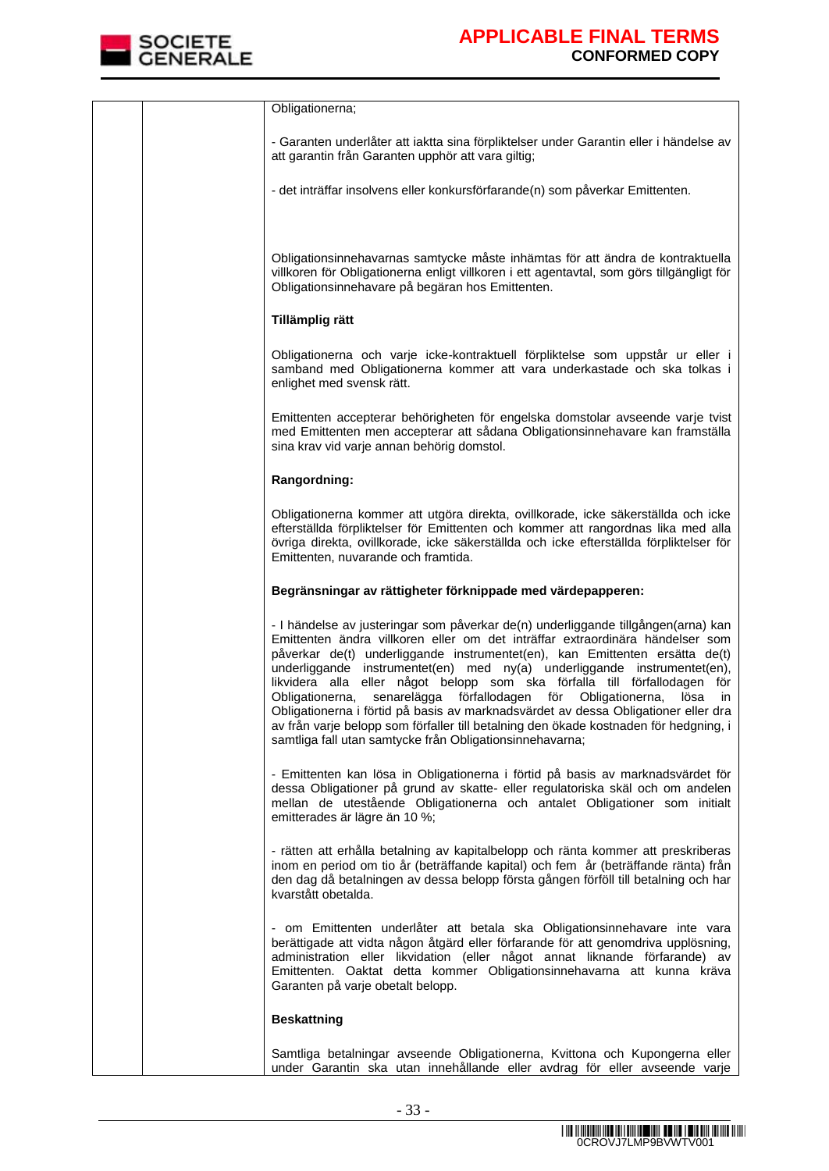

| Obligationerna;                                                                                                                                                                                                                                                                                                                                                                                                                                                                                                                                                                                                                                                                                                                      |
|--------------------------------------------------------------------------------------------------------------------------------------------------------------------------------------------------------------------------------------------------------------------------------------------------------------------------------------------------------------------------------------------------------------------------------------------------------------------------------------------------------------------------------------------------------------------------------------------------------------------------------------------------------------------------------------------------------------------------------------|
| - Garanten underlåter att iaktta sina förpliktelser under Garantin eller i händelse av<br>att garantin från Garanten upphör att vara giltig;                                                                                                                                                                                                                                                                                                                                                                                                                                                                                                                                                                                         |
| - det inträffar insolvens eller konkursförfarande(n) som påverkar Emittenten.                                                                                                                                                                                                                                                                                                                                                                                                                                                                                                                                                                                                                                                        |
| Obligationsinnehavarnas samtycke måste inhämtas för att ändra de kontraktuella<br>villkoren för Obligationerna enligt villkoren i ett agentavtal, som görs tillgängligt för<br>Obligationsinnehavare på begäran hos Emittenten.                                                                                                                                                                                                                                                                                                                                                                                                                                                                                                      |
| Tillämplig rätt                                                                                                                                                                                                                                                                                                                                                                                                                                                                                                                                                                                                                                                                                                                      |
| Obligationerna och varje icke-kontraktuell förpliktelse som uppstår ur eller i<br>samband med Obligationerna kommer att vara underkastade och ska tolkas i<br>enlighet med svensk rätt.                                                                                                                                                                                                                                                                                                                                                                                                                                                                                                                                              |
| Emittenten accepterar behörigheten för engelska domstolar avseende varje tvist<br>med Emittenten men accepterar att sådana Obligationsinnehavare kan framställa<br>sina krav vid varje annan behörig domstol.                                                                                                                                                                                                                                                                                                                                                                                                                                                                                                                        |
| Rangordning:                                                                                                                                                                                                                                                                                                                                                                                                                                                                                                                                                                                                                                                                                                                         |
| Obligationerna kommer att utgöra direkta, ovillkorade, icke säkerställda och icke<br>efterställda förpliktelser för Emittenten och kommer att rangordnas lika med alla<br>övriga direkta, ovillkorade, icke säkerställda och icke efterställda förpliktelser för<br>Emittenten, nuvarande och framtida.                                                                                                                                                                                                                                                                                                                                                                                                                              |
| Begränsningar av rättigheter förknippade med värdepapperen:                                                                                                                                                                                                                                                                                                                                                                                                                                                                                                                                                                                                                                                                          |
| - I händelse av justeringar som påverkar de(n) underliggande tillgången(arna) kan<br>Emittenten ändra villkoren eller om det inträffar extraordinära händelser som<br>påverkar de(t) underliggande instrumentet(en), kan Emittenten ersätta de(t)<br>underliggande instrumentet(en) med ny(a) underliggande instrumentet(en),<br>likvidera alla eller något belopp som ska förfalla till förfallodagen för<br>Obligationerna, senarelägga förfallodagen för Obligationerna,<br>lösa<br>in<br>Obligationerna i förtid på basis av marknadsvärdet av dessa Obligationer eller dra<br>av från varje belopp som förfaller till betalning den ökade kostnaden för hedgning, i<br>samtliga fall utan samtycke från Obligationsinnehavarna; |
| - Emittenten kan lösa in Obligationerna i förtid på basis av marknadsvärdet för<br>dessa Obligationer på grund av skatte- eller regulatoriska skäl och om andelen<br>mellan de utestående Obligationerna och antalet Obligationer som initialt<br>emitterades är lägre än 10 %;                                                                                                                                                                                                                                                                                                                                                                                                                                                      |
| - rätten att erhålla betalning av kapitalbelopp och ränta kommer att preskriberas<br>inom en period om tio år (beträffande kapital) och fem år (beträffande ränta) från<br>den dag då betalningen av dessa belopp första gången förföll till betalning och har<br>kvarstått obetalda.                                                                                                                                                                                                                                                                                                                                                                                                                                                |
| - om Emittenten underlåter att betala ska Obligationsinnehavare inte vara<br>berättigade att vidta någon åtgärd eller förfarande för att genomdriva upplösning,<br>administration eller likvidation (eller något annat liknande förfarande) av<br>Emittenten. Oaktat detta kommer Obligationsinnehavarna att kunna kräva<br>Garanten på varje obetalt belopp.                                                                                                                                                                                                                                                                                                                                                                        |
| <b>Beskattning</b>                                                                                                                                                                                                                                                                                                                                                                                                                                                                                                                                                                                                                                                                                                                   |
| Samtliga betalningar avseende Obligationerna, Kvittona och Kupongerna eller<br>under Garantin ska utan innehållande eller avdrag för eller avseende varje                                                                                                                                                                                                                                                                                                                                                                                                                                                                                                                                                                            |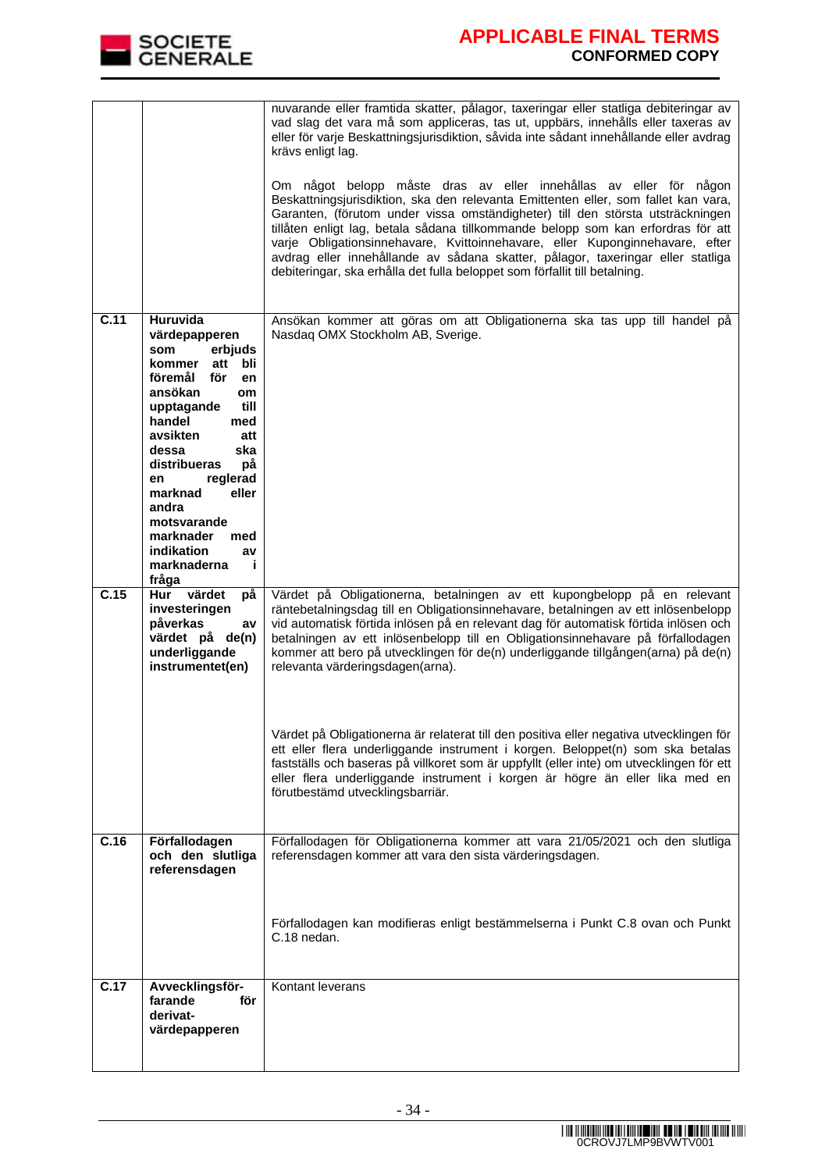

|                   |                                                                                                                                                                                                                                                                                                                                                  | nuvarande eller framtida skatter, pålagor, taxeringar eller statliga debiteringar av<br>vad slag det vara må som appliceras, tas ut, uppbärs, innehålls eller taxeras av<br>eller för varje Beskattningsjurisdiktion, såvida inte sådant innehållande eller avdrag<br>krävs enligt lag.<br>Om något belopp måste dras av eller innehållas av eller för någon<br>Beskattningsjurisdiktion, ska den relevanta Emittenten eller, som fallet kan vara,<br>Garanten, (förutom under vissa omständigheter) till den största utsträckningen<br>tillåten enligt lag, betala sådana tillkommande belopp som kan erfordras för att<br>varje Obligationsinnehavare, Kvittoinnehavare, eller Kuponginnehavare, efter<br>avdrag eller innehållande av sådana skatter, pålagor, taxeringar eller statliga<br>debiteringar, ska erhålla det fulla beloppet som förfallit till betalning. |
|-------------------|--------------------------------------------------------------------------------------------------------------------------------------------------------------------------------------------------------------------------------------------------------------------------------------------------------------------------------------------------|---------------------------------------------------------------------------------------------------------------------------------------------------------------------------------------------------------------------------------------------------------------------------------------------------------------------------------------------------------------------------------------------------------------------------------------------------------------------------------------------------------------------------------------------------------------------------------------------------------------------------------------------------------------------------------------------------------------------------------------------------------------------------------------------------------------------------------------------------------------------------|
| $\overline{C.11}$ | Huruvida<br>värdepapperen<br>erbjuds<br>som<br>bli<br>kommer<br>att<br>föremål<br>för<br>en<br>ansökan<br>om<br>upptagande<br>till<br>handel<br>med<br>avsikten<br>att<br>dessa<br>ska<br>distribueras<br>рå<br>reglerad<br>en<br>eller<br>marknad<br>andra<br>motsvarande<br>marknader<br>med<br>indikation<br>av<br>marknaderna<br>j.<br>fråga | Ansökan kommer att göras om att Obligationerna ska tas upp till handel på<br>Nasdaq OMX Stockholm AB, Sverige.                                                                                                                                                                                                                                                                                                                                                                                                                                                                                                                                                                                                                                                                                                                                                            |
| C.15              | värdet<br>Hur<br>рå<br>investeringen<br>påverkas<br>av<br>värdet på de(n)<br>underliggande<br>instrumentet(en)                                                                                                                                                                                                                                   | Värdet på Obligationerna, betalningen av ett kupongbelopp på en relevant<br>räntebetalningsdag till en Obligationsinnehavare, betalningen av ett inlösenbelopp<br>vid automatisk förtida inlösen på en relevant dag för automatisk förtida inlösen och<br>betalningen av ett inlösenbelopp till en Obligationsinnehavare på förfallodagen<br>kommer att bero på utvecklingen för de(n) underliggande tillgången(arna) på de(n)<br>relevanta värderingsdagen(arna).<br>Värdet på Obligationerna är relaterat till den positiva eller negativa utvecklingen för<br>ett eller flera underliggande instrument i korgen. Beloppet(n) som ska betalas<br>fastställs och baseras på villkoret som är uppfyllt (eller inte) om utvecklingen för ett<br>eller flera underliggande instrument i korgen är högre än eller lika med en<br>förutbestämd utvecklingsbarriär.            |
| C.16              | Förfallodagen<br>och den slutliga<br>referensdagen                                                                                                                                                                                                                                                                                               | Förfallodagen för Obligationerna kommer att vara 21/05/2021 och den slutliga<br>referensdagen kommer att vara den sista värderingsdagen.<br>Förfallodagen kan modifieras enligt bestämmelserna i Punkt C.8 ovan och Punkt<br>C.18 nedan.                                                                                                                                                                                                                                                                                                                                                                                                                                                                                                                                                                                                                                  |
| C.17              | Avvecklingsför-<br>farande<br>för<br>derivat-<br>värdepapperen                                                                                                                                                                                                                                                                                   | Kontant leverans                                                                                                                                                                                                                                                                                                                                                                                                                                                                                                                                                                                                                                                                                                                                                                                                                                                          |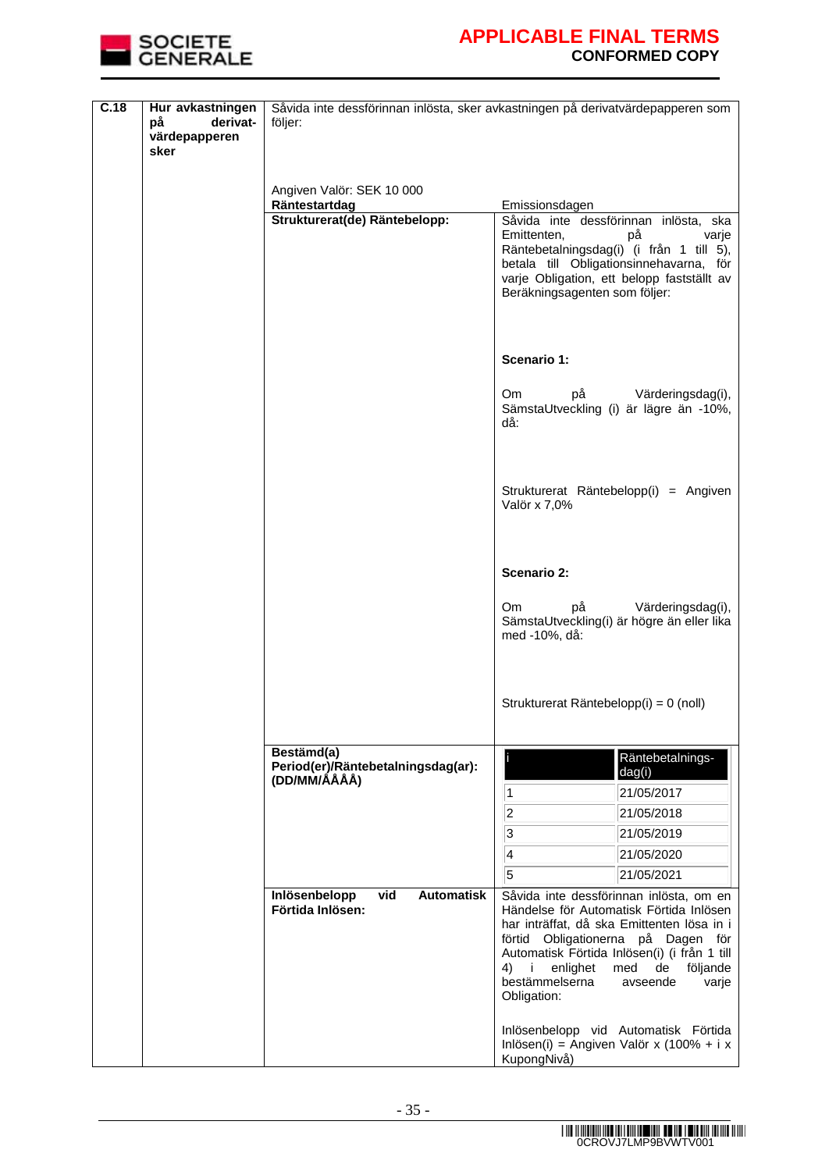

| C.18 | Hur avkastningen<br>derivat-<br>på<br>värdepapperen<br>sker | följer:                                                          | Såvida inte dessförinnan inlösta, sker avkastningen på derivatvärdepapperen som                                                                                                                                                                                                    |
|------|-------------------------------------------------------------|------------------------------------------------------------------|------------------------------------------------------------------------------------------------------------------------------------------------------------------------------------------------------------------------------------------------------------------------------------|
|      |                                                             |                                                                  |                                                                                                                                                                                                                                                                                    |
|      |                                                             | Angiven Valör: SEK 10 000                                        |                                                                                                                                                                                                                                                                                    |
|      |                                                             | Räntestartdag<br>Strukturerat(de) Räntebelopp:                   | Emissionsdagen<br>Såvida inte dessförinnan inlösta, ska<br>Emittenten,<br>på<br>varje<br>Räntebetalningsdag(i) (i från 1 till 5),                                                                                                                                                  |
|      |                                                             |                                                                  | betala till Obligationsinnehavarna, för<br>varje Obligation, ett belopp fastställt av<br>Beräkningsagenten som följer:                                                                                                                                                             |
|      |                                                             |                                                                  | <b>Scenario 1:</b>                                                                                                                                                                                                                                                                 |
|      |                                                             |                                                                  | Värderingsdag(i),<br>Om<br>på<br>SämstaUtveckling (i) är lägre än -10%,<br>då:                                                                                                                                                                                                     |
|      |                                                             |                                                                  | Strukturerat Räntebelopp(i) = Angiven<br>Valör x 7,0%                                                                                                                                                                                                                              |
|      |                                                             |                                                                  | <b>Scenario 2:</b>                                                                                                                                                                                                                                                                 |
|      |                                                             |                                                                  | Värderingsdag(i),<br>Om<br>рå<br>SämstaUtveckling(i) är högre än eller lika<br>med -10%, då:                                                                                                                                                                                       |
|      |                                                             |                                                                  | Strukturerat Räntebelopp(i) = 0 (noll)                                                                                                                                                                                                                                             |
|      |                                                             | Bestämd(a)<br>Period(er)/Räntebetalningsdag(ar):<br>(DD/MM/ÁÅÅÅ) | Räntebetalnings-<br>dag(i)                                                                                                                                                                                                                                                         |
|      |                                                             |                                                                  | $\vert$ 1<br>21/05/2017                                                                                                                                                                                                                                                            |
|      |                                                             |                                                                  | $\overline{2}$<br>21/05/2018                                                                                                                                                                                                                                                       |
|      |                                                             |                                                                  | $\overline{\mathbf{3}}$<br>21/05/2019                                                                                                                                                                                                                                              |
|      |                                                             |                                                                  | $\overline{4}$<br>21/05/2020<br>5<br>21/05/2021                                                                                                                                                                                                                                    |
|      |                                                             | Inlösenbelopp<br>vid<br><b>Automatisk</b>                        | Såvida inte dessförinnan inlösta, om en                                                                                                                                                                                                                                            |
|      |                                                             | Förtida Inlösen:                                                 | Händelse för Automatisk Förtida Inlösen<br>har inträffat, då ska Emittenten lösa in i<br>förtid Obligationerna på Dagen för<br>Automatisk Förtida Inlösen(i) (i från 1 till<br>enlighet<br>med<br>de<br>följande<br>4)<br>i.<br>bestämmelserna<br>avseende<br>varje<br>Obligation: |
|      |                                                             |                                                                  | Inlösenbelopp vid Automatisk Förtida<br>Inlösen(i) = Angiven Valör x (100% + i x<br>KupongNivå)                                                                                                                                                                                    |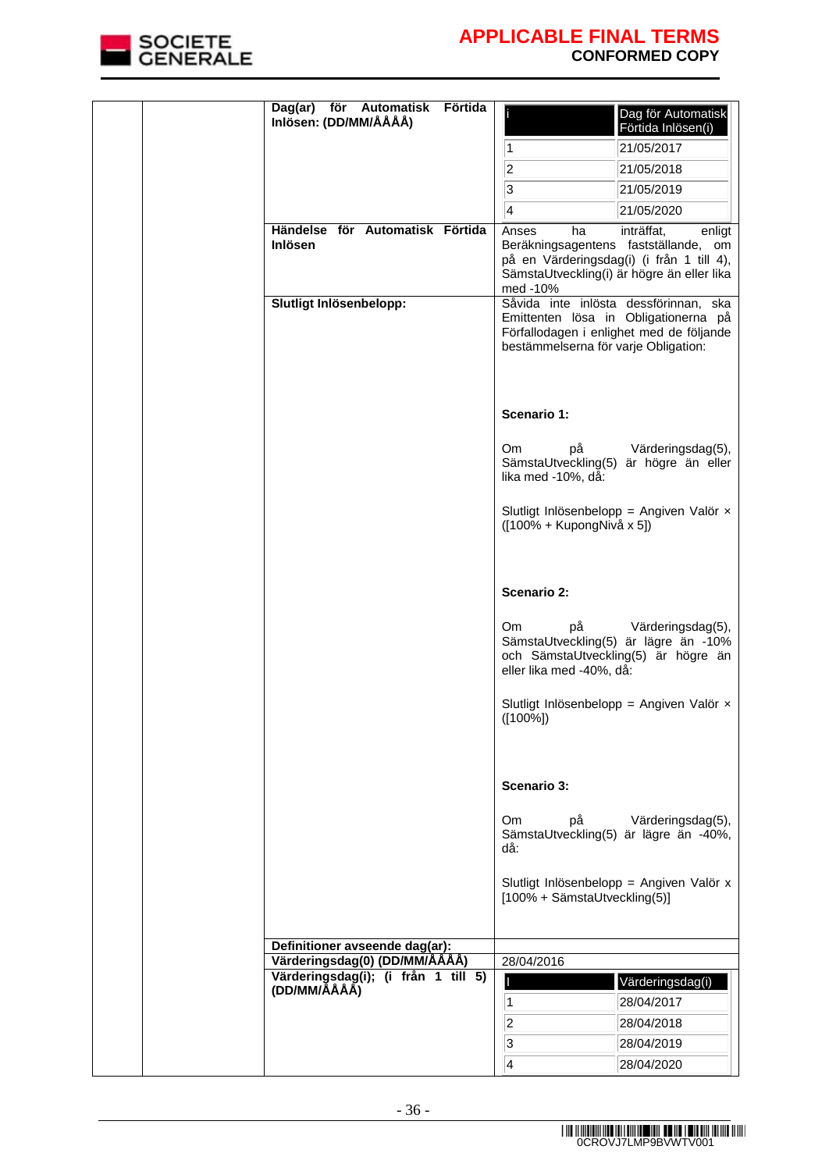

|  | Automatisk<br>Dag(ar) för<br>Inlösen: (DD/MM/ÅÅÅÅ)  | Förtida |                                       | Dag för Automatisk<br>Förtida Inlösen(i)                                                                                        |
|--|-----------------------------------------------------|---------|---------------------------------------|---------------------------------------------------------------------------------------------------------------------------------|
|  |                                                     |         | 1                                     | 21/05/2017                                                                                                                      |
|  |                                                     |         | $\overline{c}$                        | 21/05/2018                                                                                                                      |
|  |                                                     |         | 3                                     | 21/05/2019                                                                                                                      |
|  |                                                     |         | 4                                     | 21/05/2020                                                                                                                      |
|  | Händelse för Automatisk Förtida                     |         | Anses<br>ha                           | inträffat,<br>enligt                                                                                                            |
|  | <b>Inlösen</b>                                      |         | med -10%                              | Beräkningsagentens fastställande, om<br>på en Värderingsdag(i) (i från 1 till 4),<br>SämstaUtveckling(i) är högre än eller lika |
|  | Slutligt Inlösenbelopp:                             |         | bestämmelserna för varje Obligation:  | Såvida inte inlösta dessförinnan, ska<br>Emittenten lösa in Obligationerna på<br>Förfallodagen i enlighet med de följande       |
|  |                                                     |         | Scenario 1:                           |                                                                                                                                 |
|  |                                                     |         | <b>Om</b><br>рå<br>lika med -10%, då: | Värderingsdag(5),<br>SämstaUtveckling(5) är högre än eller                                                                      |
|  |                                                     |         | ([100% + KupongNivå x 5])             | Slutligt Inlösenbelopp = Angiven Valör x                                                                                        |
|  |                                                     |         | Scenario 2:                           |                                                                                                                                 |
|  |                                                     |         | Om<br>рå<br>eller lika med -40%, då:  | Värderingsdag(5),<br>SämstaUtveckling(5) är lägre än -10%<br>och SämstaUtveckling(5) är högre än                                |
|  |                                                     |         | $([100\%])$                           | Slutligt Inlösenbelopp = Angiven Valör $\times$                                                                                 |
|  |                                                     |         | Scenario 3:                           |                                                                                                                                 |
|  |                                                     |         | Om<br>рå<br>då:                       | Värderingsdag(5),<br>SämstaUtveckling(5) är lägre än -40%,                                                                      |
|  |                                                     |         | [100% + SämstaUtveckling(5)]          | Slutligt Inlösenbelopp = Angiven Valör x                                                                                        |
|  | Definitioner avseende dag(ar):                      |         |                                       |                                                                                                                                 |
|  | Värderingsdag(0) (DD/MM/ÅÅÅÅ)                       |         | 28/04/2016                            |                                                                                                                                 |
|  | Värderingsdag(i); (i från 1 till 5)<br>(DD/MM/ÅÅÅÅ) |         |                                       | Värderingsdag(i)                                                                                                                |
|  |                                                     |         | 1                                     | 28/04/2017                                                                                                                      |
|  |                                                     |         | $ 2\rangle$                           | 28/04/2018                                                                                                                      |
|  |                                                     |         | $\sqrt{3}$                            | 28/04/2019                                                                                                                      |
|  |                                                     |         | 4                                     | 28/04/2020                                                                                                                      |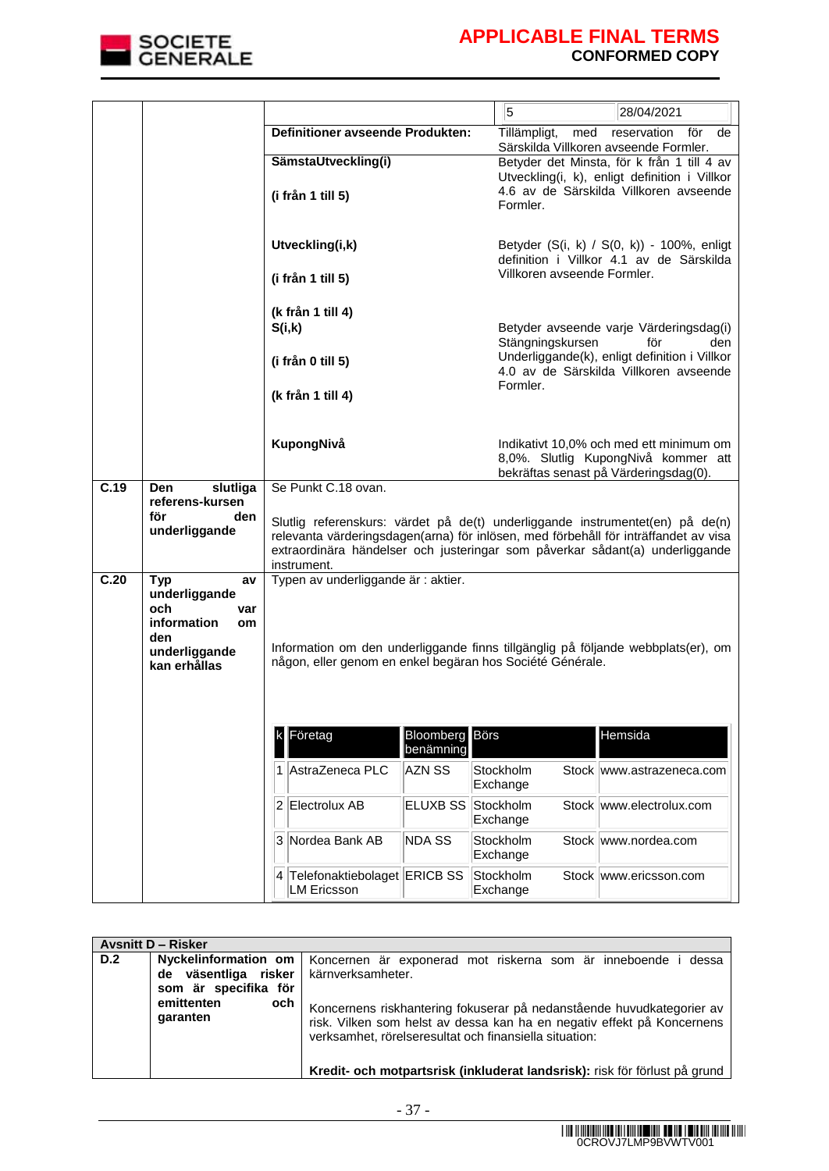

|      |                                                                                                              |                                                                                                                                                                                                                                                                                            |                                    | 5<br>28/04/2021                                                                                                         |
|------|--------------------------------------------------------------------------------------------------------------|--------------------------------------------------------------------------------------------------------------------------------------------------------------------------------------------------------------------------------------------------------------------------------------------|------------------------------------|-------------------------------------------------------------------------------------------------------------------------|
|      |                                                                                                              | Definitioner avseende Produkten:                                                                                                                                                                                                                                                           |                                    | Tillämpligt,<br>med<br>reservation för<br>de<br>Särskilda Villkoren avseende Formler.                                   |
|      |                                                                                                              | SämstaUtveckling(i)                                                                                                                                                                                                                                                                        |                                    | Betyder det Minsta, för k från 1 till 4 av                                                                              |
|      |                                                                                                              | (i från 1 till 5)                                                                                                                                                                                                                                                                          |                                    | Utveckling(i, k), enligt definition i Villkor<br>4.6 av de Särskilda Villkoren avseende<br>Formler.                     |
|      |                                                                                                              | Utveckling(i,k)                                                                                                                                                                                                                                                                            |                                    | Betyder (S(i, k) / S(0, k)) - 100%, enligt<br>definition i Villkor 4.1 av de Särskilda                                  |
|      |                                                                                                              | (i från 1 till 5)                                                                                                                                                                                                                                                                          |                                    | Villkoren avseende Formler.                                                                                             |
|      |                                                                                                              | (k från 1 till 4)<br>S(i,k)                                                                                                                                                                                                                                                                |                                    | Betyder avseende varje Värderingsdag(i)<br>Stängningskursen<br>för<br>den                                               |
|      |                                                                                                              | (i från 0 till 5)                                                                                                                                                                                                                                                                          |                                    | Underliggande(k), enligt definition i Villkor<br>4.0 av de Särskilda Villkoren avseende<br>Formler.                     |
|      |                                                                                                              | (k från 1 till 4)                                                                                                                                                                                                                                                                          |                                    |                                                                                                                         |
|      |                                                                                                              | KupongNivå                                                                                                                                                                                                                                                                                 |                                    | Indikativt 10,0% och med ett minimum om<br>8,0%. Slutlig KupongNivå kommer att<br>bekräftas senast på Värderingsdag(0). |
| C.19 | <b>Den</b><br>slutliga<br>referens-kursen                                                                    | Se Punkt C.18 ovan.<br>Slutlig referenskurs: värdet på de(t) underliggande instrumentet(en) på de(n)<br>relevanta värderingsdagen(arna) för inlösen, med förbehåll för inträffandet av visa<br>extraordinära händelser och justeringar som påverkar sådant(a) underliggande<br>instrument. |                                    |                                                                                                                         |
|      | för<br>den<br>underliggande                                                                                  |                                                                                                                                                                                                                                                                                            |                                    |                                                                                                                         |
| C.20 | <b>Typ</b><br>av<br>underliggande<br>och<br>var<br>information<br>om<br>den<br>underliggande<br>kan erhållas | Typen av underliggande är : aktier.<br>Information om den underliggande finns tillgänglig på följande webbplats(er), om<br>någon, eller genom en enkel begäran hos Société Générale.                                                                                                       |                                    |                                                                                                                         |
|      |                                                                                                              | Företag                                                                                                                                                                                                                                                                                    | <b>Bloomberg</b> Börs<br>benämning | Hemsida                                                                                                                 |
|      |                                                                                                              | AstraZeneca PLC                                                                                                                                                                                                                                                                            | AZN SS                             | Stockholm<br>Stock www.astrazeneca.com<br>Exchange                                                                      |
|      |                                                                                                              | Electrolux AB<br>2                                                                                                                                                                                                                                                                         | <b>ELUXB SS</b>                    | Stockholm<br>Stock www.electrolux.com<br>Exchange                                                                       |
|      |                                                                                                              | 3<br>Nordea Bank AB                                                                                                                                                                                                                                                                        | <b>NDA SS</b>                      | Stockholm<br>Stock www.nordea.com<br>Exchange                                                                           |
|      |                                                                                                              | Telefonaktiebolaget ERICB SS<br>14<br><b>LM Ericsson</b>                                                                                                                                                                                                                                   |                                    | Stockholm<br>Stock www.ericsson.com<br>Exchange                                                                         |

|     | <b>Avsnitt D – Risker</b>                                                                       |                                                                                                                                                                                                                                                                                                   |
|-----|-------------------------------------------------------------------------------------------------|---------------------------------------------------------------------------------------------------------------------------------------------------------------------------------------------------------------------------------------------------------------------------------------------------|
| D.2 | de väsentliga risker kärnverksamheter.<br>som är specifika för<br>emittenten<br>och<br>garanten | Nyckelinformation om   Koncernen är exponerad mot riskerna som är inneboende i dessa<br>Koncernens riskhantering fokuserar på nedanstående huvudkategorier av<br>risk. Vilken som helst av dessa kan ha en negativ effekt på Koncernens<br>verksamhet, rörelseresultat och finansiella situation: |
|     |                                                                                                 | Kredit- och motpartsrisk (inkluderat landsrisk): risk för förlust på grund                                                                                                                                                                                                                        |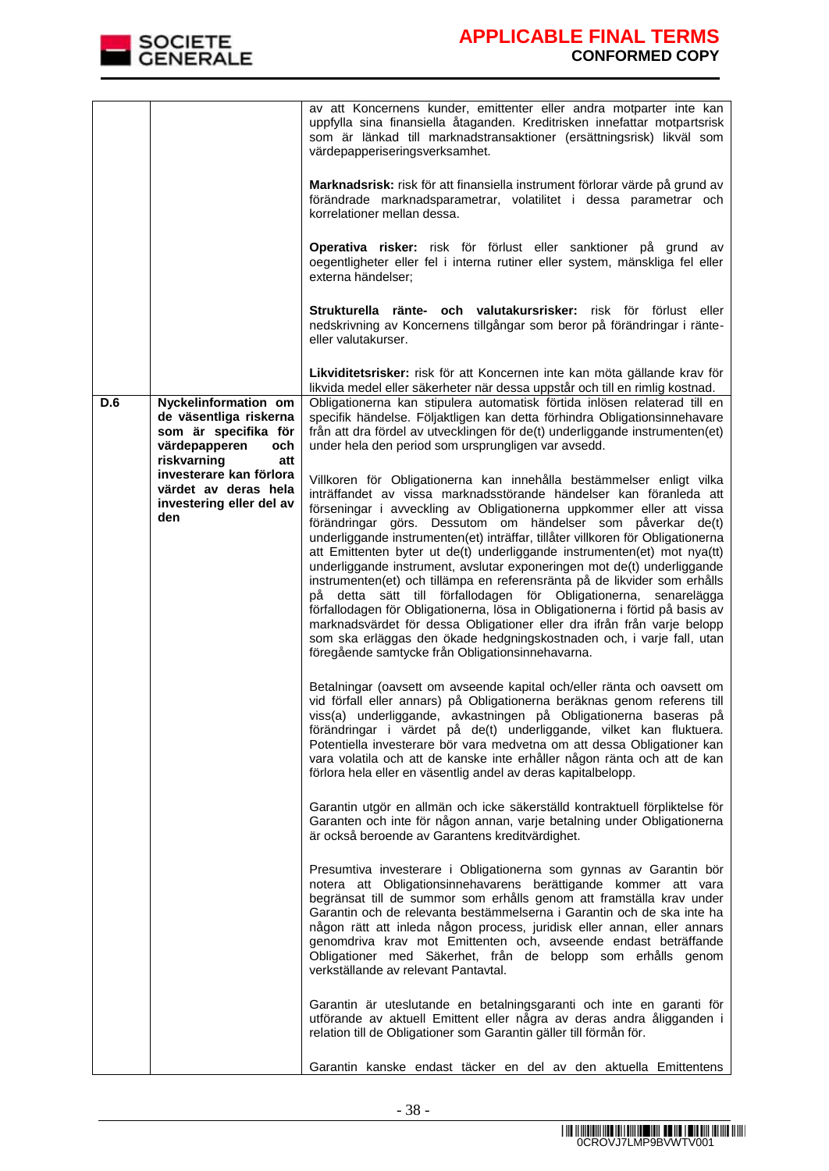

|     |                                                                                                                      | av att Koncernens kunder, emittenter eller andra motparter inte kan<br>uppfylla sina finansiella åtaganden. Kreditrisken innefattar motpartsrisk<br>som är länkad till marknadstransaktioner (ersättningsrisk) likväl som<br>värdepapperiseringsverksamhet.<br>Marknadsrisk: risk för att finansiella instrument förlorar värde på grund av<br>förändrade marknadsparametrar, volatilitet i dessa parametrar och<br>korrelationer mellan dessa.<br>Operativa risker: risk för förlust eller sanktioner på grund av<br>oegentligheter eller fel i interna rutiner eller system, mänskliga fel eller<br>externa händelser;<br>Strukturella ränte- och valutakursrisker: risk för förlust eller<br>nedskrivning av Koncernens tillgångar som beror på förändringar i ränte-<br>eller valutakurser.                                                                                                                                                                       |
|-----|----------------------------------------------------------------------------------------------------------------------|-----------------------------------------------------------------------------------------------------------------------------------------------------------------------------------------------------------------------------------------------------------------------------------------------------------------------------------------------------------------------------------------------------------------------------------------------------------------------------------------------------------------------------------------------------------------------------------------------------------------------------------------------------------------------------------------------------------------------------------------------------------------------------------------------------------------------------------------------------------------------------------------------------------------------------------------------------------------------|
|     |                                                                                                                      | Likviditetsrisker: risk för att Koncernen inte kan möta gällande krav för                                                                                                                                                                                                                                                                                                                                                                                                                                                                                                                                                                                                                                                                                                                                                                                                                                                                                             |
| D.6 | Nyckelinformation om<br>de väsentliga riskerna<br>som är specifika för<br>värdepapperen<br>och<br>riskvarning<br>att | likvida medel eller säkerheter när dessa uppstår och till en rimlig kostnad.<br>Obligationerna kan stipulera automatisk förtida inlösen relaterad till en<br>specifik händelse. Följaktligen kan detta förhindra Obligationsinnehavare<br>från att dra fördel av utvecklingen för de(t) underliggande instrumenten(et)<br>under hela den period som ursprungligen var avsedd.                                                                                                                                                                                                                                                                                                                                                                                                                                                                                                                                                                                         |
|     | investerare kan förlora<br>värdet av deras hela<br>investering eller del av<br>den                                   | Villkoren för Obligationerna kan innehålla bestämmelser enligt vilka<br>inträffandet av vissa marknadsstörande händelser kan föranleda att<br>förseningar i avveckling av Obligationerna uppkommer eller att vissa<br>förändringar görs. Dessutom om händelser som påverkar de(t)<br>underliggande instrumenten(et) inträffar, tillåter villkoren för Obligationerna<br>att Emittenten byter ut de(t) underliggande instrumenten(et) mot nya(tt)<br>underliggande instrument, avslutar exponeringen mot de(t) underliggande<br>instrumenten(et) och tillämpa en referensränta på de likvider som erhålls<br>på detta sätt till förfallodagen för Obligationerna, senarelägga<br>förfallodagen för Obligationerna, lösa in Obligationerna i förtid på basis av<br>marknadsvärdet för dessa Obligationer eller dra ifrån från varje belopp<br>som ska erläggas den ökade hedgningskostnaden och, i varje fall, utan<br>föregående samtycke från Obligationsinnehavarna. |
|     |                                                                                                                      | Betalningar (oavsett om avseende kapital och/eller ränta och oavsett om<br>vid förfall eller annars) på Obligationerna beräknas genom referens till<br>viss(a) underliggande, avkastningen på Obligationerna baseras på<br>förändringar i värdet på de(t) underliggande, vilket kan fluktuera.<br>Potentiella investerare bör vara medvetna om att dessa Obligationer kan<br>vara volatila och att de kanske inte erhåller någon ränta och att de kan<br>förlora hela eller en väsentlig andel av deras kapitalbelopp.                                                                                                                                                                                                                                                                                                                                                                                                                                                |
|     |                                                                                                                      | Garantin utgör en allmän och icke säkerställd kontraktuell förpliktelse för<br>Garanten och inte för någon annan, varje betalning under Obligationerna<br>är också beroende av Garantens kreditvärdighet.                                                                                                                                                                                                                                                                                                                                                                                                                                                                                                                                                                                                                                                                                                                                                             |
|     |                                                                                                                      | Presumtiva investerare i Obligationerna som gynnas av Garantin bör<br>notera att Obligationsinnehavarens berättigande kommer att vara<br>begränsat till de summor som erhålls genom att framställa krav under<br>Garantin och de relevanta bestämmelserna i Garantin och de ska inte ha<br>någon rätt att inleda någon process, juridisk eller annan, eller annars<br>genomdriva krav mot Emittenten och, avseende endast beträffande<br>Obligationer med Säkerhet, från de belopp som erhålls genom<br>verkställande av relevant Pantavtal.                                                                                                                                                                                                                                                                                                                                                                                                                          |
|     |                                                                                                                      | Garantin är uteslutande en betalningsgaranti och inte en garanti för<br>utförande av aktuell Emittent eller några av deras andra åligganden i<br>relation till de Obligationer som Garantin gäller till förmån för.                                                                                                                                                                                                                                                                                                                                                                                                                                                                                                                                                                                                                                                                                                                                                   |
|     |                                                                                                                      | Garantin kanske endast täcker en del av den aktuella Emittentens                                                                                                                                                                                                                                                                                                                                                                                                                                                                                                                                                                                                                                                                                                                                                                                                                                                                                                      |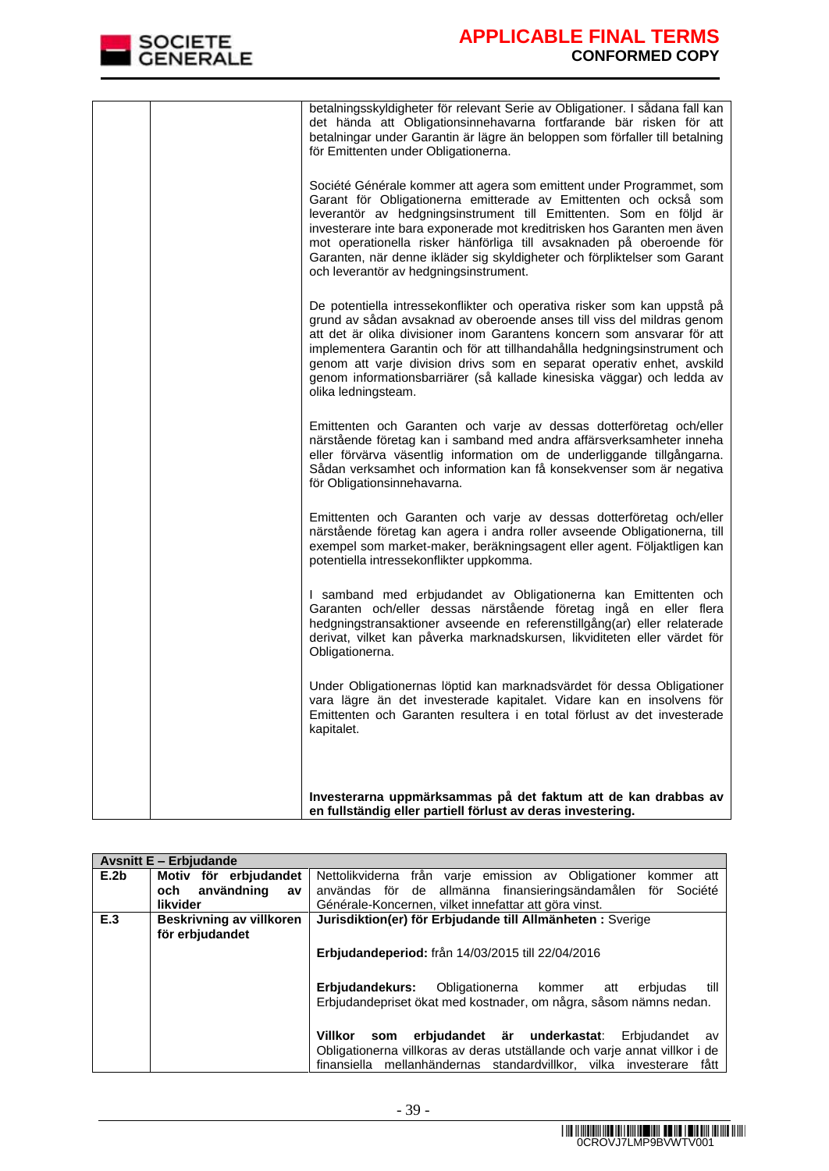

| betalningsskyldigheter för relevant Serie av Obligationer. I sådana fall kan<br>det hända att Obligationsinnehavarna fortfarande bär risken för att<br>betalningar under Garantin är lägre än beloppen som förfaller till betalning<br>för Emittenten under Obligationerna.                                                                                                                                                                                                              |
|------------------------------------------------------------------------------------------------------------------------------------------------------------------------------------------------------------------------------------------------------------------------------------------------------------------------------------------------------------------------------------------------------------------------------------------------------------------------------------------|
| Société Générale kommer att agera som emittent under Programmet, som<br>Garant för Obligationerna emitterade av Emittenten och också som<br>leverantör av hedgningsinstrument till Emittenten. Som en följd är<br>investerare inte bara exponerade mot kreditrisken hos Garanten men även<br>mot operationella risker hänförliga till avsaknaden på oberoende för<br>Garanten, när denne ikläder sig skyldigheter och förpliktelser som Garant<br>och leverantör av hedgningsinstrument. |
| De potentiella intressekonflikter och operativa risker som kan uppstå på<br>grund av sådan avsaknad av oberoende anses till viss del mildras genom<br>att det är olika divisioner inom Garantens koncern som ansvarar för att<br>implementera Garantin och för att tillhandahålla hedgningsinstrument och<br>genom att varje division drivs som en separat operativ enhet, avskild<br>genom informationsbarriärer (så kallade kinesiska väggar) och ledda av<br>olika ledningsteam.      |
| Emittenten och Garanten och varje av dessas dotterföretag och/eller<br>närstående företag kan i samband med andra affärsverksamheter inneha<br>eller förvärva väsentlig information om de underliggande tillgångarna.<br>Sådan verksamhet och information kan få konsekvenser som är negativa<br>för Obligationsinnehavarna.                                                                                                                                                             |
| Emittenten och Garanten och varje av dessas dotterföretag och/eller<br>närstående företag kan agera i andra roller avseende Obligationerna, till<br>exempel som market-maker, beräkningsagent eller agent. Följaktligen kan<br>potentiella intressekonflikter uppkomma.                                                                                                                                                                                                                  |
| I samband med erbjudandet av Obligationerna kan Emittenten och<br>Garanten och/eller dessas närstående företag ingå en eller flera<br>hedgningstransaktioner avseende en referenstillgång(ar) eller relaterade<br>derivat, vilket kan påverka marknadskursen, likviditeten eller värdet för<br>Obligationerna.                                                                                                                                                                           |
| Under Obligationernas löptid kan marknadsvärdet för dessa Obligationer<br>vara lägre än det investerade kapitalet. Vidare kan en insolvens för<br>Emittenten och Garanten resultera i en total förlust av det investerade<br>kapitalet.                                                                                                                                                                                                                                                  |
| Investerarna uppmärksammas på det faktum att de kan drabbas av                                                                                                                                                                                                                                                                                                                                                                                                                           |
| en fullständig eller partiell förlust av deras investering.                                                                                                                                                                                                                                                                                                                                                                                                                              |

|      | <b>Avsnitt E - Erbjudande</b> |                                                                                                                                                                                                                            |
|------|-------------------------------|----------------------------------------------------------------------------------------------------------------------------------------------------------------------------------------------------------------------------|
| E.2b | Motiv för erbjudandet         | Nettolikviderna från varje emission av Obligationer<br>kommer att                                                                                                                                                          |
|      | användning<br>och<br>av       | användas för de allmänna finansieringsändamålen för Société                                                                                                                                                                |
|      | <b>likvider</b>               | Générale-Koncernen, vilket innefattar att göra vinst.                                                                                                                                                                      |
| E.3  | Beskrivning av villkoren      | Jurisdiktion(er) för Erbjudande till Allmänheten : Sverige                                                                                                                                                                 |
|      | för erbjudandet               |                                                                                                                                                                                                                            |
|      |                               | <b>Erbjudandeperiod:</b> från 14/03/2015 till 22/04/2016                                                                                                                                                                   |
|      |                               | Obligationerna kommer att<br>Erbiudandekurs:<br>till<br>erbiudas<br>Erbjudandepriset ökat med kostnader, om några, såsom nämns nedan.                                                                                      |
|      |                               | erbjudandet är underkastat:<br>Villkor<br>Erbiudandet<br>som<br>av<br>Obligationerna villkoras av deras utställande och varje annat villkor i de<br>finansiella mellanhändernas standardvillkor, vilka investerare<br>fått |